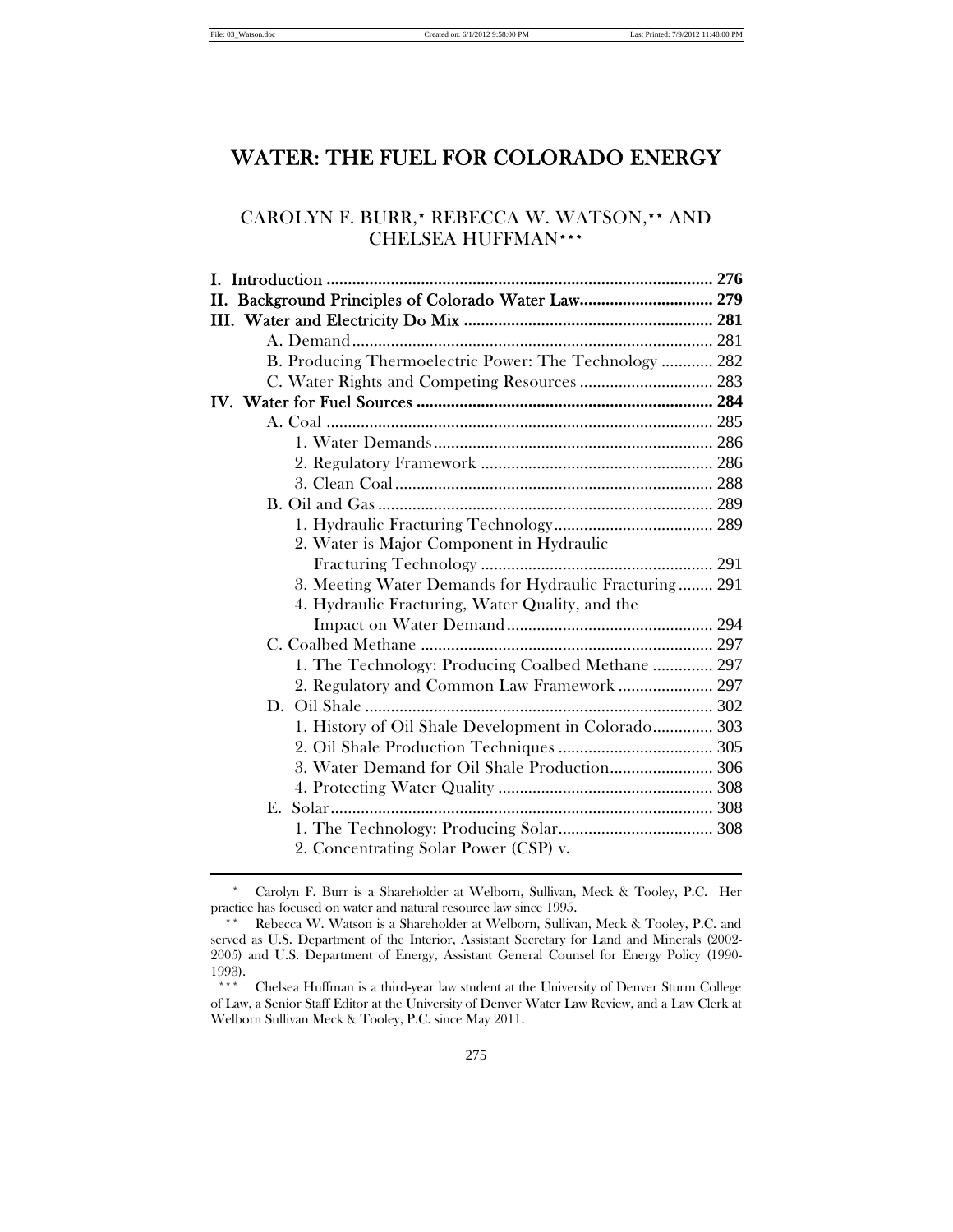# WATER: THE FUEL FOR COLORADO ENERGY

# CAROLYN F. BURR,\* REBECCA W. WATSON,\*\* AND CHELSEA HUFFMAN\*\*\*

| II. Background Principles of Colorado Water Law 279    |  |
|--------------------------------------------------------|--|
|                                                        |  |
|                                                        |  |
| B. Producing Thermoelectric Power: The Technology  282 |  |
| C. Water Rights and Competing Resources  283           |  |
|                                                        |  |
|                                                        |  |
|                                                        |  |
|                                                        |  |
|                                                        |  |
|                                                        |  |
|                                                        |  |
| 2. Water is Major Component in Hydraulic               |  |
|                                                        |  |
| 3. Meeting Water Demands for Hydraulic Fracturing 291  |  |
| 4. Hydraulic Fracturing, Water Quality, and the        |  |
|                                                        |  |
|                                                        |  |
| 1. The Technology: Producing Coalbed Methane  297      |  |
| 2. Regulatory and Common Law Framework  297            |  |
|                                                        |  |
| 1. History of Oil Shale Development in Colorado 303    |  |
|                                                        |  |
|                                                        |  |
|                                                        |  |
| Solar<br>F.                                            |  |
|                                                        |  |
| 2. Concentrating Solar Power (CSP) v.                  |  |
|                                                        |  |

 \* Carolyn F. Burr is a Shareholder at Welborn, Sullivan, Meck & Tooley, P.C. Her practice has focused on water and natural resource law since 1995.

 <sup>\*\*</sup> Rebecca W. Watson is a Shareholder at Welborn, Sullivan, Meck & Tooley, P.C. and served as U.S. Department of the Interior, Assistant Secretary for Land and Minerals (2002- 2005) and U.S. Department of Energy, Assistant General Counsel for Energy Policy (1990-  $1993$ .

 <sup>\*\*\*</sup> Chelsea Huffman is a third-year law student at the University of Denver Sturm College of Law, a Senior Staff Editor at the University of Denver Water Law Review, and a Law Clerk at Welborn Sullivan Meck & Tooley, P.C. since May 2011.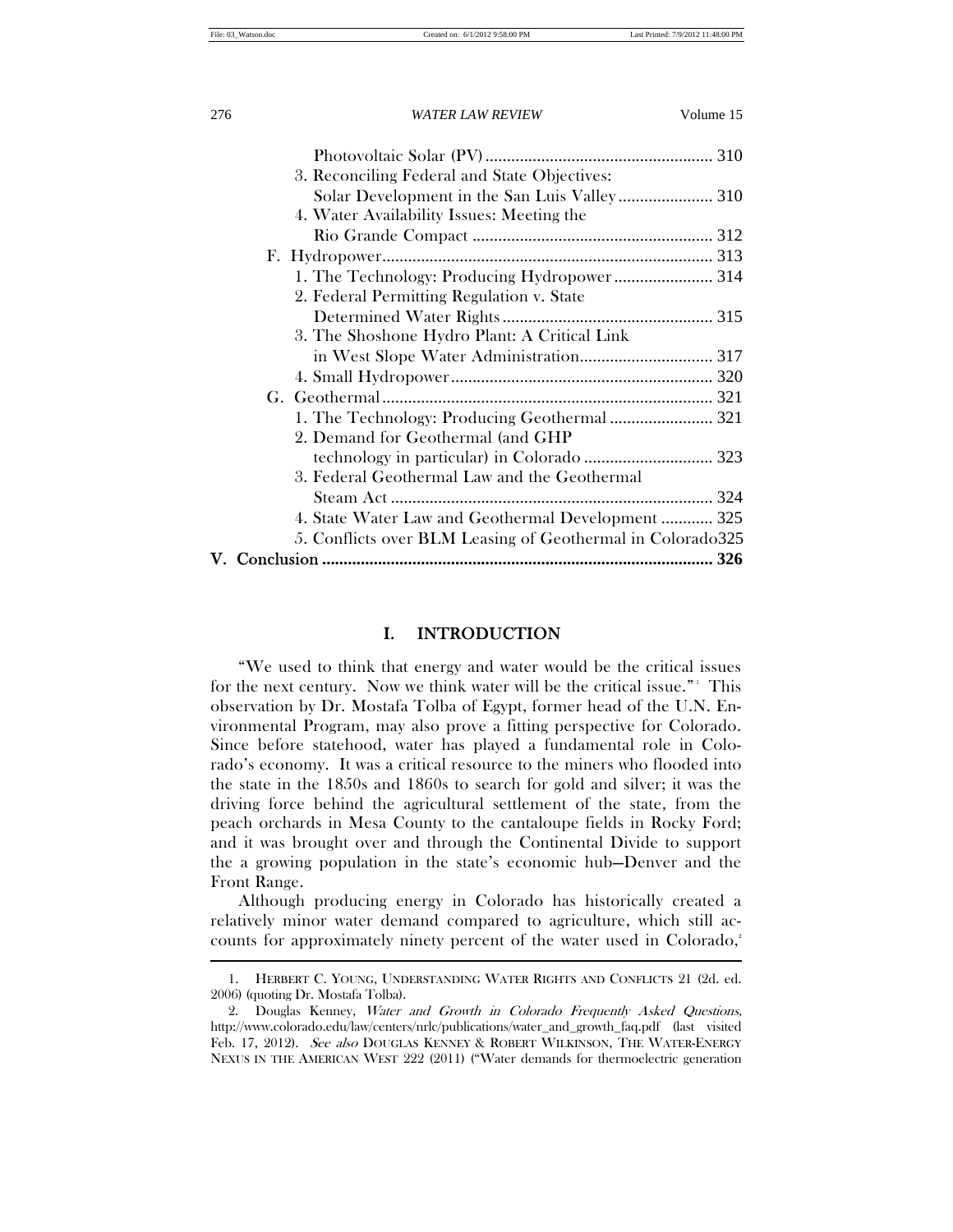| 3. Reconciling Federal and State Objectives:               |  |
|------------------------------------------------------------|--|
|                                                            |  |
|                                                            |  |
| 4. Water Availability Issues: Meeting the                  |  |
|                                                            |  |
|                                                            |  |
| 1. The Technology: Producing Hydropower 314                |  |
| 2. Federal Permitting Regulation v. State                  |  |
|                                                            |  |
| 3. The Shoshone Hydro Plant: A Critical Link               |  |
|                                                            |  |
|                                                            |  |
|                                                            |  |
| 1. The Technology: Producing Geothermal  321               |  |
| 2. Demand for Geothermal (and GHP                          |  |
|                                                            |  |
|                                                            |  |
| 3. Federal Geothermal Law and the Geothermal               |  |
|                                                            |  |
| 4. State Water Law and Geothermal Development  325         |  |
| 5. Conflicts over BLM Leasing of Geothermal in Colorado325 |  |
|                                                            |  |
|                                                            |  |

# I. INTRODUCTION

"We used to think that energy and water would be the critical issues for the next century. Now we think water will be the critical issue." $\cdot$  This observation by Dr. Mostafa Tolba of Egypt, former head of the U.N. Environmental Program, may also prove a fitting perspective for Colorado. Since before statehood, water has played a fundamental role in Colorado's economy. It was a critical resource to the miners who flooded into the state in the 1850s and 1860s to search for gold and silver; it was the driving force behind the agricultural settlement of the state, from the peach orchards in Mesa County to the cantaloupe fields in Rocky Ford; and it was brought over and through the Continental Divide to support the a growing population in the state's economic hub—Denver and the Front Range.

Although producing energy in Colorado has historically created a relatively minor water demand compared to agriculture, which still accounts for approximately ninety percent of the water used in Colorado,<sup>2</sup>

 <sup>1.</sup> HERBERT C. YOUNG, UNDERSTANDING WATER RIGHTS AND CONFLICTS 21 (2d. ed. 2006) (quoting Dr. Mostafa Tolba).

 <sup>2.</sup> Douglas Kenney, Water and Growth in Colorado Frequently Asked Questions, http://www.colorado.edu/law/centers/nrlc/publications/water\_and\_growth\_faq.pdf (last visited Feb. 17, 2012). See also DOUGLAS KENNEY & ROBERT WILKINSON, THE WATER-ENERGY NEXUS IN THE AMERICAN WEST 222 (2011) ("Water demands for thermoelectric generation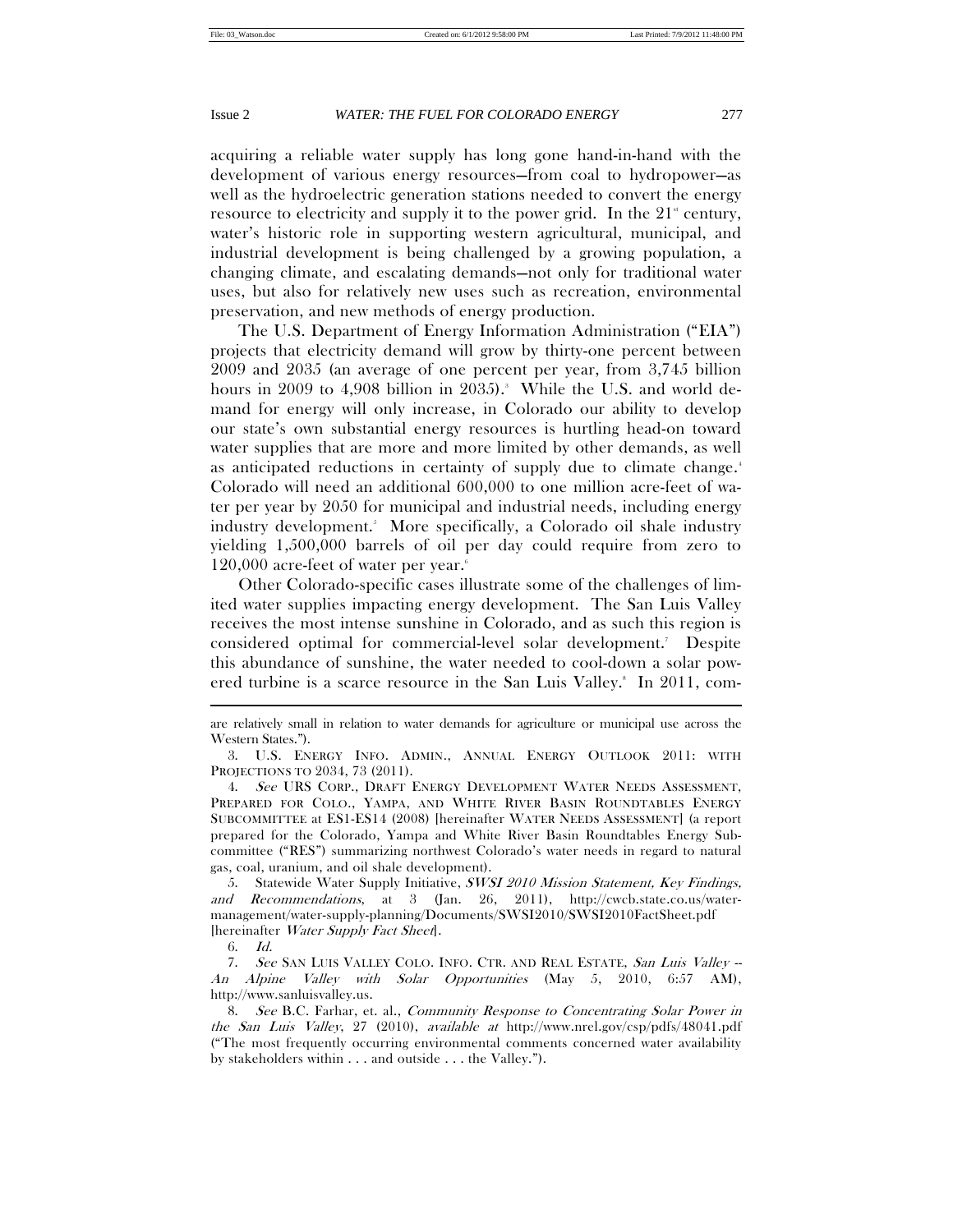acquiring a reliable water supply has long gone hand-in-hand with the development of various energy resources—from coal to hydropower—as well as the hydroelectric generation stations needed to convert the energy resource to electricity and supply it to the power grid. In the  $21<sup>{st}</sup>$  century, water's historic role in supporting western agricultural, municipal, and industrial development is being challenged by a growing population, a changing climate, and escalating demands—not only for traditional water uses, but also for relatively new uses such as recreation, environmental preservation, and new methods of energy production.

The U.S. Department of Energy Information Administration ("EIA") projects that electricity demand will grow by thirty-one percent between 2009 and 2035 (an average of one percent per year, from 3,745 billion hours in 2009 to 4,908 billion in 2035).<sup>3</sup> While the U.S. and world demand for energy will only increase, in Colorado our ability to develop our state's own substantial energy resources is hurtling head-on toward water supplies that are more and more limited by other demands, as well as anticipated reductions in certainty of supply due to climate change.<sup>4</sup> Colorado will need an additional 600,000 to one million acre-feet of water per year by 2050 for municipal and industrial needs, including energy industry development.5 More specifically, a Colorado oil shale industry yielding 1,500,000 barrels of oil per day could require from zero to  $120,000$  acre-feet of water per year. $\delta$ 

Other Colorado-specific cases illustrate some of the challenges of limited water supplies impacting energy development. The San Luis Valley receives the most intense sunshine in Colorado, and as such this region is considered optimal for commercial-level solar development.7 Despite this abundance of sunshine, the water needed to cool-down a solar powered turbine is a scarce resource in the San Luis Valley.<sup>8</sup> In 2011, com-

6. Id.

are relatively small in relation to water demands for agriculture or municipal use across the Western States.").

 <sup>3.</sup> U.S. ENERGY INFO. ADMIN., ANNUAL ENERGY OUTLOOK 2011: WITH PROJECTIONS TO 2034, 73 (2011).

<sup>4.</sup> See URS CORP., DRAFT ENERGY DEVELOPMENT WATER NEEDS ASSESSMENT, PREPARED FOR COLO., YAMPA, AND WHITE RIVER BASIN ROUNDTABLES ENERGY SUBCOMMITTEE at ES1-ES14 (2008) [hereinafter WATER NEEDS ASSESSMENT] (a report prepared for the Colorado, Yampa and White River Basin Roundtables Energy Subcommittee ("RES") summarizing northwest Colorado's water needs in regard to natural gas, coal, uranium, and oil shale development).

 <sup>5.</sup> Statewide Water Supply Initiative, SWSI 2010 Mission Statement, Key Findings, and Recommendations, at 3 (Jan. 26, 2011), http://cwcb.state.co.us/watermanagement/water-supply-planning/Documents/SWSI2010/SWSI2010FactSheet.pdf [hereinafter Water Supply Fact Sheet].

<sup>7.</sup> See SAN LUIS VALLEY COLO. INFO. CTR. AND REAL ESTATE, San Luis Valley --An Alpine Valley with Solar Opportunities (May 5, 2010, 6:57 AM), http://www.sanluisvalley.us.

<sup>8.</sup> See B.C. Farhar, et. al., Community Response to Concentrating Solar Power in the San Luis Valley, 27 (2010), available at http://www.nrel.gov/csp/pdfs/48041.pdf ("The most frequently occurring environmental comments concerned water availability by stakeholders within . . . and outside . . . the Valley.").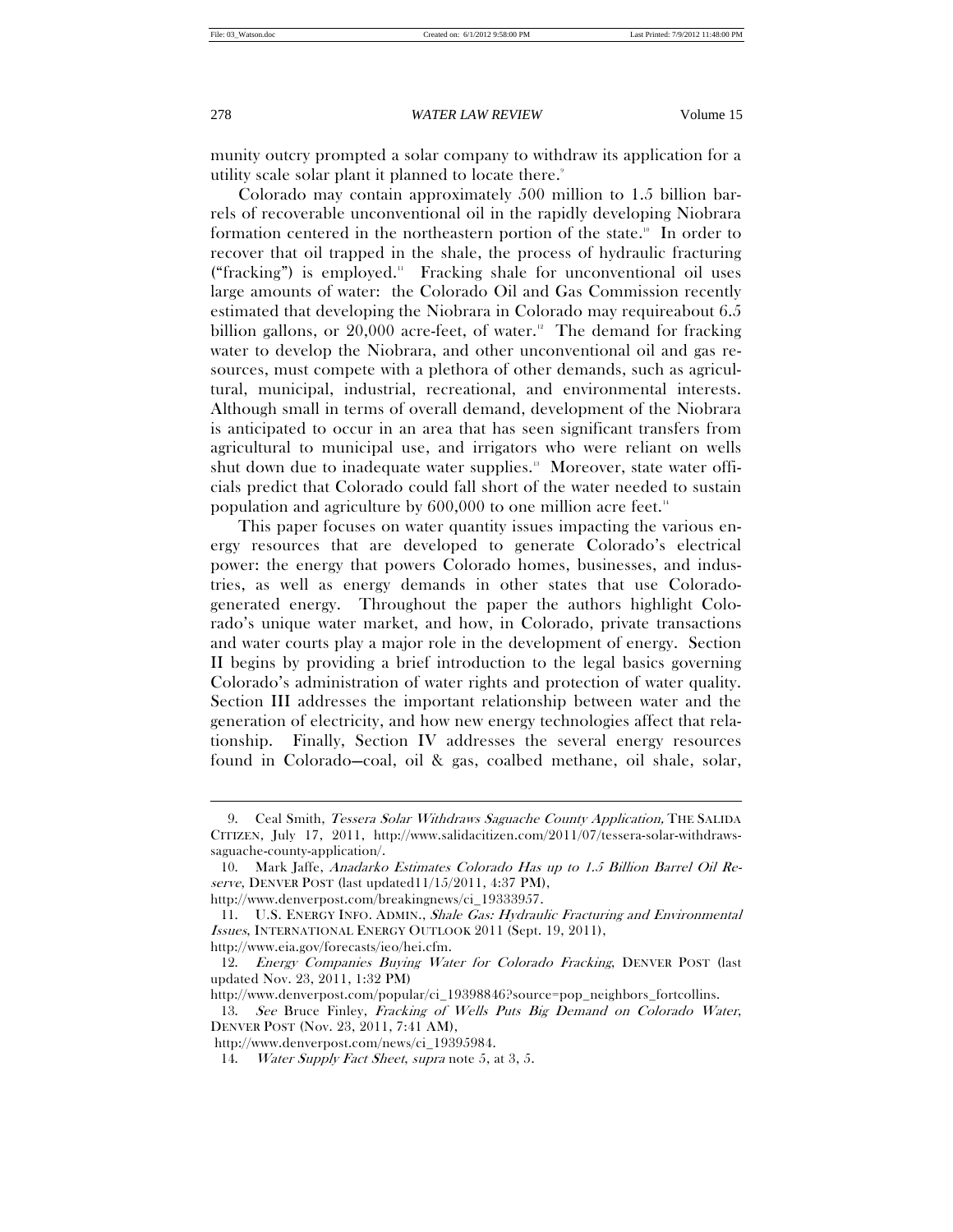$\overline{a}$ 

## 278 *WATER LAW REVIEW* Volume 15

munity outcry prompted a solar company to withdraw its application for a utility scale solar plant it planned to locate there.<sup>9</sup>

Colorado may contain approximately 500 million to 1.5 billion barrels of recoverable unconventional oil in the rapidly developing Niobrara formation centered in the northeastern portion of the state.<sup>10</sup> In order to recover that oil trapped in the shale, the process of hydraulic fracturing ("fracking") is employed. $\text{``Fracking}$  shale for unconventional oil uses large amounts of water: the Colorado Oil and Gas Commission recently estimated that developing the Niobrara in Colorado may requireabout 6.5 billion gallons, or  $20,000$  acre-feet, of water.<sup>22</sup> The demand for fracking water to develop the Niobrara, and other unconventional oil and gas resources, must compete with a plethora of other demands, such as agricultural, municipal, industrial, recreational, and environmental interests. Although small in terms of overall demand, development of the Niobrara is anticipated to occur in an area that has seen significant transfers from agricultural to municipal use, and irrigators who were reliant on wells shut down due to inadequate water supplies.<sup>13</sup> Moreover, state water officials predict that Colorado could fall short of the water needed to sustain population and agriculture by 600,000 to one million acre feet.14

This paper focuses on water quantity issues impacting the various energy resources that are developed to generate Colorado's electrical power: the energy that powers Colorado homes, businesses, and industries, as well as energy demands in other states that use Coloradogenerated energy. Throughout the paper the authors highlight Colorado's unique water market, and how, in Colorado, private transactions and water courts play a major role in the development of energy. Section II begins by providing a brief introduction to the legal basics governing Colorado's administration of water rights and protection of water quality. Section III addresses the important relationship between water and the generation of electricity, and how new energy technologies affect that relationship. Finally, Section IV addresses the several energy resources found in Colorado—coal, oil & gas, coalbed methane, oil shale, solar,

http://www.eia.gov/forecasts/ieo/hei.cfm.

<sup>9.</sup> Ceal Smith, Tessera Solar Withdraws Saguache County Application, THE SALIDA CITIZEN, July 17, 2011, http://www.salidacitizen.com/2011/07/tessera-solar-withdrawssaguache-county-application/.

 <sup>10.</sup> Mark Jaffe, Anadarko Estimates Colorado Has up to 1.5 Billion Barrel Oil Reserve, DENVER POST (last updated11/15/2011, 4:37 PM),

http://www.denverpost.com/breakingnews/ci\_19333957.

 <sup>11.</sup> U.S. ENERGY INFO. ADMIN., Shale Gas: Hydraulic Fracturing and Environmental Issues, INTERNATIONAL ENERGY OUTLOOK 2011 (Sept. 19, 2011),

 <sup>12.</sup> Energy Companies Buying Water for Colorado Fracking, DENVER POST (last updated Nov. 23, 2011, 1:32 PM)

http://www.denverpost.com/popular/ci\_19398846?source=pop\_neighbors\_fortcollins.

 <sup>13.</sup> See Bruce Finley, Fracking of Wells Puts Big Demand on Colorado Water, DENVER POST (Nov. 23, 2011, 7:41 AM),

http://www.denverpost.com/news/ci\_19395984.

<sup>14.</sup> Water Supply Fact Sheet, supra note 5, at 3, 5.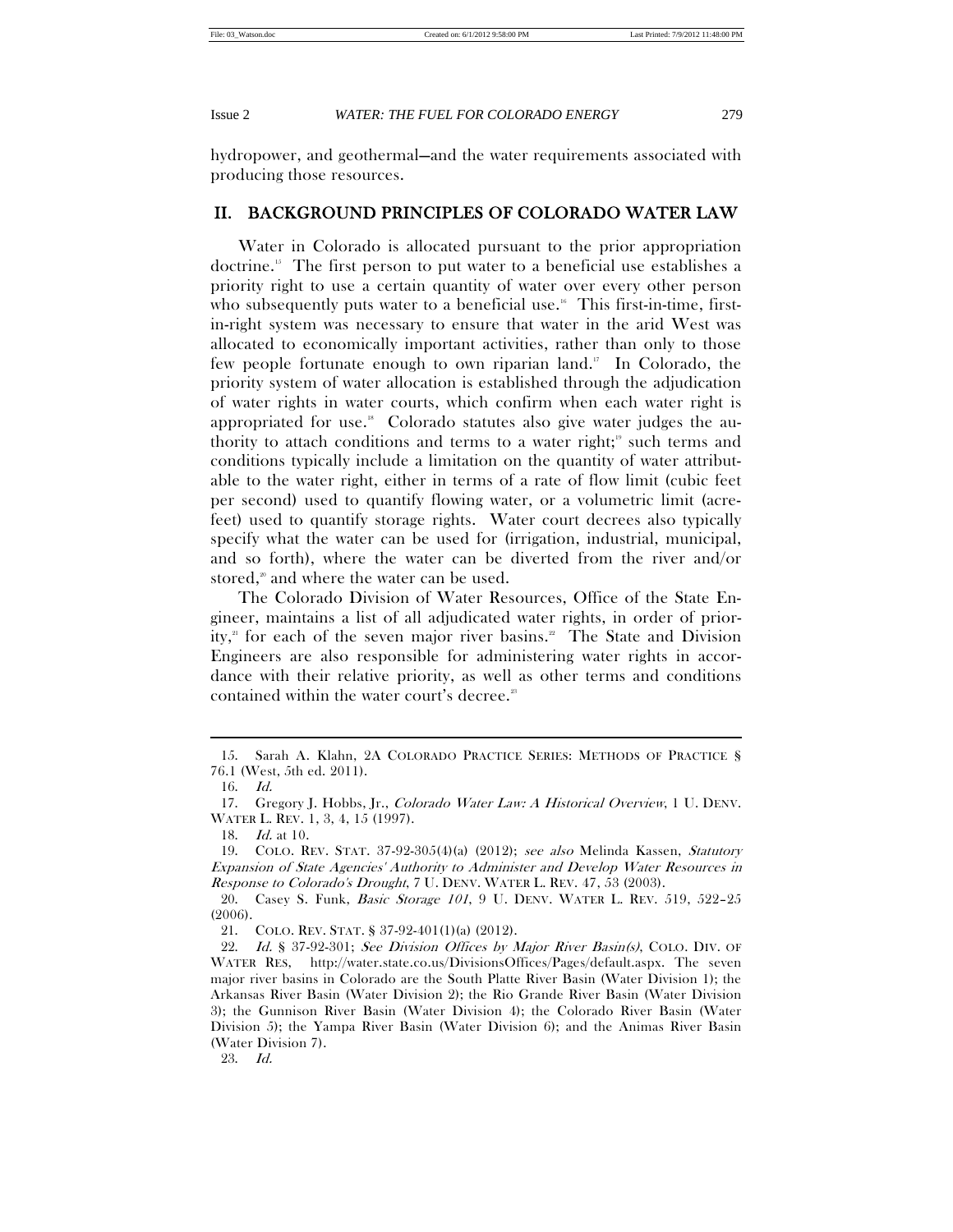hydropower, and geothermal—and the water requirements associated with producing those resources.

# II. BACKGROUND PRINCIPLES OF COLORADO WATER LAW

Water in Colorado is allocated pursuant to the prior appropriation doctrine.15 The first person to put water to a beneficial use establishes a priority right to use a certain quantity of water over every other person who subsequently puts water to a beneficial use.<sup>16</sup> This first-in-time, firstin-right system was necessary to ensure that water in the arid West was allocated to economically important activities, rather than only to those few people fortunate enough to own riparian land.<sup>17</sup> In Colorado, the priority system of water allocation is established through the adjudication of water rights in water courts, which confirm when each water right is appropriated for use.<sup> $\mu$ </sup> Colorado statutes also give water judges the authority to attach conditions and terms to a water right;<sup> $9$ </sup> such terms and conditions typically include a limitation on the quantity of water attributable to the water right, either in terms of a rate of flow limit (cubic feet per second) used to quantify flowing water, or a volumetric limit (acrefeet) used to quantify storage rights. Water court decrees also typically specify what the water can be used for (irrigation, industrial, municipal, and so forth), where the water can be diverted from the river and/or stored,<sup>20</sup> and where the water can be used.

The Colorado Division of Water Resources, Office of the State Engineer, maintains a list of all adjudicated water rights, in order of priority,<sup>21</sup> for each of the seven major river basins.<sup>22</sup> The State and Division Engineers are also responsible for administering water rights in accordance with their relative priority, as well as other terms and conditions contained within the water court's decree.<sup>2</sup>

 $\overline{a}$ 

23. Id.

 <sup>15.</sup> Sarah A. Klahn, 2A COLORADO PRACTICE SERIES: METHODS OF PRACTICE § 76.1 (West, 5th ed. 2011).

 <sup>16.</sup> Id.

 <sup>17.</sup> Gregory J. Hobbs, Jr., Colorado Water Law: A Historical Overview, 1 U. DENV. WATER L. REV. 1, 3, 4, 15 (1997).

 <sup>18.</sup> Id. at 10.

 <sup>19.</sup> COLO. REV. STAT. 37-92-305(4)(a) (2012); see also Melinda Kassen, Statutory Expansion of State Agencies' Authority to Administer and Develop Water Resources in Response to Colorado's Drought, 7 U. DENV. WATER L. REV. 47, 53 (2003).

 <sup>20.</sup> Casey S. Funk, Basic Storage 101, 9 U. DENV. WATER L. REV. 519, 522–25 (2006).

 <sup>21.</sup> COLO. REV. STAT. § 37-92-401(1)(a) (2012).

<sup>22.</sup> Id. § 37-92-301; See Division Offices by Major River Basin(s), COLO. DIV. OF WATER RES, http://water.state.co.us/DivisionsOffices/Pages/default.aspx. The seven major river basins in Colorado are the South Platte River Basin (Water Division 1); the Arkansas River Basin (Water Division 2); the Rio Grande River Basin (Water Division 3); the Gunnison River Basin (Water Division 4); the Colorado River Basin (Water Division 5); the Yampa River Basin (Water Division 6); and the Animas River Basin (Water Division 7).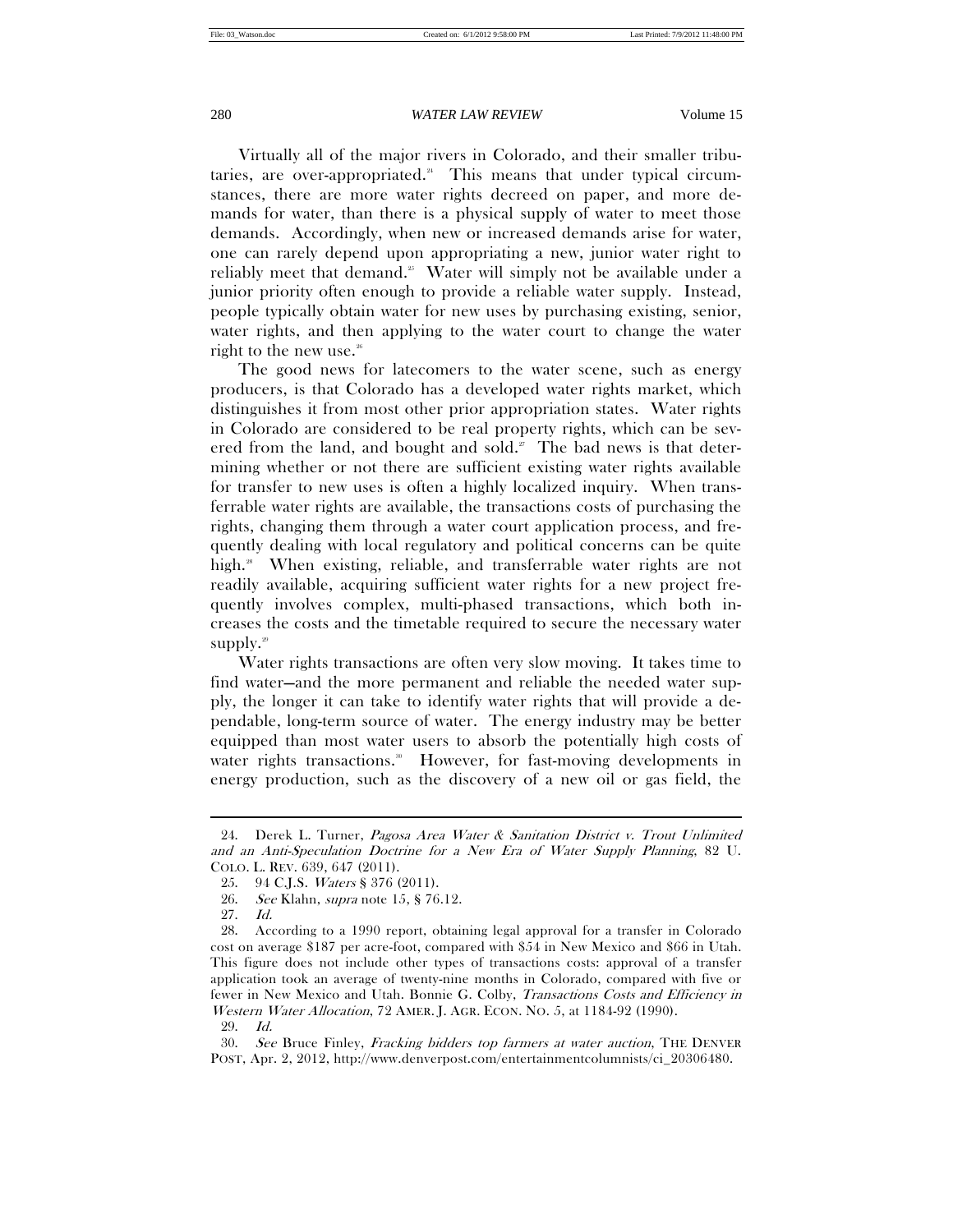Virtually all of the major rivers in Colorado, and their smaller tributaries, are over-appropriated. $24$  This means that under typical circumstances, there are more water rights decreed on paper, and more demands for water, than there is a physical supply of water to meet those demands. Accordingly, when new or increased demands arise for water, one can rarely depend upon appropriating a new, junior water right to reliably meet that demand.<sup>25</sup> Water will simply not be available under a junior priority often enough to provide a reliable water supply. Instead, people typically obtain water for new uses by purchasing existing, senior, water rights, and then applying to the water court to change the water right to the new use.<sup>26</sup>

The good news for latecomers to the water scene, such as energy producers, is that Colorado has a developed water rights market, which distinguishes it from most other prior appropriation states. Water rights in Colorado are considered to be real property rights, which can be severed from the land, and bought and sold.<sup>27</sup> The bad news is that determining whether or not there are sufficient existing water rights available for transfer to new uses is often a highly localized inquiry. When transferrable water rights are available, the transactions costs of purchasing the rights, changing them through a water court application process, and frequently dealing with local regulatory and political concerns can be quite high.<sup>28</sup> When existing, reliable, and transferrable water rights are not readily available, acquiring sufficient water rights for a new project frequently involves complex, multi-phased transactions, which both increases the costs and the timetable required to secure the necessary water supply. $29$ 

Water rights transactions are often very slow moving. It takes time to find water—and the more permanent and reliable the needed water supply, the longer it can take to identify water rights that will provide a dependable, long-term source of water. The energy industry may be better equipped than most water users to absorb the potentially high costs of water rights transactions.<sup>30</sup> However, for fast-moving developments in energy production, such as the discovery of a new oil or gas field, the

 $\overline{a}$ 

29. Id.

 <sup>24.</sup> Derek L. Turner, Pagosa Area Water & Sanitation District v. Trout Unlimited and an Anti-Speculation Doctrine for a New Era of Water Supply Planning, 82 U. COLO. L. REV. 639, 647 (2011).

 <sup>25. 94</sup> C.J.S. Waters § 376 (2011).

 <sup>26.</sup> See Klahn, supra note 15, § 76.12.

 <sup>27.</sup> Id.

 <sup>28.</sup> According to a 1990 report, obtaining legal approval for a transfer in Colorado cost on average \$187 per acre-foot, compared with \$54 in New Mexico and \$66 in Utah. This figure does not include other types of transactions costs: approval of a transfer application took an average of twenty-nine months in Colorado, compared with five or fewer in New Mexico and Utah. Bonnie G. Colby, Transactions Costs and Efficiency in Western Water Allocation, 72 AMER. J. AGR. ECON. NO. 5, at 1184-92 (1990).

 <sup>30.</sup> See Bruce Finley, Fracking bidders top farmers at water auction, THE DENVER POST, Apr. 2, 2012, http://www.denverpost.com/entertainmentcolumnists/ci\_20306480.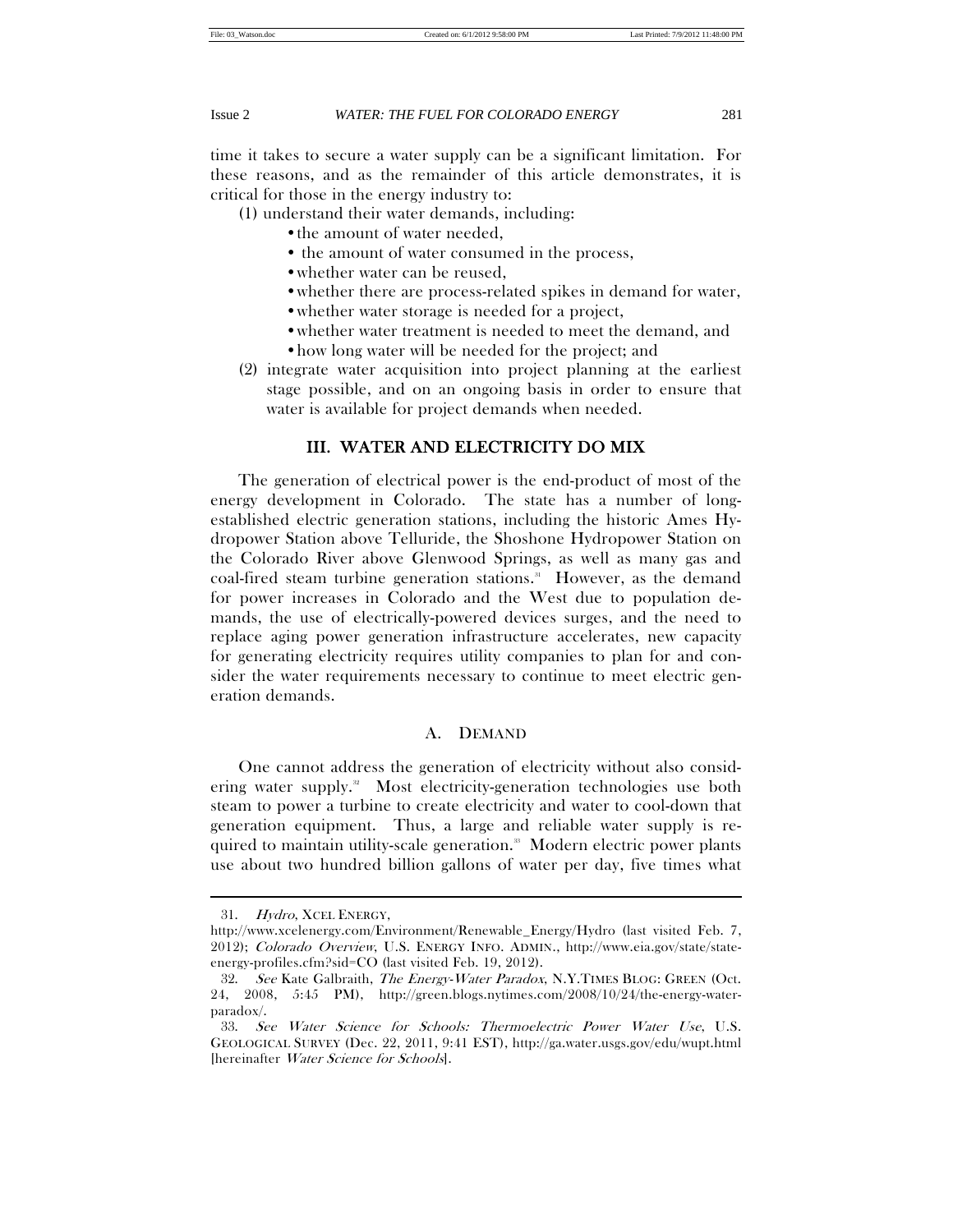time it takes to secure a water supply can be a significant limitation. For these reasons, and as the remainder of this article demonstrates, it is critical for those in the energy industry to:

(1) understand their water demands, including:

- the amount of water needed,
- the amount of water consumed in the process,
- •whether water can be reused,
- •whether there are process-related spikes in demand for water,
- whether water storage is needed for a project,
- •whether water treatment is needed to meet the demand, and
- •how long water will be needed for the project; and
- (2) integrate water acquisition into project planning at the earliest stage possible, and on an ongoing basis in order to ensure that water is available for project demands when needed.

# III. WATER AND ELECTRICITY DO MIX

The generation of electrical power is the end-product of most of the energy development in Colorado. The state has a number of longestablished electric generation stations, including the historic Ames Hydropower Station above Telluride, the Shoshone Hydropower Station on the Colorado River above Glenwood Springs, as well as many gas and coal-fired steam turbine generation stations.<sup>31</sup> However, as the demand for power increases in Colorado and the West due to population demands, the use of electrically-powered devices surges, and the need to replace aging power generation infrastructure accelerates, new capacity for generating electricity requires utility companies to plan for and consider the water requirements necessary to continue to meet electric generation demands.

# A. DEMAND

One cannot address the generation of electricity without also considering water supply.<sup>32</sup> Most electricity-generation technologies use both steam to power a turbine to create electricity and water to cool-down that generation equipment. Thus, a large and reliable water supply is required to maintain utility-scale generation.<sup>38</sup> Modern electric power plants use about two hundred billion gallons of water per day, five times what

 <sup>31.</sup> Hydro, XCEL ENERGY,

http://www.xcelenergy.com/Environment/Renewable\_Energy/Hydro (last visited Feb. 7, 2012); Colorado Overview, U.S. ENERGY INFO. ADMIN., http://www.eia.gov/state/stateenergy-profiles.cfm?sid=CO (last visited Feb. 19, 2012).

 <sup>32.</sup> See Kate Galbraith, The Energy-Water Paradox, N.Y.TIMES BLOG: GREEN (Oct. 24, 2008, 5:45 PM), http://green.blogs.nytimes.com/2008/10/24/the-energy-waterparadox/.

 <sup>33.</sup> See Water Science for Schools: Thermoelectric Power Water Use, U.S. GEOLOGICAL SURVEY (Dec. 22, 2011, 9:41 EST), http://ga.water.usgs.gov/edu/wupt.html [hereinafter Water Science for Schools].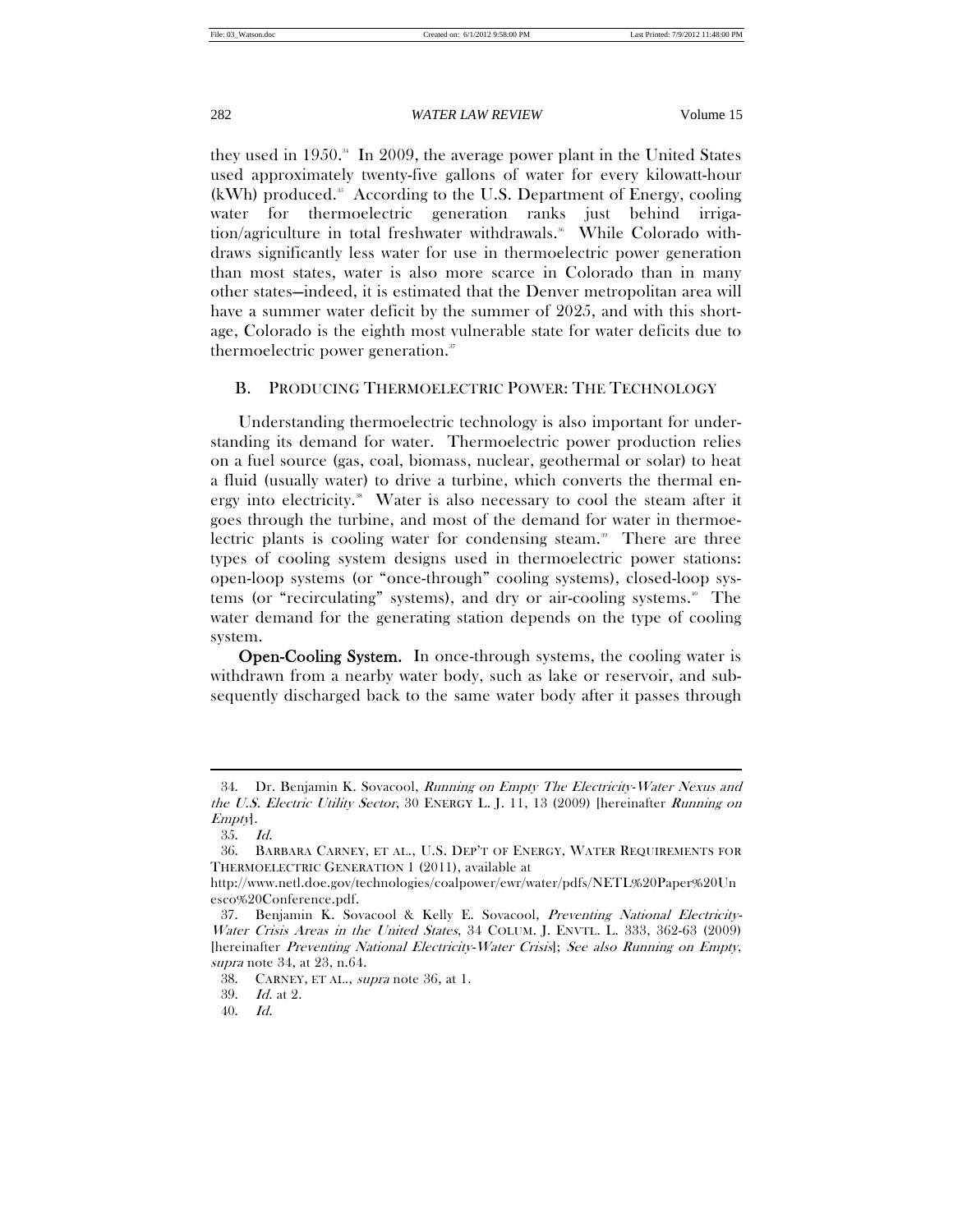they used in 1950.<sup>34</sup> In 2009, the average power plant in the United States used approximately twenty-five gallons of water for every kilowatt-hour  $(kWh)$  produced.<sup>35</sup> According to the U.S. Department of Energy, cooling water for thermoelectric generation ranks just behind irrigation/agriculture in total freshwater withdrawals.<sup>36</sup> While Colorado withdraws significantly less water for use in thermoelectric power generation than most states, water is also more scarce in Colorado than in many other states—indeed, it is estimated that the Denver metropolitan area will have a summer water deficit by the summer of 2025, and with this shortage, Colorado is the eighth most vulnerable state for water deficits due to thermoelectric power generation.<sup>37</sup>

# B. PRODUCING THERMOELECTRIC POWER: THE TECHNOLOGY

Understanding thermoelectric technology is also important for understanding its demand for water. Thermoelectric power production relies on a fuel source (gas, coal, biomass, nuclear, geothermal or solar) to heat a fluid (usually water) to drive a turbine, which converts the thermal energy into electricity.<sup>38</sup> Water is also necessary to cool the steam after it goes through the turbine, and most of the demand for water in thermoelectric plants is cooling water for condensing steam.<sup>39</sup> There are three types of cooling system designs used in thermoelectric power stations: open-loop systems (or "once-through" cooling systems), closed-loop systems (or "recirculating" systems), and dry or air-cooling systems.<sup>40</sup> The water demand for the generating station depends on the type of cooling system.

Open-Cooling System. In once-through systems, the cooling water is withdrawn from a nearby water body, such as lake or reservoir, and subsequently discharged back to the same water body after it passes through

 $\overline{a}$ 

39. Id. at 2.

 <sup>34.</sup> Dr. Benjamin K. Sovacool, Running on Empty The Electricity-Water Nexus and the U.S. Electric Utility Sector, 30 ENERGY L. J. 11, 13 (2009) [hereinafter Running on Empty].

 <sup>35.</sup> Id.

 <sup>36.</sup> BARBARA CARNEY, ET AL., U.S. DEP'T OF ENERGY, WATER REQUIREMENTS FOR THERMOELECTRIC GENERATION 1 (2011), available at

http://www.netl.doe.gov/technologies/coalpower/ewr/water/pdfs/NETL%20Paper%20Un esco%20Conference.pdf.

 <sup>37.</sup> Benjamin K. Sovacool & Kelly E. Sovacool, Preventing National Electricity-Water Crisis Areas in the United States, 34 COLUM. J. ENVTL. L. 333, 362-63 (2009) [hereinafter Preventing National Electricity-Water Crisis]; See also Running on Empty, supra note 34, at 23, n.64.

 <sup>38.</sup> CARNEY, ET AL., supra note 36, at 1.

 <sup>40.</sup> Id.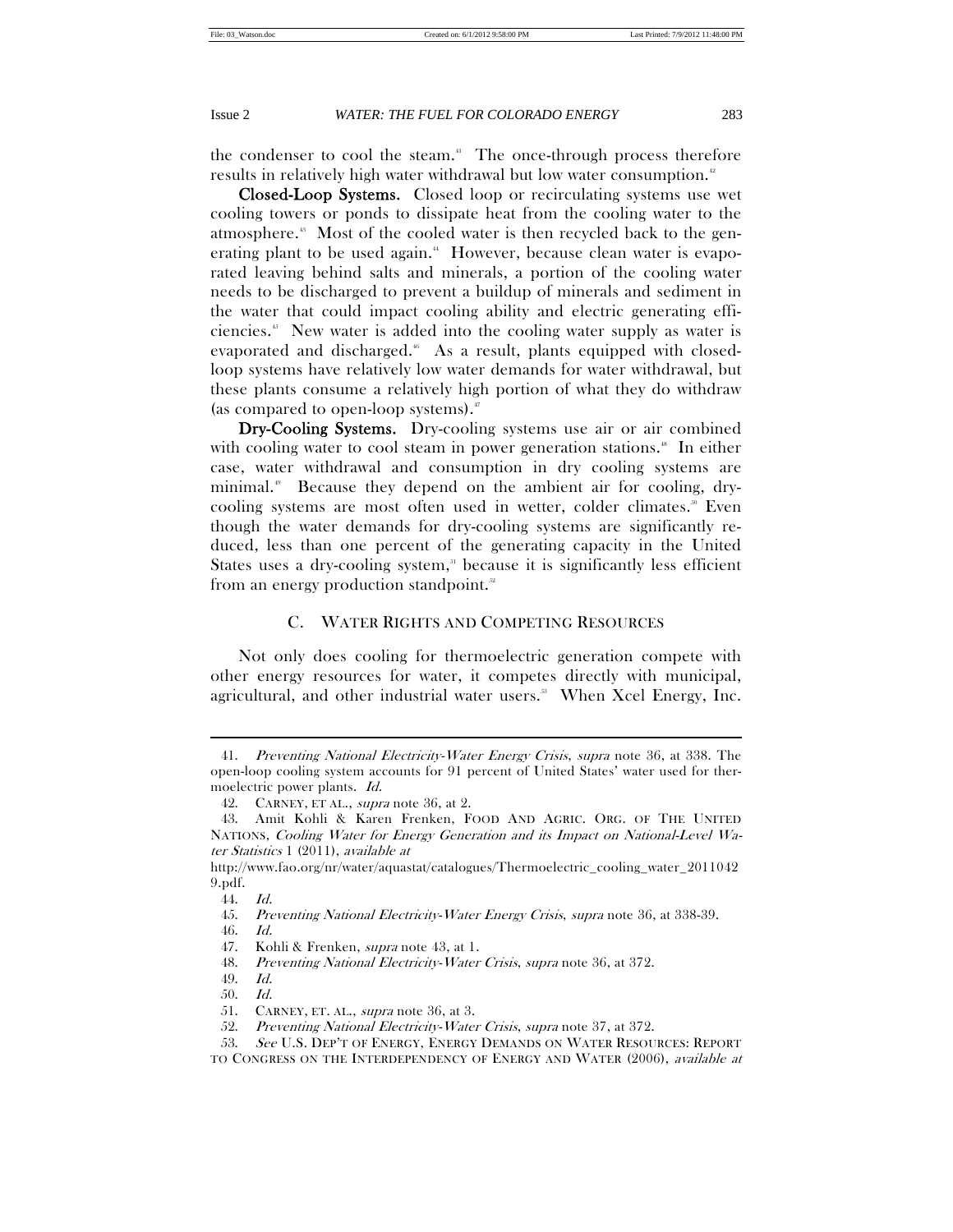the condenser to cool the steam.<sup>41</sup> The once-through process therefore results in relatively high water withdrawal but low water consumption.<sup>42</sup>

Closed-Loop Systems. Closed loop or recirculating systems use wet cooling towers or ponds to dissipate heat from the cooling water to the atmosphere.43 Most of the cooled water is then recycled back to the generating plant to be used again.<sup>44</sup> However, because clean water is evaporated leaving behind salts and minerals, a portion of the cooling water needs to be discharged to prevent a buildup of minerals and sediment in the water that could impact cooling ability and electric generating efficiencies.45 New water is added into the cooling water supply as water is evaporated and discharged.<sup>6</sup> As a result, plants equipped with closedloop systems have relatively low water demands for water withdrawal, but these plants consume a relatively high portion of what they do withdraw (as compared to open-loop systems). $\sqrt[n]{ }$ 

Dry-Cooling Systems. Dry-cooling systems use air or air combined with cooling water to cool steam in power generation stations.<sup>8</sup> In either case, water withdrawal and consumption in dry cooling systems are minimal.<sup>®</sup> Because they depend on the ambient air for cooling, drycooling systems are most often used in wetter, colder climates.<sup>®</sup> Even though the water demands for dry-cooling systems are significantly reduced, less than one percent of the generating capacity in the United States uses a dry-cooling system,<sup>51</sup> because it is significantly less efficient from an energy production standpoint.<sup>52</sup>

# C. WATER RIGHTS AND COMPETING RESOURCES

Not only does cooling for thermoelectric generation compete with other energy resources for water, it competes directly with municipal, agricultural, and other industrial water users.<sup>33</sup> When Xcel Energy, Inc.

*Preventing National Electricity-Water Energy Crisis, supra note 36, at 338. The* open-loop cooling system accounts for 91 percent of United States' water used for thermoelectric power plants. Id.

 <sup>42.</sup> CARNEY, ET AL., supra note 36, at 2.

 <sup>43.</sup> Amit Kohli & Karen Frenken, FOOD AND AGRIC. ORG. OF THE UNITED NATIONS, Cooling Water for Energy Generation and its Impact on National-Level Water Statistics 1 (2011), available at

http://www.fao.org/nr/water/aquastat/catalogues/Thermoelectric\_cooling\_water\_2011042 9.pdf.

 <sup>44.</sup> Id.

 <sup>45.</sup> Preventing National Electricity-Water Energy Crisis, supra note 36, at 338-39.

 <sup>46.</sup> Id.

<sup>47.</sup> Kohli & Frenken, *supra* note 43, at 1.

 <sup>48.</sup> Preventing National Electricity-Water Crisis, supra note 36, at 372.

 <sup>49.</sup> Id.

 <sup>50.</sup> Id.

 <sup>51.</sup> CARNEY, ET. AL., supra note 36, at 3.

 <sup>52.</sup> Preventing National Electricity-Water Crisis, supra note 37, at 372.

<sup>53.</sup> See U.S. DEP'T OF ENERGY, ENERGY DEMANDS ON WATER RESOURCES: REPORT TO CONGRESS ON THE INTERDEPENDENCY OF ENERGY AND WATER (2006), available at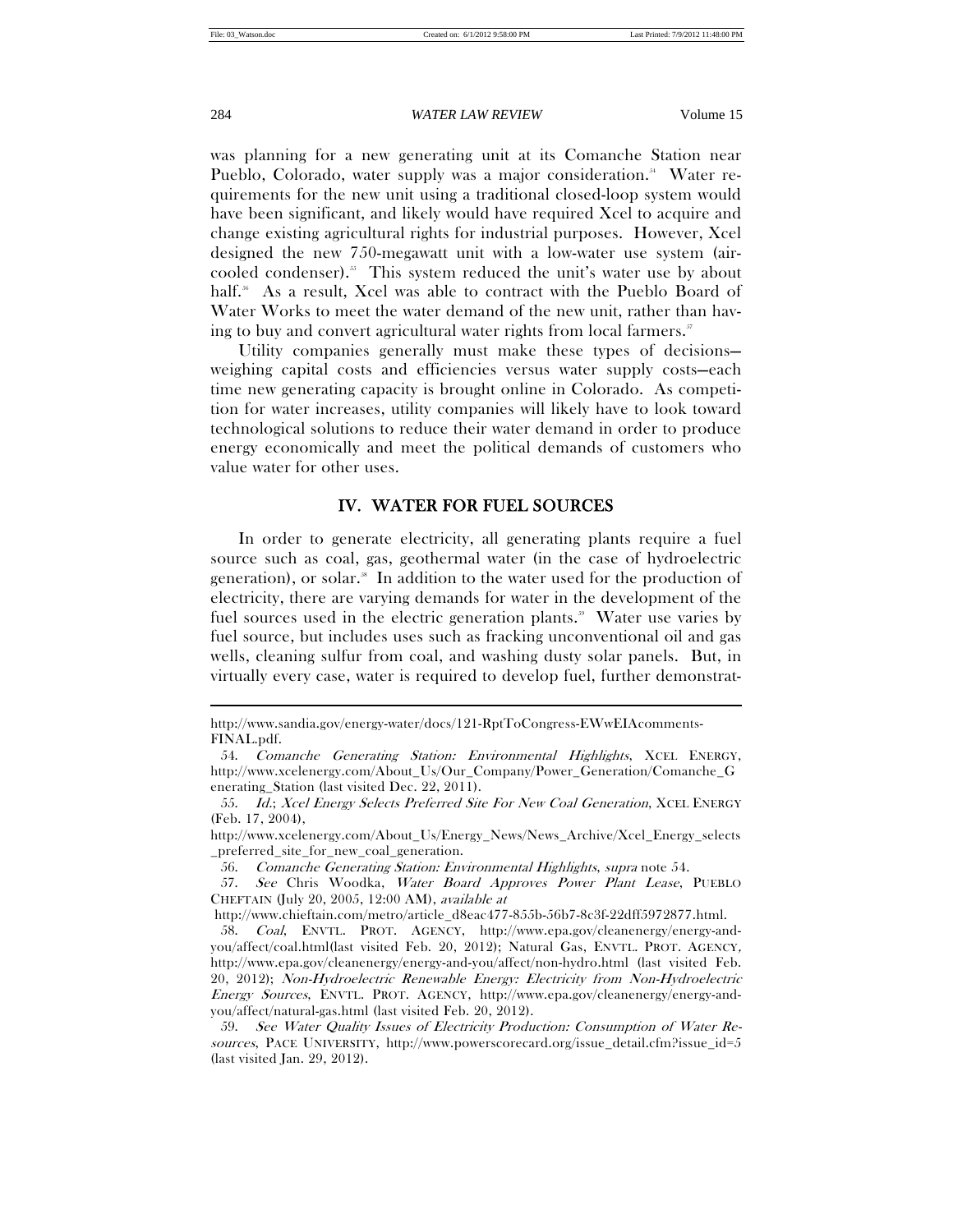was planning for a new generating unit at its Comanche Station near Pueblo, Colorado, water supply was a major consideration.<sup>54</sup> Water requirements for the new unit using a traditional closed-loop system would have been significant, and likely would have required Xcel to acquire and change existing agricultural rights for industrial purposes. However, Xcel designed the new 750-megawatt unit with a low-water use system (aircooled condenser).<sup>55</sup> This system reduced the unit's water use by about half.<sup>56</sup> As a result, Xcel was able to contract with the Pueblo Board of Water Works to meet the water demand of the new unit, rather than having to buy and convert agricultural water rights from local farmers. $^{\circ}$ 

Utility companies generally must make these types of decisions weighing capital costs and efficiencies versus water supply costs—each time new generating capacity is brought online in Colorado. As competition for water increases, utility companies will likely have to look toward technological solutions to reduce their water demand in order to produce energy economically and meet the political demands of customers who value water for other uses.

# IV. WATER FOR FUEL SOURCES

In order to generate electricity, all generating plants require a fuel source such as coal, gas, geothermal water (in the case of hydroelectric generation), or solar.<sup>38</sup> In addition to the water used for the production of electricity, there are varying demands for water in the development of the fuel sources used in the electric generation plants.<sup>39</sup> Water use varies by fuel source, but includes uses such as fracking unconventional oil and gas wells, cleaning sulfur from coal, and washing dusty solar panels. But, in virtually every case, water is required to develop fuel, further demonstrat-

http://www.sandia.gov/energy-water/docs/121-RptToCongress-EWwEIAcomments-FINAL.pdf.

 <sup>54.</sup> Comanche Generating Station: Environmental Highlights, XCEL ENERGY, http://www.xcelenergy.com/About\_Us/Our\_Company/Power\_Generation/Comanche\_G enerating\_Station (last visited Dec. 22, 2011).

 <sup>55.</sup> Id.; Xcel Energy Selects Preferred Site For New Coal Generation, XCEL ENERGY (Feb. 17, 2004),

http://www.xcelenergy.com/About\_Us/Energy\_News/News\_Archive/Xcel\_Energy\_selects \_preferred\_site\_for\_new\_coal\_generation.

 <sup>56.</sup> Comanche Generating Station: Environmental Highlights, supra note 54.

 <sup>57.</sup> See Chris Woodka, Water Board Approves Power Plant Lease, PUEBLO CHEFTAIN (July 20, 2005, 12:00 AM), available at

http://www.chieftain.com/metro/article\_d8eac477-855b-56b7-8c3f-22dff5972877.html.

 <sup>58.</sup> Coal, ENVTL. PROT. AGENCY, http://www.epa.gov/cleanenergy/energy-andyou/affect/coal.html(last visited Feb. 20, 2012); Natural Gas, ENVTL. PROT. AGENCY, http://www.epa.gov/cleanenergy/energy-and-you/affect/non-hydro.html (last visited Feb. 20, 2012); Non-Hydroelectric Renewable Energy: Electricity from Non-Hydroelectric Energy Sources, ENVTL. PROT. AGENCY, http://www.epa.gov/cleanenergy/energy-andyou/affect/natural-gas.html (last visited Feb. 20, 2012).

 <sup>59.</sup> See Water Quality Issues of Electricity Production: Consumption of Water Resources, PACE UNIVERSITY, http://www.powerscorecard.org/issue\_detail.cfm?issue\_id=5 (last visited Jan. 29, 2012).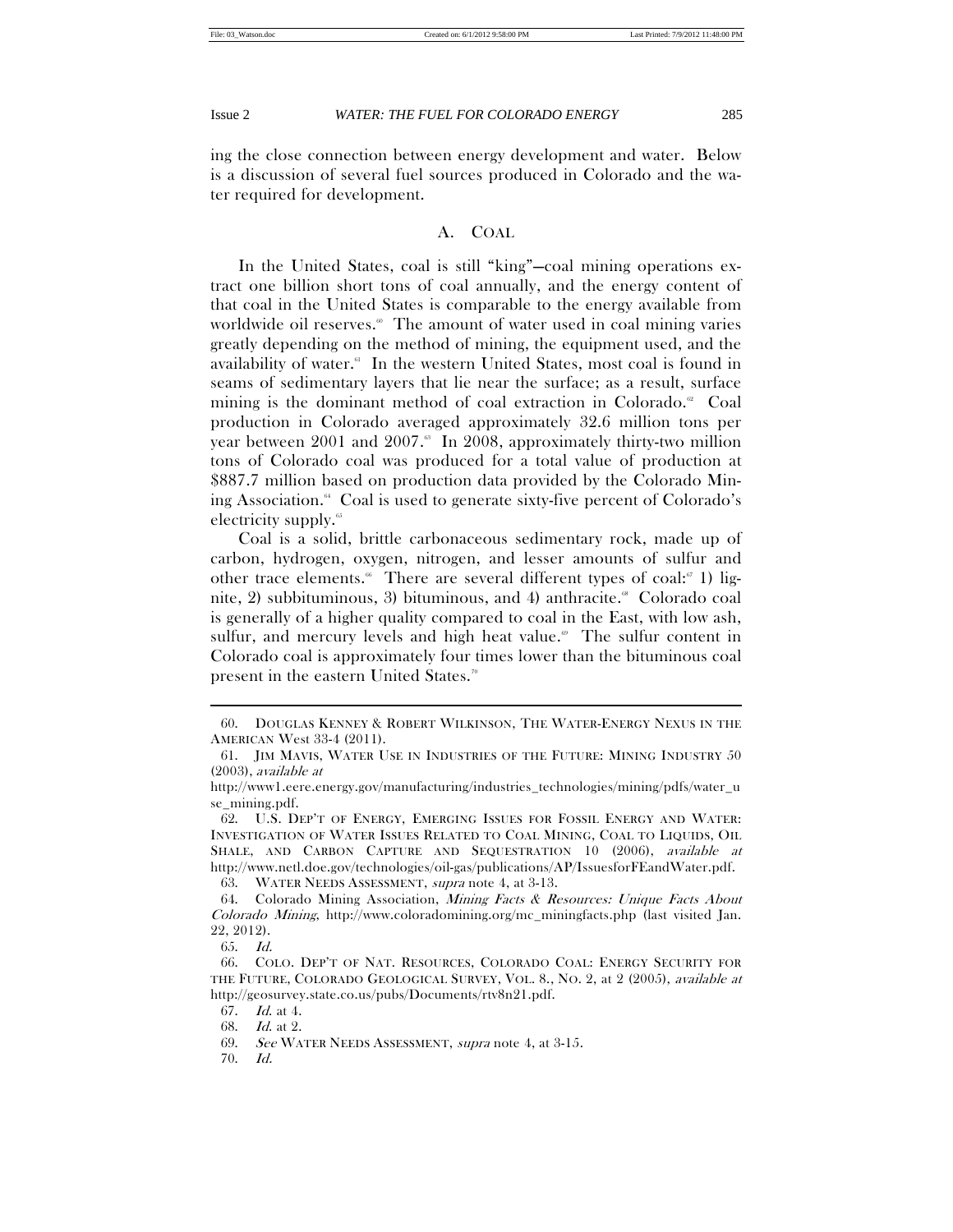ing the close connection between energy development and water. Below is a discussion of several fuel sources produced in Colorado and the water required for development.

# A. COAL

In the United States, coal is still "king"—coal mining operations extract one billion short tons of coal annually, and the energy content of that coal in the United States is comparable to the energy available from worldwide oil reserves.<sup>®</sup> The amount of water used in coal mining varies greatly depending on the method of mining, the equipment used, and the availability of water.<sup>61</sup> In the western United States, most coal is found in seams of sedimentary layers that lie near the surface; as a result, surface mining is the dominant method of coal extraction in Colorado.<sup>62</sup> Coal production in Colorado averaged approximately 32.6 million tons per year between 2001 and 2007.<sup>8</sup> In 2008, approximately thirty-two million tons of Colorado coal was produced for a total value of production at \$887.7 million based on production data provided by the Colorado Mining Association.<sup>4</sup> Coal is used to generate sixty-five percent of Colorado's electricity supply. $\mathfrak{S}^{\circ}$ 

Coal is a solid, brittle carbonaceous sedimentary rock, made up of carbon, hydrogen, oxygen, nitrogen, and lesser amounts of sulfur and other trace elements.<sup>66</sup> There are several different types of coal:<sup>67</sup> 1) lignite, 2) subbituminous, 3) bituminous, and 4) anthracite.<sup>88</sup> Colorado coal is generally of a higher quality compared to coal in the East, with low ash, sulfur, and mercury levels and high heat value.<sup> $\circ$ </sup> The sulfur content in Colorado coal is approximately four times lower than the bituminous coal present in the eastern United States.<sup>70</sup>

63. WATER NEEDS ASSESSMENT, supra note 4, at 3-13.

 <sup>60.</sup> DOUGLAS KENNEY & ROBERT WILKINSON, THE WATER-ENERGY NEXUS IN THE AMERICAN West 33-4 (2011).

 <sup>61.</sup> JIM MAVIS, WATER USE IN INDUSTRIES OF THE FUTURE: MINING INDUSTRY 50 (2003), available at

http://www1.eere.energy.gov/manufacturing/industries\_technologies/mining/pdfs/water\_u se\_mining.pdf.

 <sup>62.</sup> U.S. DEP'T OF ENERGY, EMERGING ISSUES FOR FOSSIL ENERGY AND WATER: INVESTIGATION OF WATER ISSUES RELATED TO COAL MINING, COAL TO LIQUIDS, OIL SHALE, AND CARBON CAPTURE AND SEQUESTRATION 10 (2006), available at http://www.netl.doe.gov/technologies/oil-gas/publications/AP/IssuesforFEandWater.pdf.

 <sup>64.</sup> Colorado Mining Association, Mining Facts & Resources: Unique Facts About Colorado Mining, http://www.coloradomining.org/mc\_miningfacts.php (last visited Jan. 22, 2012).

 <sup>65.</sup> Id.

 <sup>66.</sup> COLO. DEP'T OF NAT. RESOURCES, COLORADO COAL: ENERGY SECURITY FOR THE FUTURE, COLORADO GEOLOGICAL SURVEY, VOL. 8., NO. 2, at 2 (2005), available at http://geosurvey.state.co.us/pubs/Documents/rtv8n21.pdf.

 <sup>67.</sup> Id. at 4.

 <sup>68.</sup> Id. at 2.

<sup>69.</sup> See WATER NEEDS ASSESSMENT, supra note 4, at 3-15.

 <sup>70.</sup> Id.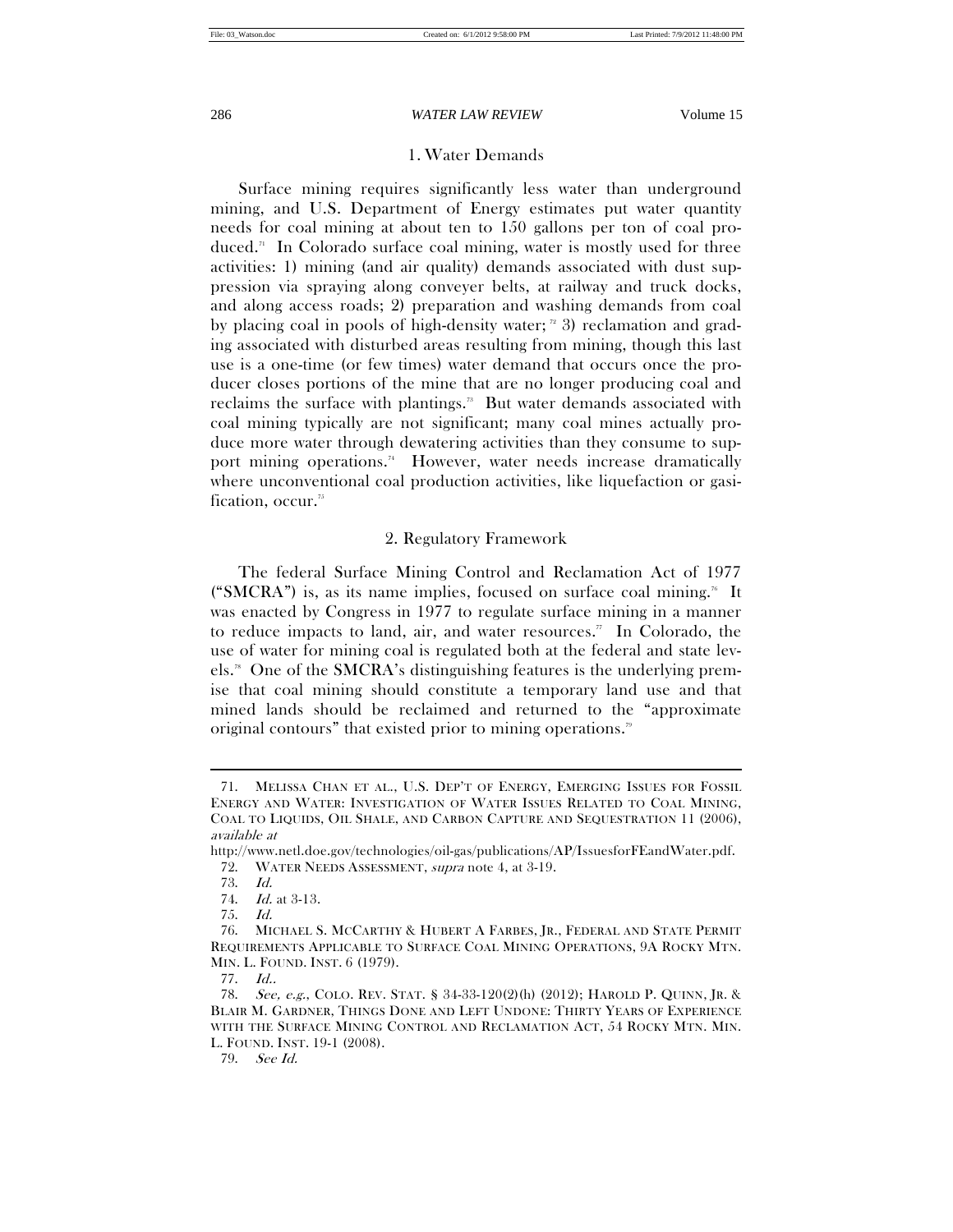# 1. Water Demands

Surface mining requires significantly less water than underground mining, and U.S. Department of Energy estimates put water quantity needs for coal mining at about ten to 150 gallons per ton of coal produced.<sup>7</sup> In Colorado surface coal mining, water is mostly used for three activities: 1) mining (and air quality) demands associated with dust suppression via spraying along conveyer belts, at railway and truck docks, and along access roads; 2) preparation and washing demands from coal by placing coal in pools of high-density water;  $\alpha$  3) reclamation and grading associated with disturbed areas resulting from mining, though this last use is a one-time (or few times) water demand that occurs once the producer closes portions of the mine that are no longer producing coal and reclaims the surface with plantings.<sup>33</sup> But water demands associated with coal mining typically are not significant; many coal mines actually produce more water through dewatering activities than they consume to support mining operations.<sup>74</sup> However, water needs increase dramatically where unconventional coal production activities, like liquefaction or gasification, occur.75

# 2. Regulatory Framework

The federal Surface Mining Control and Reclamation Act of 1977 ("SMCRA") is, as its name implies, focused on surface coal mining.<sup>76</sup> It was enacted by Congress in 1977 to regulate surface mining in a manner to reduce impacts to land, air, and water resources." In Colorado, the use of water for mining coal is regulated both at the federal and state levels.78 One of the SMCRA's distinguishing features is the underlying premise that coal mining should constitute a temporary land use and that mined lands should be reclaimed and returned to the "approximate original contours" that existed prior to mining operations.<sup>79</sup>

 $\overline{a}$ 

79. See Id.

 <sup>71.</sup> MELISSA CHAN ET AL., U.S. DEP'T OF ENERGY, EMERGING ISSUES FOR FOSSIL ENERGY AND WATER: INVESTIGATION OF WATER ISSUES RELATED TO COAL MINING, COAL TO LIQUIDS, OIL SHALE, AND CARBON CAPTURE AND SEQUESTRATION 11 (2006), available at

http://www.netl.doe.gov/technologies/oil-gas/publications/AP/IssuesforFEandWater.pdf. 72. WATER NEEDS ASSESSMENT, supra note 4, at 3-19.

 <sup>73.</sup> Id.

 <sup>74.</sup> Id. at 3-13.

 <sup>75.</sup> Id.

 <sup>76.</sup> MICHAEL S. MCCARTHY & HUBERT A FARBES, JR., FEDERAL AND STATE PERMIT REQUIREMENTS APPLICABLE TO SURFACE COAL MINING OPERATIONS, 9A ROCKY MTN. MIN. L. FOUND. INST. 6 (1979).

 <sup>77.</sup> Id..

 <sup>78.</sup> See, e.g., COLO. REV. STAT. § 34-33-120(2)(h) (2012); HAROLD P. QUINN, JR. & BLAIR M. GARDNER, THINGS DONE AND LEFT UNDONE: THIRTY YEARS OF EXPERIENCE WITH THE SURFACE MINING CONTROL AND RECLAMATION ACT, 54 ROCKY MTN. MIN. L. FOUND. INST. 19-1 (2008).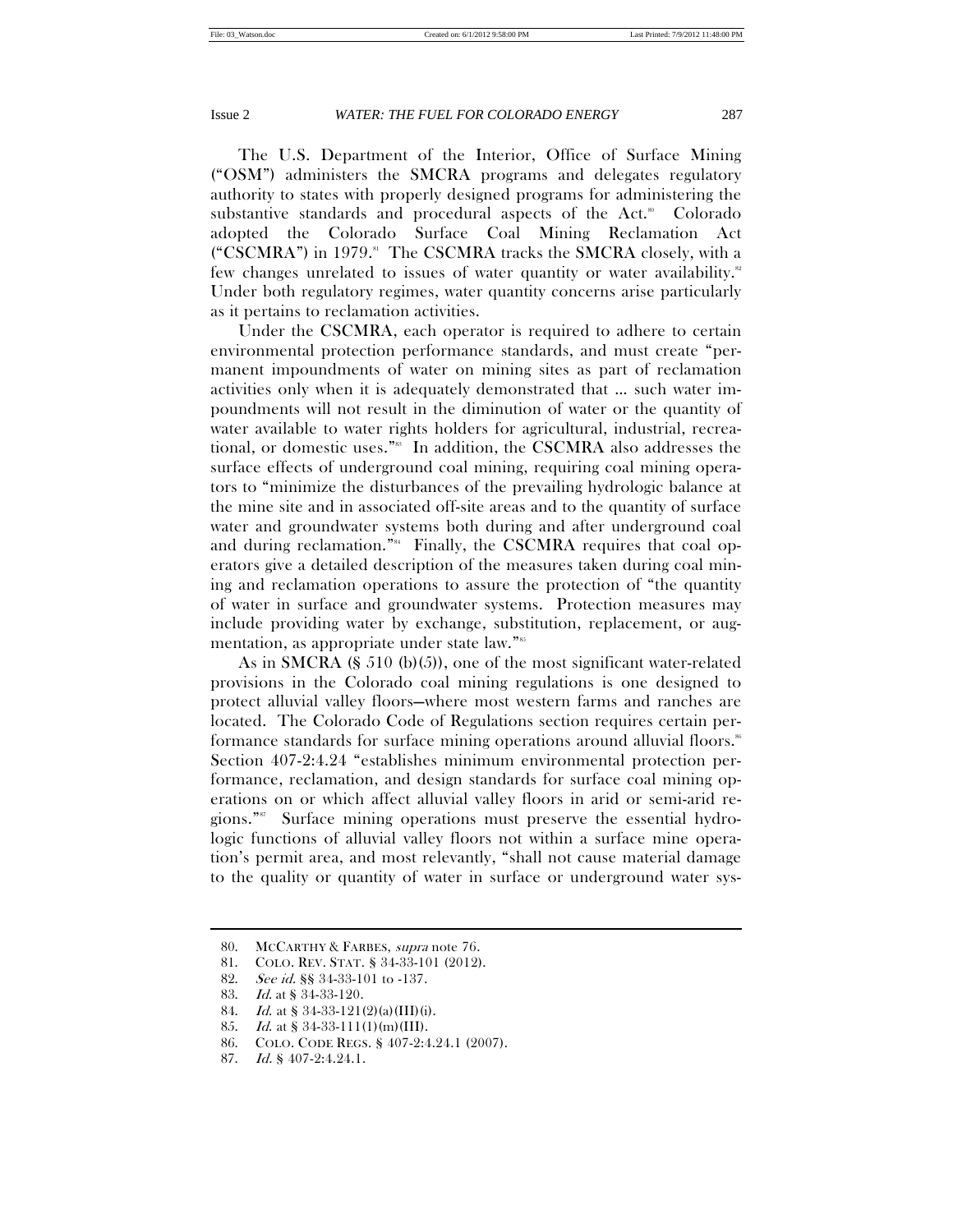The U.S. Department of the Interior, Office of Surface Mining ("OSM") administers the SMCRA programs and delegates regulatory authority to states with properly designed programs for administering the substantive standards and procedural aspects of the Act.<sup>80</sup> Colorado adopted the Colorado Surface Coal Mining Reclamation Act ("CSCMRA") in 1979.<sup>81</sup> The CSCMRA tracks the SMCRA closely, with a few changes unrelated to issues of water quantity or water availability.82 Under both regulatory regimes, water quantity concerns arise particularly as it pertains to reclamation activities.

Under the CSCMRA, each operator is required to adhere to certain environmental protection performance standards, and must create "permanent impoundments of water on mining sites as part of reclamation activities only when it is adequately demonstrated that … such water impoundments will not result in the diminution of water or the quantity of water available to water rights holders for agricultural, industrial, recreational, or domestic uses."83 In addition, the CSCMRA also addresses the surface effects of underground coal mining, requiring coal mining operators to "minimize the disturbances of the prevailing hydrologic balance at the mine site and in associated off-site areas and to the quantity of surface water and groundwater systems both during and after underground coal and during reclamation."<sup>84</sup> Finally, the CSCMRA requires that coal operators give a detailed description of the measures taken during coal mining and reclamation operations to assure the protection of "the quantity of water in surface and groundwater systems. Protection measures may include providing water by exchange, substitution, replacement, or augmentation, as appropriate under state law."<sup>85</sup>

As in SMCRA (§ 510 (b)(5)), one of the most significant water-related provisions in the Colorado coal mining regulations is one designed to protect alluvial valley floors—where most western farms and ranches are located. The Colorado Code of Regulations section requires certain performance standards for surface mining operations around alluvial floors.® Section 407-2:4.24 "establishes minimum environmental protection performance, reclamation, and design standards for surface coal mining operations on or which affect alluvial valley floors in arid or semi-arid regions."87 Surface mining operations must preserve the essential hydrologic functions of alluvial valley floors not within a surface mine operation's permit area, and most relevantly, "shall not cause material damage to the quality or quantity of water in surface or underground water sys-

 <sup>80.</sup> MCCARTHY & FARBES, supra note 76.

 <sup>81.</sup> COLO. REV. STAT. § 34-33-101 (2012).

 <sup>82.</sup> See id. §§ 34-33-101 to -137.

 <sup>83.</sup> Id. at § 34-33-120.

<sup>84.</sup> Id. at  $$34-33-121(2)(a)(III)(i)$ .

 <sup>85.</sup> Id. at § 34-33-111(1)(m)(III).

 <sup>86.</sup> COLO. CODE REGS. § 407-2:4.24.1 (2007).

 <sup>87.</sup> Id. § 407-2:4.24.1.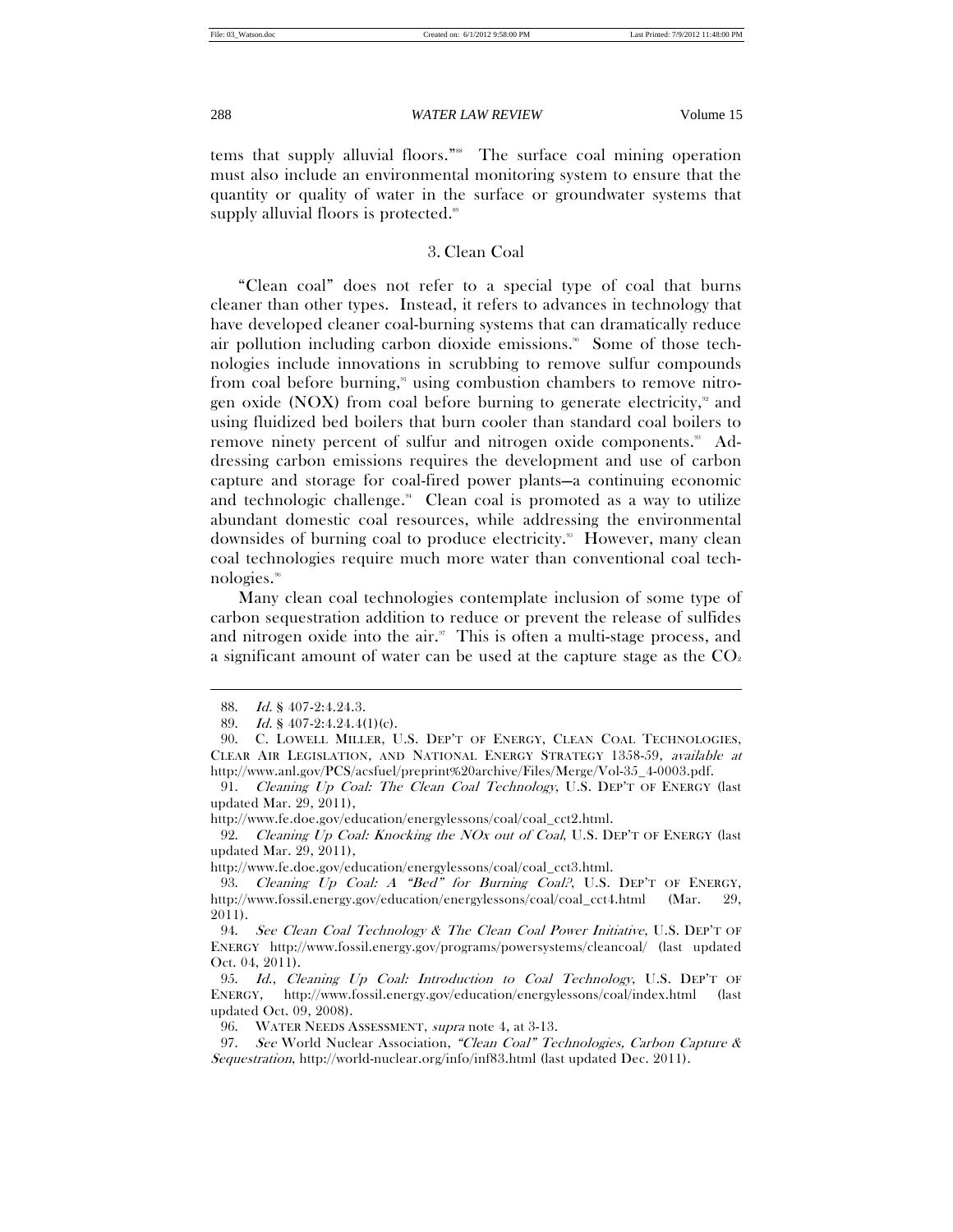tems that supply alluvial floors."<sup>88</sup> The surface coal mining operation must also include an environmental monitoring system to ensure that the quantity or quality of water in the surface or groundwater systems that supply alluvial floors is protected.<sup>89</sup>

# 3. Clean Coal

"Clean coal" does not refer to a special type of coal that burns cleaner than other types. Instead, it refers to advances in technology that have developed cleaner coal-burning systems that can dramatically reduce air pollution including carbon dioxide emissions.<sup>90</sup> Some of those technologies include innovations in scrubbing to remove sulfur compounds from coal before burning, $\alpha$ <sup>1</sup> using combustion chambers to remove nitrogen oxide (NOX) from coal before burning to generate electricity, $\alpha$  and using fluidized bed boilers that burn cooler than standard coal boilers to remove ninety percent of sulfur and nitrogen oxide components.<sup>38</sup> Addressing carbon emissions requires the development and use of carbon capture and storage for coal-fired power plants—a continuing economic and technologic challenge. $4$  Clean coal is promoted as a way to utilize abundant domestic coal resources, while addressing the environmental downsides of burning coal to produce electricity.<sup>85</sup> However, many clean coal technologies require much more water than conventional coal technologies.96

Many clean coal technologies contemplate inclusion of some type of carbon sequestration addition to reduce or prevent the release of sulfides and nitrogen oxide into the air. $\sqrt[n]{\ }$  This is often a multi-stage process, and a significant amount of water can be used at the capture stage as the  $CO<sub>2</sub>$ 

 $\overline{a}$ 

http://www.fe.doe.gov/education/energylessons/coal/coal\_cct2.html.

92. Cleaning Up Coal: Knocking the NOx out of Coal, U.S. DEP'T OF ENERGY (last updated Mar. 29, 2011),

 <sup>88.</sup> Id. § 407-2:4.24.3.

<sup>89.</sup> Id. § 407-2:4.24.4(1)(c).

 <sup>90.</sup> C. LOWELL MILLER, U.S. DEP'T OF ENERGY, CLEAN COAL TECHNOLOGIES, CLEAR AIR LEGISLATION, AND NATIONAL ENERGY STRATEGY 1358-59, available at http://www.anl.gov/PCS/acsfuel/preprint%20archive/Files/Merge/Vol-35\_4-0003.pdf.

 <sup>91.</sup> Cleaning Up Coal: The Clean Coal Technology, U.S. DEP'T OF ENERGY (last updated Mar. 29, 2011),

http://www.fe.doe.gov/education/energylessons/coal/coal\_cct3.html.

 <sup>93.</sup> Cleaning Up Coal: A "Bed" for Burning Coal?, U.S. DEP'T OF ENERGY, http://www.fossil.energy.gov/education/energylessons/coal/coal\_cct4.html (Mar. 29, 2011).

 <sup>94.</sup> See Clean Coal Technology & The Clean Coal Power Initiative, U.S. DEP'T OF ENERGY http://www.fossil.energy.gov/programs/powersystems/cleancoal/ (last updated Oct. 04, 2011).

 <sup>95.</sup> Id., Cleaning Up Coal: Introduction to Coal Technology, U.S. DEP'T OF ENERGY, http://www.fossil.energy.gov/education/energylessons/coal/index.html (last updated Oct. 09, 2008).

 <sup>96.</sup> WATER NEEDS ASSESSMENT, supra note 4, at 3-13.

<sup>97.</sup> See World Nuclear Association, "Clean Coal" Technologies, Carbon Capture & Sequestration, http://world-nuclear.org/info/inf83.html (last updated Dec. 2011).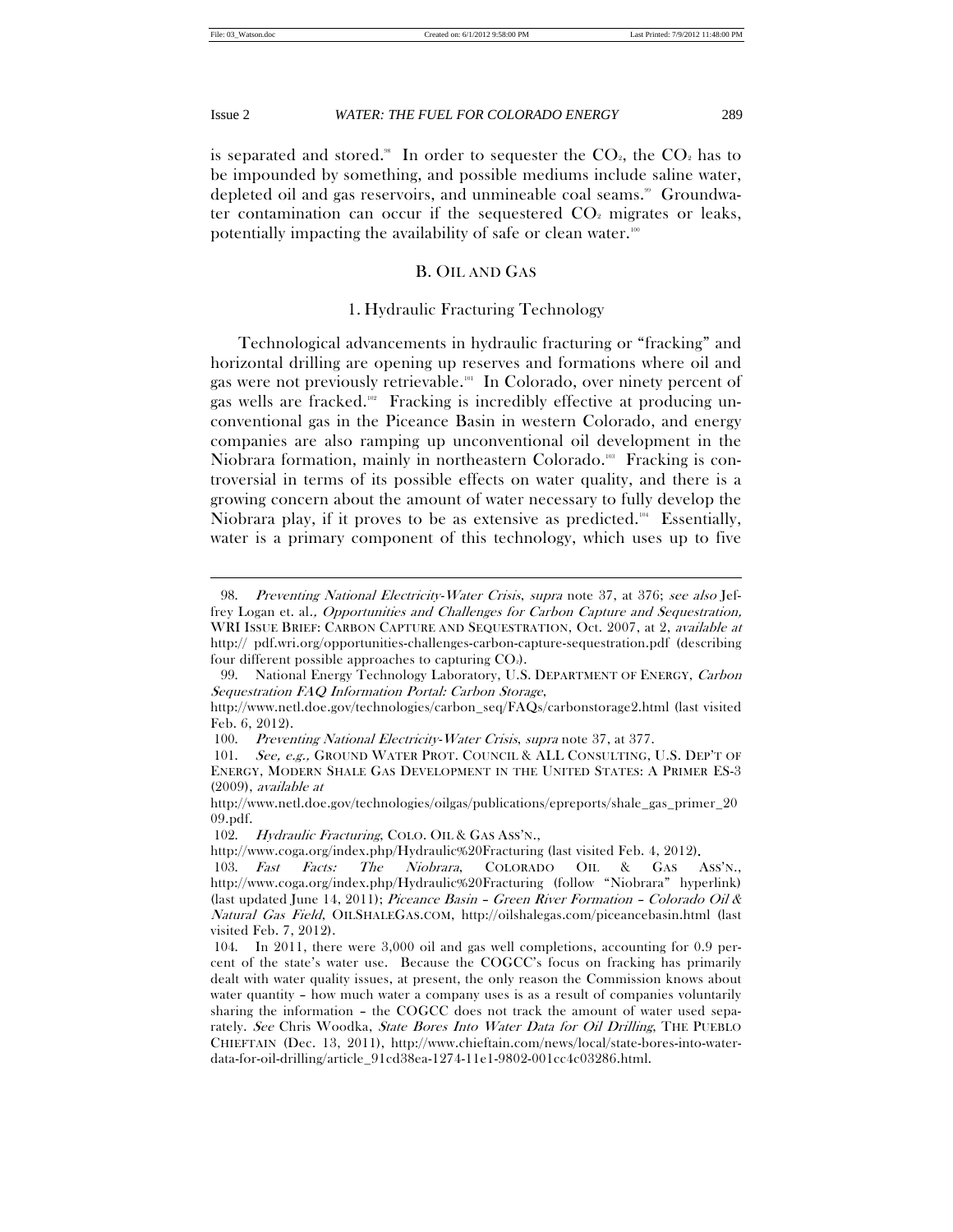$\overline{a}$ 

Issue 2 *WATER: THE FUEL FOR COLORADO ENERGY* 289

is separated and stored.<sup>88</sup> In order to sequester the  $CO<sub>2</sub>$ , the  $CO<sub>2</sub>$  has to be impounded by something, and possible mediums include saline water, depleted oil and gas reservoirs, and unmineable coal seams.<sup>99</sup> Groundwater contamination can occur if the sequestered  $CO<sub>2</sub>$  migrates or leaks, potentially impacting the availability of safe or clean water.<sup>100</sup>

# B. OIL AND GAS

# 1. Hydraulic Fracturing Technology

Technological advancements in hydraulic fracturing or "fracking" and horizontal drilling are opening up reserves and formations where oil and gas were not previously retrievable.101 In Colorado, over ninety percent of gas wells are fracked.<sup>102</sup> Fracking is incredibly effective at producing unconventional gas in the Piceance Basin in western Colorado, and energy companies are also ramping up unconventional oil development in the Niobrara formation, mainly in northeastern Colorado.<sup>108</sup> Fracking is controversial in terms of its possible effects on water quality, and there is a growing concern about the amount of water necessary to fully develop the Niobrara play, if it proves to be as extensive as predicted.<sup>104</sup> Essentially, water is a primary component of this technology, which uses up to five

<sup>98.</sup> Preventing National Electricity-Water Crisis, supra note 37, at 376; see also Jeffrey Logan et. al., Opportunities and Challenges for Carbon Capture and Sequestration, WRI ISSUE BRIEF: CARBON CAPTURE AND SEQUESTRATION, Oct. 2007, at 2, *available at* http:// pdf.wri.org/opportunities-challenges-carbon-capture-sequestration.pdf (describing four different possible approaches to capturing  $CO<sub>2</sub>$ ).

<sup>99.</sup> National Energy Technology Laboratory, U.S. DEPARTMENT OF ENERGY, Carbon Sequestration FAQ Information Portal: Carbon Storage,

http://www.netl.doe.gov/technologies/carbon\_seq/FAQs/carbonstorage2.html (last visited Feb. 6, 2012).

 <sup>100.</sup> Preventing National Electricity-Water Crisis, supra note 37, at 377.

<sup>101.</sup> See, e.g., GROUND WATER PROT. COUNCIL & ALL CONSULTING, U.S. DEP'T OF ENERGY, MODERN SHALE GAS DEVELOPMENT IN THE UNITED STATES: A PRIMER ES-3 (2009), available at

http://www.netl.doe.gov/technologies/oilgas/publications/epreports/shale\_gas\_primer\_20 09.pdf.

<sup>102.</sup> Hydraulic Fracturing, COLO. OIL & GAS ASS'N.,

http://www.coga.org/index.php/Hydraulic%20Fracturing (last visited Feb. 4, 2012).

 <sup>103.</sup> Fast Facts: The Niobrara, COLORADO OIL & GAS ASS'N., http://www.coga.org/index.php/Hydraulic%20Fracturing (follow "Niobrara" hyperlink) (last updated June 14, 2011); Piceance Basin – Green River Formation – Colorado Oil & Natural Gas Field, OILSHALEGAS.COM, http://oilshalegas.com/piceancebasin.html (last visited Feb. 7, 2012).

 <sup>104.</sup> In 2011, there were 3,000 oil and gas well completions, accounting for 0.9 percent of the state's water use. Because the COGCC's focus on fracking has primarily dealt with water quality issues, at present, the only reason the Commission knows about water quantity – how much water a company uses is as a result of companies voluntarily sharing the information – the COGCC does not track the amount of water used separately. See Chris Woodka, State Bores Into Water Data for Oil Drilling, THE PUEBLO CHIEFTAIN (Dec. 13, 2011), http://www.chieftain.com/news/local/state-bores-into-waterdata-for-oil-drilling/article\_91cd38ea-1274-11e1-9802-001cc4c03286.html.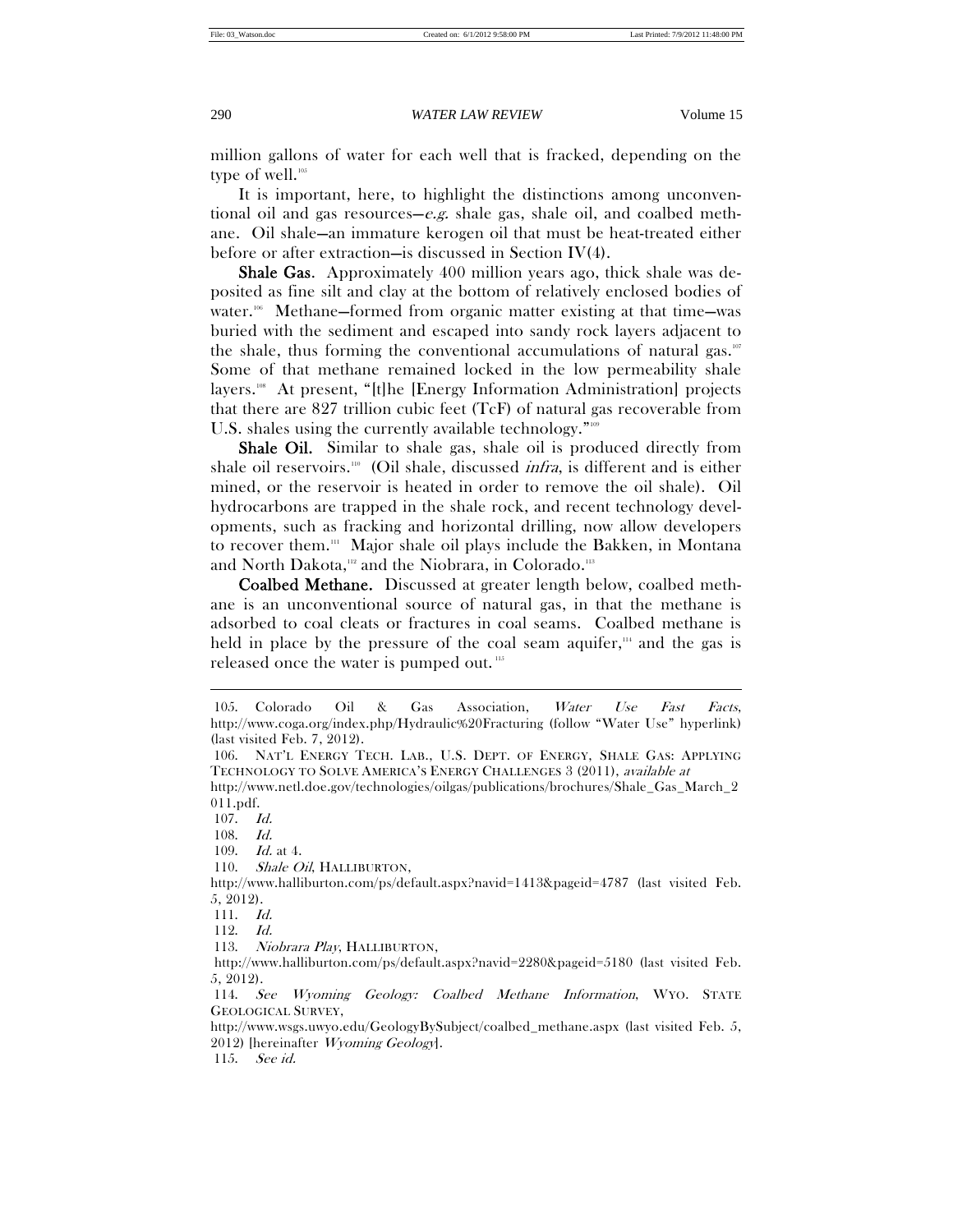million gallons of water for each well that is fracked, depending on the type of well.<sup>105</sup>

It is important, here, to highlight the distinctions among unconventional oil and gas resources—e.g. shale gas, shale oil, and coalbed methane. Oil shale—an immature kerogen oil that must be heat-treated either before or after extraction—is discussed in Section IV(4).

Shale Gas. Approximately 400 million years ago, thick shale was deposited as fine silt and clay at the bottom of relatively enclosed bodies of water.<sup>106</sup> Methane—formed from organic matter existing at that time—was buried with the sediment and escaped into sandy rock layers adjacent to the shale, thus forming the conventional accumulations of natural gas.<sup>107</sup> Some of that methane remained locked in the low permeability shale layers.<sup>108</sup> At present, "[t]he [Energy Information Administration] projects that there are 827 trillion cubic feet (TcF) of natural gas recoverable from U.S. shales using the currently available technology."<sup>109</sup>

Shale Oil. Similar to shale gas, shale oil is produced directly from shale oil reservoirs.<sup>110</sup> (Oil shale, discussed *infra*, is different and is either mined, or the reservoir is heated in order to remove the oil shale). Oil hydrocarbons are trapped in the shale rock, and recent technology developments, such as fracking and horizontal drilling, now allow developers to recover them.<sup>111</sup> Major shale oil plays include the Bakken, in Montana and North Dakota,<sup>112</sup> and the Niobrara, in Colorado.<sup>113</sup>

Coalbed Methane. Discussed at greater length below, coalbed methane is an unconventional source of natural gas, in that the methane is adsorbed to coal cleats or fractures in coal seams. Coalbed methane is held in place by the pressure of the coal seam aquifer, $\mu$  and the gas is released once the water is pumped out. <sup>115</sup>

 $\overline{a}$ 

109. Id. at 4.

 <sup>105.</sup> Colorado Oil & Gas Association, Water Use Fast Facts, http://www.coga.org/index.php/Hydraulic%20Fracturing (follow "Water Use" hyperlink) (last visited Feb. 7, 2012).

 <sup>106.</sup> NAT'L ENERGY TECH. LAB., U.S. DEPT. OF ENERGY, SHALE GAS: APPLYING TECHNOLOGY TO SOLVE AMERICA'S ENERGY CHALLENGES 3 (2011), available at

http://www.netl.doe.gov/technologies/oilgas/publications/brochures/Shale\_Gas\_March\_2 011.pdf.

 <sup>107.</sup> Id.

 <sup>108.</sup> Id.

<sup>110.</sup> Shale Oil, HALLIBURTON,

http://www.halliburton.com/ps/default.aspx?navid=1413&pageid=4787 (last visited Feb. 5, 2012).

 <sup>111.</sup> Id.

 <sup>112.</sup> Id.

<sup>113.</sup> Niobrara Play, HALLIBURTON,

http://www.halliburton.com/ps/default.aspx?navid=2280&pageid=5180 (last visited Feb. 5, 2012).

 <sup>114.</sup> See Wyoming Geology: Coalbed Methane Information, WYO. STATE GEOLOGICAL SURVEY,

http://www.wsgs.uwyo.edu/GeologyBySubject/coalbed\_methane.aspx (last visited Feb. 5, 2012) [hereinafter Wyoming Geology].

 <sup>115.</sup> See id.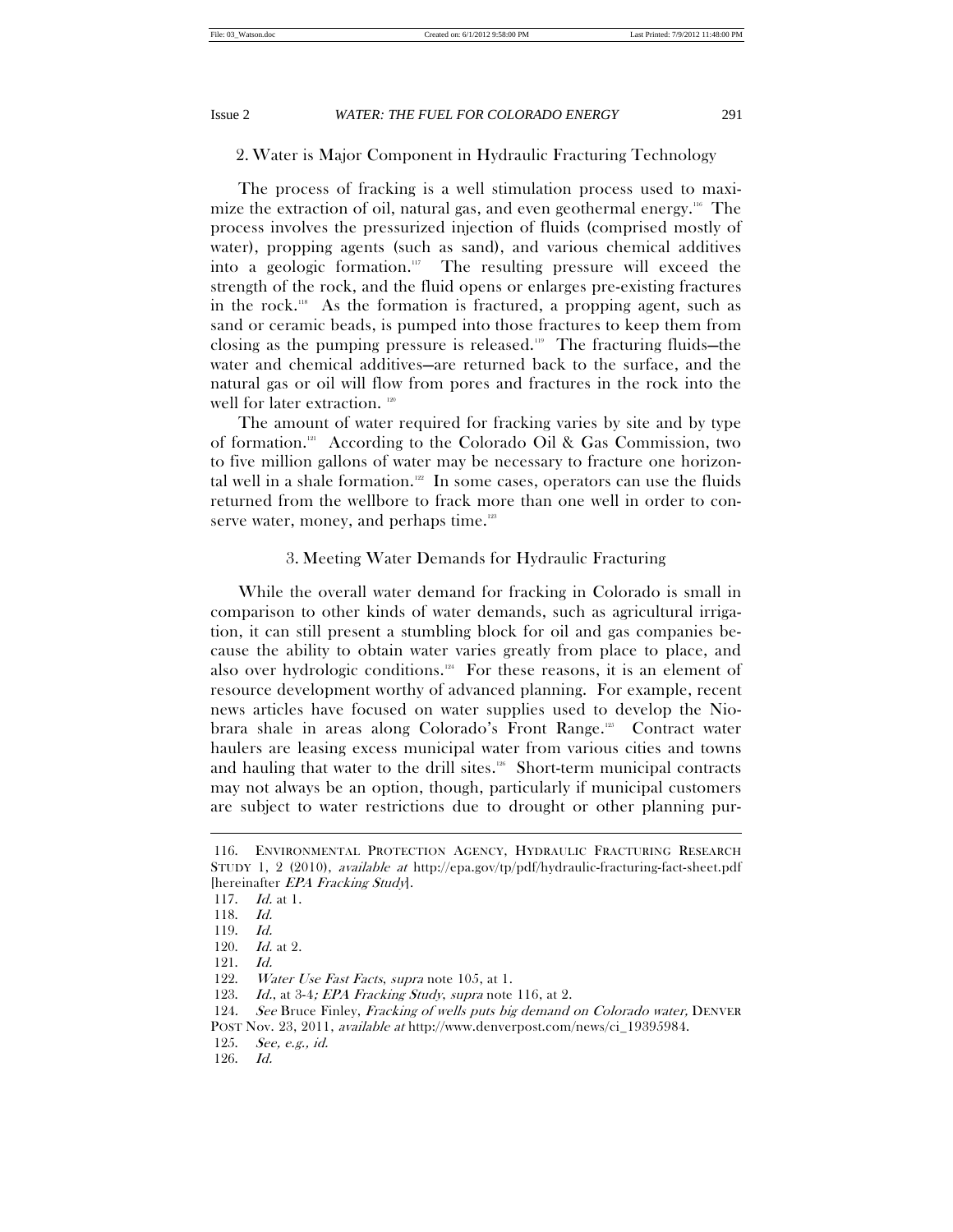# 2. Water is Major Component in Hydraulic Fracturing Technology

The process of fracking is a well stimulation process used to maximize the extraction of oil, natural gas, and even geothermal energy.<sup>116</sup> The process involves the pressurized injection of fluids (comprised mostly of water), propping agents (such as sand), and various chemical additives into a geologic formation. $\mathbb{I}$  The resulting pressure will exceed the strength of the rock, and the fluid opens or enlarges pre-existing fractures in the rock.118 As the formation is fractured, a propping agent, such as sand or ceramic beads, is pumped into those fractures to keep them from closing as the pumping pressure is released.119 The fracturing fluids—the water and chemical additives—are returned back to the surface, and the natural gas or oil will flow from pores and fractures in the rock into the well for later extraction.<sup>120</sup>

The amount of water required for fracking varies by site and by type of formation.121 According to the Colorado Oil & Gas Commission, two to five million gallons of water may be necessary to fracture one horizontal well in a shale formation.<sup>122</sup> In some cases, operators can use the fluids returned from the wellbore to frack more than one well in order to conserve water, money, and perhaps time.<sup>123</sup>

# 3. Meeting Water Demands for Hydraulic Fracturing

While the overall water demand for fracking in Colorado is small in comparison to other kinds of water demands, such as agricultural irrigation, it can still present a stumbling block for oil and gas companies because the ability to obtain water varies greatly from place to place, and also over hydrologic conditions. $124$  For these reasons, it is an element of resource development worthy of advanced planning. For example, recent news articles have focused on water supplies used to develop the Niobrara shale in areas along Colorado's Front Range.125 Contract water haulers are leasing excess municipal water from various cities and towns and hauling that water to the drill sites.<sup>126</sup> Short-term municipal contracts may not always be an option, though, particularly if municipal customers are subject to water restrictions due to drought or other planning pur-

 <sup>116.</sup> ENVIRONMENTAL PROTECTION AGENCY, HYDRAULIC FRACTURING RESEARCH STUDY 1, 2 (2010), available at http://epa.gov/tp/pdf/hydraulic-fracturing-fact-sheet.pdf [hereinafter *EPA Fracking Study*].

 <sup>117.</sup> Id. at 1.

 <sup>118.</sup> Id.

 <sup>119.</sup> Id.

 <sup>120.</sup> Id. at 2.

 <sup>121.</sup> Id.

<sup>122.</sup> *Water Use Fast Facts, supra* note 105, at 1.

<sup>123.</sup> *Id.*, at 3-4; *EPA Fracking Study, supra* note 116, at 2.

<sup>124.</sup> See Bruce Finley, Fracking of wells puts big demand on Colorado water, DENVER

POST Nov. 23, 2011, available at http://www.denverpost.com/news/ci\_19395984.

 <sup>125.</sup> See, e.g., id.

 <sup>126.</sup> Id.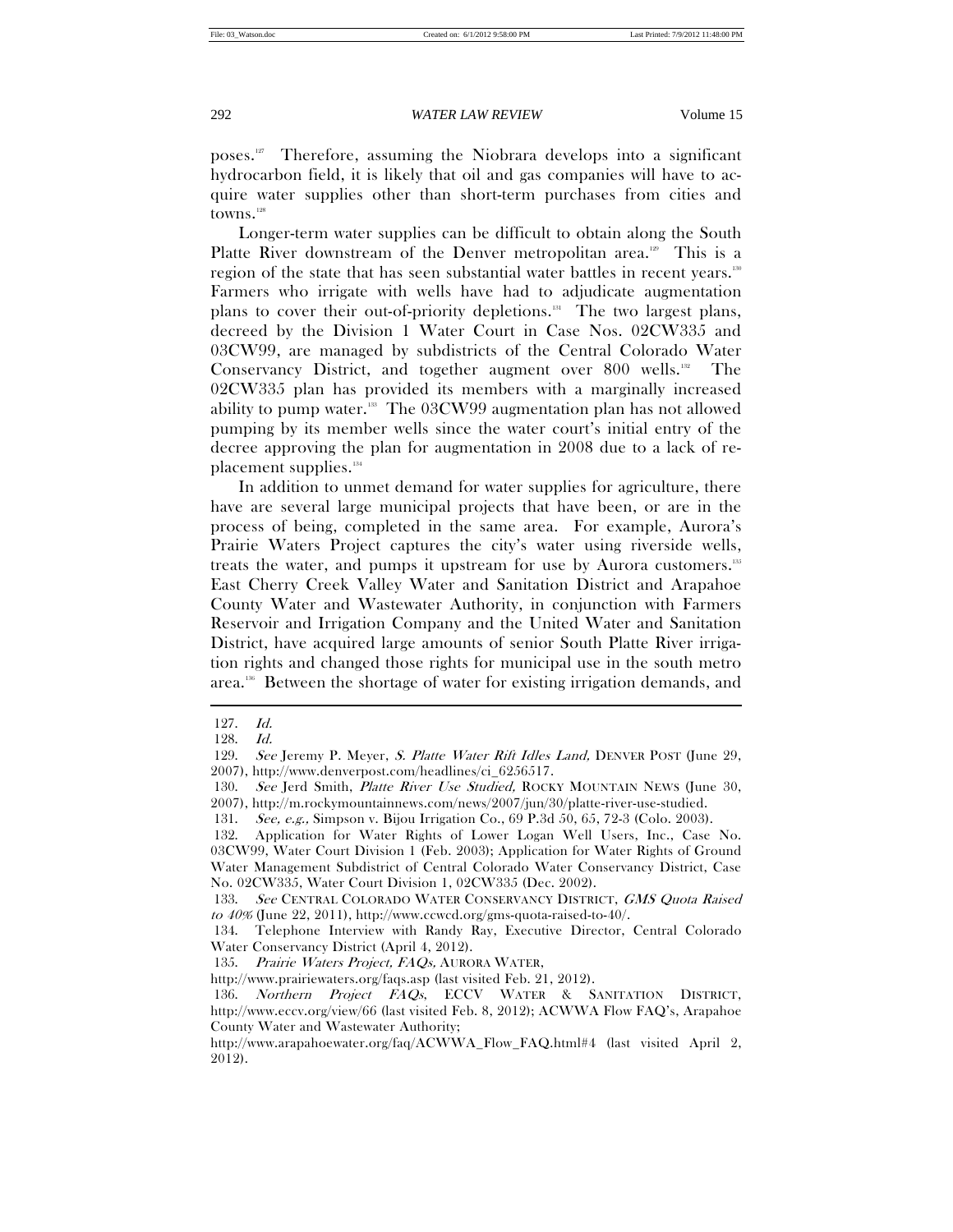poses.127 Therefore, assuming the Niobrara develops into a significant hydrocarbon field, it is likely that oil and gas companies will have to acquire water supplies other than short-term purchases from cities and towns.<sup>128</sup>

Longer-term water supplies can be difficult to obtain along the South Platte River downstream of the Denver metropolitan area.<sup>120</sup> This is a region of the state that has seen substantial water battles in recent years.130 Farmers who irrigate with wells have had to adjudicate augmentation plans to cover their out-of-priority depletions.<sup>131</sup> The two largest plans, decreed by the Division 1 Water Court in Case Nos. 02CW335 and 03CW99, are managed by subdistricts of the Central Colorado Water Conservancy District, and together augment over 800 wells.<sup>132</sup> The 02CW335 plan has provided its members with a marginally increased ability to pump water.<sup>138</sup> The 03CW99 augmentation plan has not allowed pumping by its member wells since the water court's initial entry of the decree approving the plan for augmentation in 2008 due to a lack of replacement supplies.134

In addition to unmet demand for water supplies for agriculture, there have are several large municipal projects that have been, or are in the process of being, completed in the same area. For example, Aurora's Prairie Waters Project captures the city's water using riverside wells, treats the water, and pumps it upstream for use by Aurora customers.<sup>135</sup> East Cherry Creek Valley Water and Sanitation District and Arapahoe County Water and Wastewater Authority, in conjunction with Farmers Reservoir and Irrigation Company and the United Water and Sanitation District, have acquired large amounts of senior South Platte River irrigation rights and changed those rights for municipal use in the south metro area.136 Between the shortage of water for existing irrigation demands, and

 <sup>127.</sup> Id.

 <sup>128.</sup> Id.

<sup>129.</sup> See Jeremy P. Meyer, S. Platte Water Rift Idles Land, DENVER POST (June 29, 2007), http://www.denverpost.com/headlines/ci\_6256517.

<sup>130.</sup> See Jerd Smith, Platte River Use Studied, ROCKY MOUNTAIN NEWS (June 30, 2007), http://m.rockymountainnews.com/news/2007/jun/30/platte-river-use-studied.

 <sup>131.</sup> See, e.g., Simpson v. Bijou Irrigation Co., 69 P.3d 50, 65, 72-3 (Colo. 2003).

 <sup>132.</sup> Application for Water Rights of Lower Logan Well Users, Inc., Case No. 03CW99, Water Court Division 1 (Feb. 2003); Application for Water Rights of Ground Water Management Subdistrict of Central Colorado Water Conservancy District, Case No. 02CW335, Water Court Division 1, 02CW335 (Dec. 2002).

<sup>133.</sup> See CENTRAL COLORADO WATER CONSERVANCY DISTRICT, GMS Quota Raised to 40% (June 22, 2011), http://www.ccwcd.org/gms-quota-raised-to-40/.

 <sup>134.</sup> Telephone Interview with Randy Ray, Executive Director, Central Colorado Water Conservancy District (April 4, 2012).

 <sup>135.</sup> Prairie Waters Project, FAQs, AURORA WATER,

http://www.prairiewaters.org/faqs.asp (last visited Feb. 21, 2012).

<sup>136.</sup> Northern Project FAQs, ECCV WATER & SANITATION DISTRICT, http://www.eccv.org/view/66 (last visited Feb. 8, 2012); ACWWA Flow FAQ's, Arapahoe County Water and Wastewater Authority;

http://www.arapahoewater.org/faq/ACWWA\_Flow\_FAQ.html#4 (last visited April 2, 2012).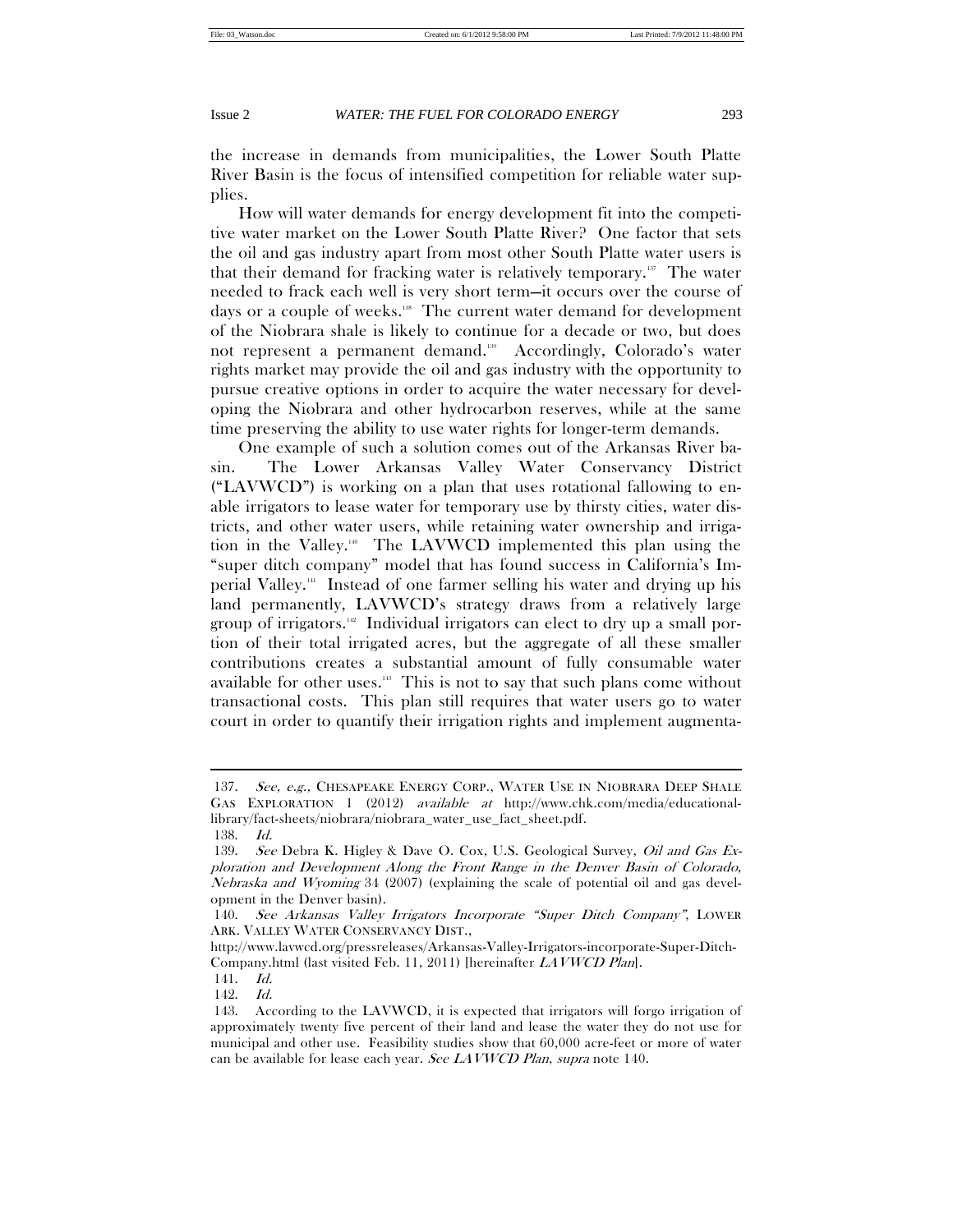the increase in demands from municipalities, the Lower South Platte River Basin is the focus of intensified competition for reliable water supplies.

How will water demands for energy development fit into the competitive water market on the Lower South Platte River? One factor that sets the oil and gas industry apart from most other South Platte water users is that their demand for fracking water is relatively temporary.137 The water needed to frack each well is very short term—it occurs over the course of days or a couple of weeks.<sup>18</sup> The current water demand for development of the Niobrara shale is likely to continue for a decade or two, but does not represent a permanent demand.<sup>139</sup> Accordingly, Colorado's water rights market may provide the oil and gas industry with the opportunity to pursue creative options in order to acquire the water necessary for developing the Niobrara and other hydrocarbon reserves, while at the same time preserving the ability to use water rights for longer-term demands.

One example of such a solution comes out of the Arkansas River basin. The Lower Arkansas Valley Water Conservancy District ("LAVWCD") is working on a plan that uses rotational fallowing to enable irrigators to lease water for temporary use by thirsty cities, water districts, and other water users, while retaining water ownership and irrigation in the Valley.140 The LAVWCD implemented this plan using the "super ditch company" model that has found success in California's Imperial Valley.141 Instead of one farmer selling his water and drying up his land permanently, LAVWCD's strategy draws from a relatively large group of irrigators.<sup>142</sup> Individual irrigators can elect to dry up a small portion of their total irrigated acres, but the aggregate of all these smaller contributions creates a substantial amount of fully consumable water available for other uses. $143$  This is not to say that such plans come without transactional costs. This plan still requires that water users go to water court in order to quantify their irrigation rights and implement augmenta-

<sup>137.</sup> See, e.g., CHESAPEAKE ENERGY CORP., WATER USE IN NIOBRARA DEEP SHALE GAS EXPLORATION 1 (2012) available at http://www.chk.com/media/educationallibrary/fact-sheets/niobrara/niobrara\_water\_use\_fact\_sheet.pdf.

 <sup>138.</sup> Id.

<sup>139.</sup> See Debra K. Higley & Dave O. Cox, U.S. Geological Survey, Oil and Gas Exploration and Development Along the Front Range in the Denver Basin of Colorado, Nebraska and Wyoming 34 (2007) (explaining the scale of potential oil and gas development in the Denver basin).

 <sup>140.</sup> See Arkansas Valley Irrigators Incorporate "Super Ditch Company", LOWER ARK. VALLEY WATER CONSERVANCY DIST.,

http://www.lavwcd.org/pressreleases/Arkansas-Valley-Irrigators-incorporate-Super-Ditch-Company.html (last visited Feb. 11, 2011) [hereinafter LAVWCD Plan].

 <sup>141.</sup> Id.

 <sup>142.</sup> Id.

 <sup>143.</sup> According to the LAVWCD, it is expected that irrigators will forgo irrigation of approximately twenty five percent of their land and lease the water they do not use for municipal and other use. Feasibility studies show that 60,000 acre-feet or more of water can be available for lease each year. See LAVWCD Plan, supra note 140.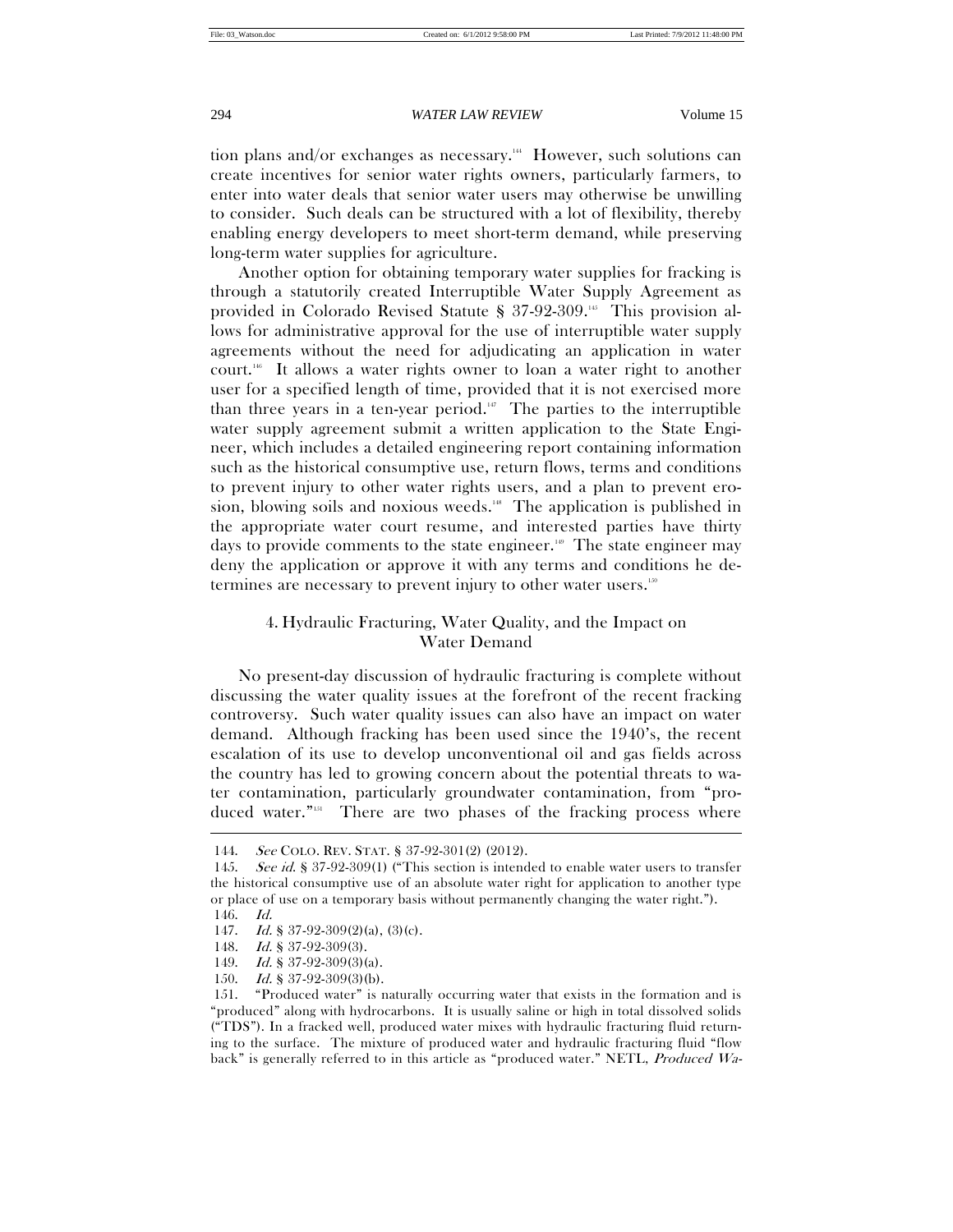tion plans and/or exchanges as necessary.<sup>144</sup> However, such solutions can create incentives for senior water rights owners, particularly farmers, to enter into water deals that senior water users may otherwise be unwilling to consider. Such deals can be structured with a lot of flexibility, thereby enabling energy developers to meet short-term demand, while preserving long-term water supplies for agriculture.

Another option for obtaining temporary water supplies for fracking is through a statutorily created Interruptible Water Supply Agreement as provided in Colorado Revised Statute § 37-92-309.<sup>145</sup> This provision allows for administrative approval for the use of interruptible water supply agreements without the need for adjudicating an application in water court.146 It allows a water rights owner to loan a water right to another user for a specified length of time, provided that it is not exercised more than three years in a ten-year period.<sup>147</sup> The parties to the interruptible water supply agreement submit a written application to the State Engineer, which includes a detailed engineering report containing information such as the historical consumptive use, return flows, terms and conditions to prevent injury to other water rights users, and a plan to prevent erosion, blowing soils and noxious weeds.<sup>18</sup> The application is published in the appropriate water court resume, and interested parties have thirty days to provide comments to the state engineer.<sup>149</sup> The state engineer may deny the application or approve it with any terms and conditions he determines are necessary to prevent injury to other water users.150

# 4. Hydraulic Fracturing, Water Quality, and the Impact on Water Demand

No present-day discussion of hydraulic fracturing is complete without discussing the water quality issues at the forefront of the recent fracking controversy. Such water quality issues can also have an impact on water demand. Although fracking has been used since the 1940's, the recent escalation of its use to develop unconventional oil and gas fields across the country has led to growing concern about the potential threats to water contamination, particularly groundwater contamination, from "produced water."<sup>151</sup> There are two phases of the fracking process where

 <sup>144.</sup> See COLO. REV. STAT. § 37-92-301(2) (2012).

<sup>145.</sup> See id. § 37-92-309(1) ("This section is intended to enable water users to transfer the historical consumptive use of an absolute water right for application to another type or place of use on a temporary basis without permanently changing the water right.").

 <sup>146.</sup> Id.

<sup>147.</sup> Id. § 37-92-309 $(2)(a)$ ,  $(3)(c)$ .

<sup>148.</sup> *Id.* § 37-92-309(3).

<sup>149.</sup> Id. § 37-92-309(3)(a).

<sup>150.</sup> Id. § 37-92-309(3)(b).

 <sup>151. &</sup>quot;Produced water" is naturally occurring water that exists in the formation and is "produced" along with hydrocarbons. It is usually saline or high in total dissolved solids ("TDS"). In a fracked well, produced water mixes with hydraulic fracturing fluid returning to the surface. The mixture of produced water and hydraulic fracturing fluid "flow back" is generally referred to in this article as "produced water." NETL, Produced Wa-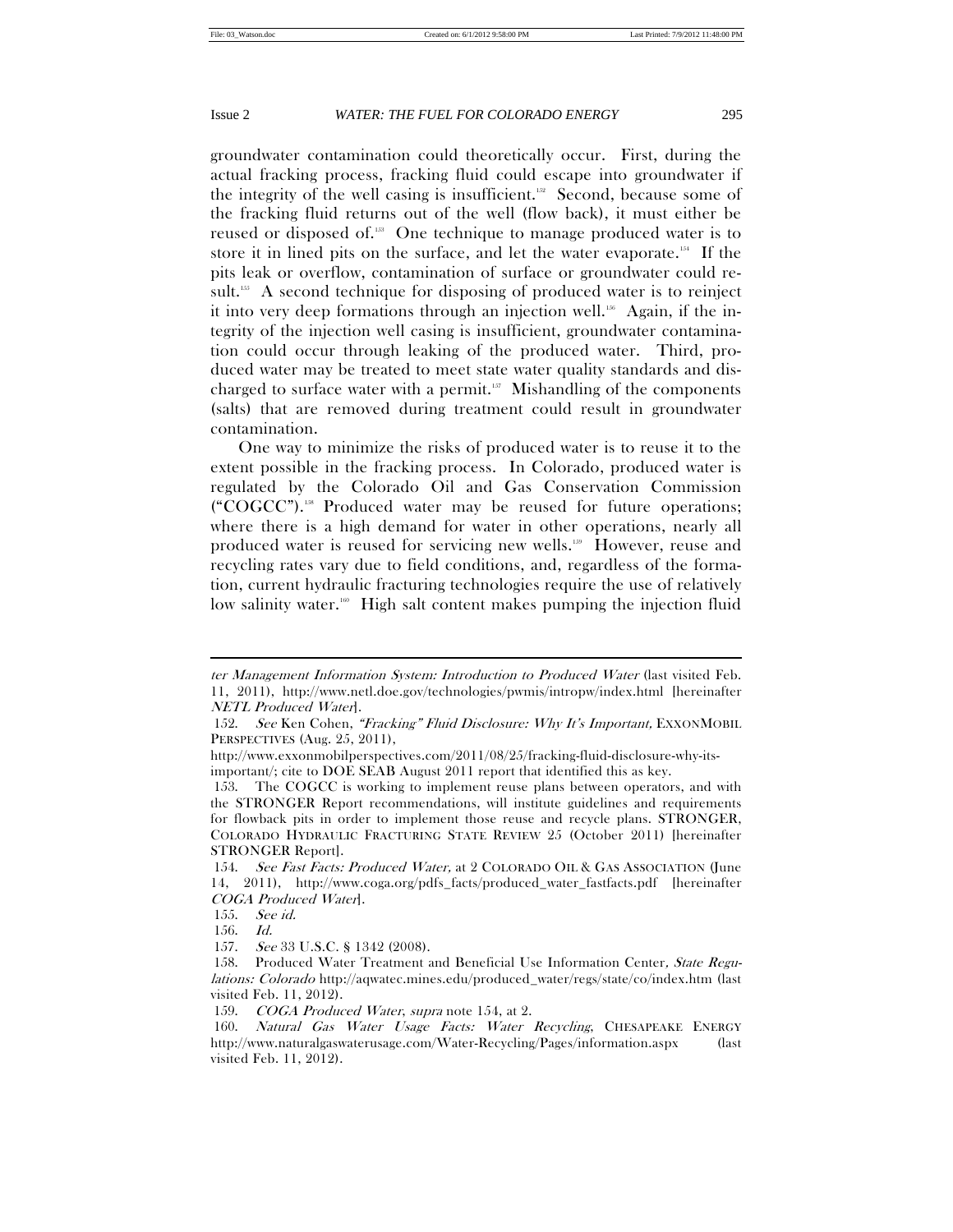groundwater contamination could theoretically occur. First, during the actual fracking process, fracking fluid could escape into groundwater if the integrity of the well casing is insufficient.<sup>152</sup> Second, because some of the fracking fluid returns out of the well (flow back), it must either be reused or disposed of.153 One technique to manage produced water is to store it in lined pits on the surface, and let the water evaporate.<sup>154</sup> If the pits leak or overflow, contamination of surface or groundwater could result.<sup>155</sup> A second technique for disposing of produced water is to reinject it into very deep formations through an injection well.<sup>156</sup> Again, if the integrity of the injection well casing is insufficient, groundwater contamination could occur through leaking of the produced water. Third, produced water may be treated to meet state water quality standards and discharged to surface water with a permit. $157$  Mishandling of the components (salts) that are removed during treatment could result in groundwater contamination.

One way to minimize the risks of produced water is to reuse it to the extent possible in the fracking process. In Colorado, produced water is regulated by the Colorado Oil and Gas Conservation Commission ("COGCC").158 Produced water may be reused for future operations; where there is a high demand for water in other operations, nearly all produced water is reused for servicing new wells.<sup>159</sup> However, reuse and recycling rates vary due to field conditions, and, regardless of the formation, current hydraulic fracturing technologies require the use of relatively low salinity water.<sup>160</sup> High salt content makes pumping the injection fluid

ter Management Information System: Introduction to Produced Water (last visited Feb. 11, 2011), http://www.netl.doe.gov/technologies/pwmis/intropw/index.html [hereinafter NETL Produced Water].

 <sup>152.</sup> See Ken Cohen, "Fracking" Fluid Disclosure: Why It's Important, EXXONMOBIL PERSPECTIVES (Aug. 25, 2011),

http://www.exxonmobilperspectives.com/2011/08/25/fracking-fluid-disclosure-why-itsimportant/; cite to DOE SEAB August 2011 report that identified this as key.

 <sup>153.</sup> The COGCC is working to implement reuse plans between operators, and with the STRONGER Report recommendations, will institute guidelines and requirements for flowback pits in order to implement those reuse and recycle plans. STRONGER, COLORADO HYDRAULIC FRACTURING STATE REVIEW 25 (October 2011) [hereinafter STRONGER Report].

 <sup>154.</sup> See Fast Facts: Produced Water, at 2 COLORADO OIL & GAS ASSOCIATION (June 14, 2011), http://www.coga.org/pdfs\_facts/produced\_water\_fastfacts.pdf [hereinafter COGA Produced Water].

 <sup>155.</sup> See id.

 <sup>156.</sup> Id.

 <sup>157.</sup> See 33 U.S.C. § 1342 (2008).

<sup>158.</sup> Produced Water Treatment and Beneficial Use Information Center, State Regulations: Colorado http://aqwatec.mines.edu/produced\_water/regs/state/co/index.htm (last visited Feb. 11, 2012).

 <sup>159.</sup> COGA Produced Water, supra note 154, at 2.

<sup>160.</sup> Natural Gas Water Usage Facts: Water Recycling, CHESAPEAKE ENERGY http://www.naturalgaswaterusage.com/Water-Recycling/Pages/information.aspx (last visited Feb. 11, 2012).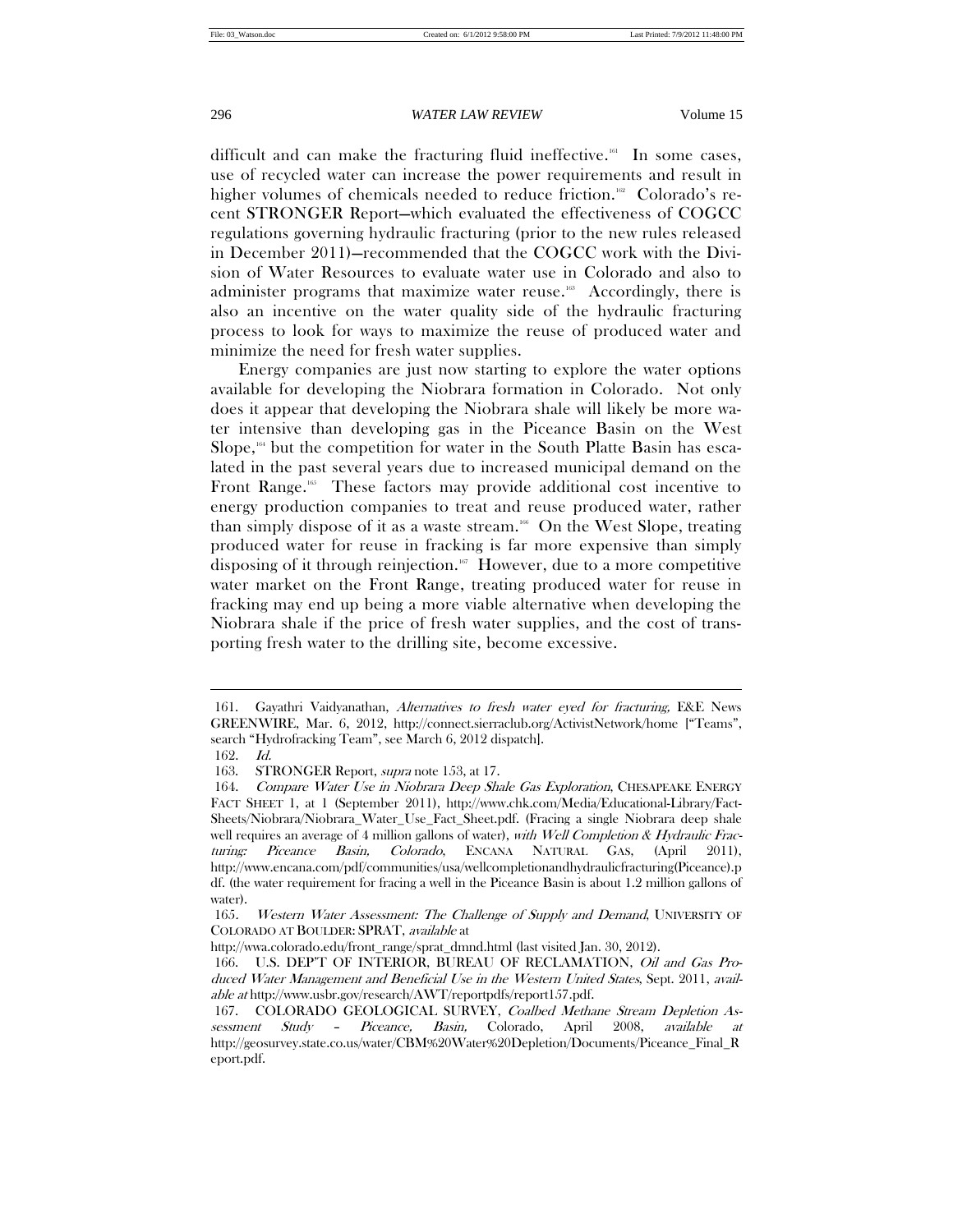difficult and can make the fracturing fluid ineffective.<sup>161</sup> In some cases, use of recycled water can increase the power requirements and result in higher volumes of chemicals needed to reduce friction.<sup>162</sup> Colorado's recent STRONGER Report—which evaluated the effectiveness of COGCC regulations governing hydraulic fracturing (prior to the new rules released in December 2011)—recommended that the COGCC work with the Division of Water Resources to evaluate water use in Colorado and also to administer programs that maximize water reuse.<sup>163</sup> Accordingly, there is also an incentive on the water quality side of the hydraulic fracturing process to look for ways to maximize the reuse of produced water and minimize the need for fresh water supplies.

Energy companies are just now starting to explore the water options available for developing the Niobrara formation in Colorado. Not only does it appear that developing the Niobrara shale will likely be more water intensive than developing gas in the Piceance Basin on the West Slope, $164$  but the competition for water in the South Platte Basin has escalated in the past several years due to increased municipal demand on the Front Range.<sup>165</sup> These factors may provide additional cost incentive to energy production companies to treat and reuse produced water, rather than simply dispose of it as a waste stream.<sup>166</sup> On the West Slope, treating produced water for reuse in fracking is far more expensive than simply disposing of it through reinjection.<sup>167</sup> However, due to a more competitive water market on the Front Range, treating produced water for reuse in fracking may end up being a more viable alternative when developing the Niobrara shale if the price of fresh water supplies, and the cost of transporting fresh water to the drilling site, become excessive.

 <sup>161.</sup> Gayathri Vaidyanathan, Alternatives to fresh water eyed for fracturing, E&E News GREENWIRE, Mar. 6, 2012, http://connect.sierraclub.org/ActivistNetwork/home ["Teams", search "Hydrofracking Team", see March 6, 2012 dispatch].

 <sup>162.</sup> Id.

 <sup>163.</sup> STRONGER Report, supra note 153, at 17.

<sup>164.</sup> Compare Water Use in Niobrara Deep Shale Gas Exploration, CHESAPEAKE ENERGY FACT SHEET 1, at 1 (September 2011), http://www.chk.com/Media/Educational-Library/Fact-Sheets/Niobrara/Niobrara\_Water\_Use\_Fact\_Sheet.pdf. (Fracing a single Niobrara deep shale well requires an average of 4 million gallons of water), with Well Completion & Hydraulic Fracturing: Piceance Basin, Colorado, ENCANA NATURAL GAS, (April 2011), http://www.encana.com/pdf/communities/usa/wellcompletionandhydraulicfracturing(Piceance).p df. (the water requirement for fracing a well in the Piceance Basin is about 1.2 million gallons of water).

<sup>165</sup>. Western Water Assessment: The Challenge of Supply and Demand, UNIVERSITY OF COLORADO AT BOULDER: SPRAT, available at

http://wwa.colorado.edu/front\_range/sprat\_dmnd.html (last visited Jan. 30, 2012).

 <sup>166.</sup> U.S. DEP'T OF INTERIOR, BUREAU OF RECLAMATION, Oil and Gas Produced Water Management and Beneficial Use in the Western United States, Sept. 2011, available at http://www.usbr.gov/research/AWT/reportpdfs/report157.pdf.

 <sup>167.</sup> COLORADO GEOLOGICAL SURVEY, Coalbed Methane Stream Depletion Assessment Study – Piceance, Basin, Colorado, April 2008, available at http://geosurvey.state.co.us/water/CBM%20Water%20Depletion/Documents/Piceance\_Final\_R eport.pdf.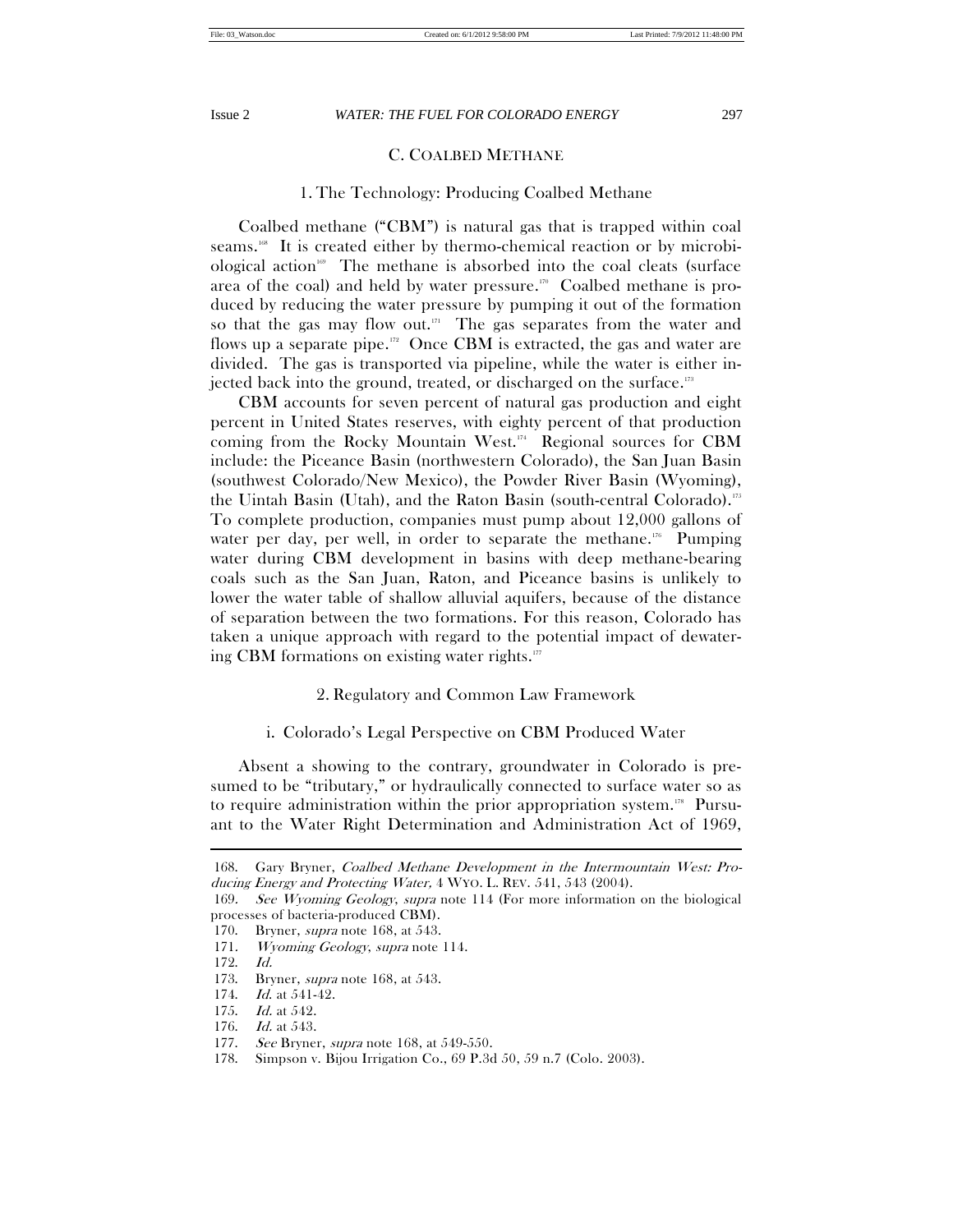# C. COALBED METHANE

# 1. The Technology: Producing Coalbed Methane

Coalbed methane ("CBM") is natural gas that is trapped within coal seams.<sup>168</sup> It is created either by thermo-chemical reaction or by microbiological action<sup>169</sup> The methane is absorbed into the coal cleats (surface area of the coal) and held by water pressure.<sup>170</sup> Coalbed methane is produced by reducing the water pressure by pumping it out of the formation so that the gas may flow out. $n =$ The gas separates from the water and flows up a separate pipe. $122$  Once CBM is extracted, the gas and water are divided. The gas is transported via pipeline, while the water is either injected back into the ground, treated, or discharged on the surface.<sup>173</sup>

CBM accounts for seven percent of natural gas production and eight percent in United States reserves, with eighty percent of that production coming from the Rocky Mountain West.<sup>174</sup> Regional sources for CBM include: the Piceance Basin (northwestern Colorado), the San Juan Basin (southwest Colorado/New Mexico), the Powder River Basin (Wyoming), the Uintah Basin (Utah), and the Raton Basin (south-central Colorado).175 To complete production, companies must pump about 12,000 gallons of water per day, per well, in order to separate the methane.<sup>176</sup> Pumping water during CBM development in basins with deep methane-bearing coals such as the San Juan, Raton, and Piceance basins is unlikely to lower the water table of shallow alluvial aquifers, because of the distance of separation between the two formations. For this reason, Colorado has taken a unique approach with regard to the potential impact of dewatering CBM formations on existing water rights. $177$ 

# 2. Regulatory and Common Law Framework

# i. Colorado's Legal Perspective on CBM Produced Water

Absent a showing to the contrary, groundwater in Colorado is presumed to be "tributary," or hydraulically connected to surface water so as to require administration within the prior appropriation system.<sup>178</sup> Pursuant to the Water Right Determination and Administration Act of 1969,

 <sup>168.</sup> Gary Bryner, Coalbed Methane Development in the Intermountain West: Producing Energy and Protecting Water, 4 WYO. L. REV. 541, 543 (2004).

<sup>169</sup>. See Wyoming Geology, supra note 114 (For more information on the biological processes of bacteria-produced CBM).

<sup>170.</sup> Bryner, *supra* note 168, at 543.

<sup>171.</sup> Wyoming Geology, supra note 114.

 <sup>172.</sup> Id.

<sup>173.</sup> Bryner, *supra* note 168, at 543.

<sup>174.</sup> *Id.* at 541-42.

 <sup>175.</sup> Id. at 542.

 <sup>176.</sup> Id. at 543.

<sup>177.</sup> See Bryner, *supra* note 168, at 549-550.

 <sup>178.</sup> Simpson v. Bijou Irrigation Co., 69 P.3d 50, 59 n.7 (Colo. 2003).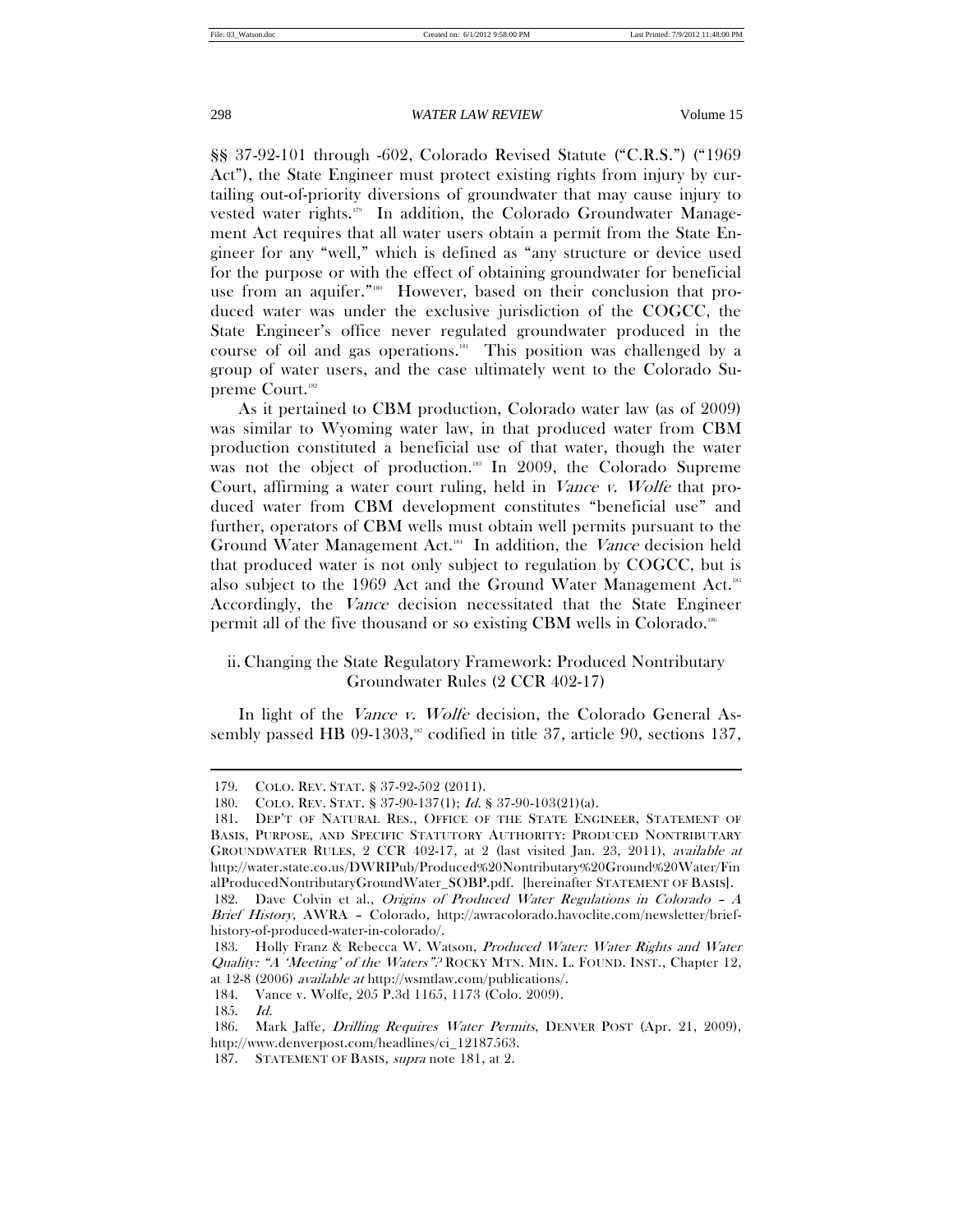§§ 37-92-101 through -602, Colorado Revised Statute ("C.R.S.") ("1969 Act"), the State Engineer must protect existing rights from injury by curtailing out-of-priority diversions of groundwater that may cause injury to vested water rights.<sup>179</sup> In addition, the Colorado Groundwater Management Act requires that all water users obtain a permit from the State Engineer for any "well," which is defined as "any structure or device used for the purpose or with the effect of obtaining groundwater for beneficial use from an aquifer."<sup>180</sup> However, based on their conclusion that produced water was under the exclusive jurisdiction of the COGCC, the State Engineer's office never regulated groundwater produced in the course of oil and gas operations.181 This position was challenged by a group of water users, and the case ultimately went to the Colorado Supreme Court.182

As it pertained to CBM production, Colorado water law (as of 2009) was similar to Wyoming water law, in that produced water from CBM production constituted a beneficial use of that water, though the water was not the object of production.<sup>183</sup> In 2009, the Colorado Supreme Court, affirming a water court ruling, held in Vance v. Wolfe that produced water from CBM development constitutes "beneficial use" and further, operators of CBM wells must obtain well permits pursuant to the Ground Water Management Act.<sup>184</sup> In addition, the Vance decision held that produced water is not only subject to regulation by COGCC, but is also subject to the 1969 Act and the Ground Water Management Act.<sup>185</sup> Accordingly, the Vance decision necessitated that the State Engineer permit all of the five thousand or so existing CBM wells in Colorado.186

# ii. Changing the State Regulatory Framework: Produced Nontributary Groundwater Rules (2 CCR 402-17)

In light of the *Vance v. Wolfe* decision, the Colorado General Assembly passed HB 09-1303,<sup>187</sup> codified in title 37, article 90, sections 137,

 <sup>179.</sup> COLO. REV. STAT. § 37-92-502 (2011).

 <sup>180.</sup> COLO. REV. STAT. § 37-90-137(1); Id. § 37-90-103(21)(a).

 <sup>181.</sup> DEP'T OF NATURAL RES., OFFICE OF THE STATE ENGINEER, STATEMENT OF BASIS, PURPOSE, AND SPECIFIC STATUTORY AUTHORITY: PRODUCED NONTRIBUTARY GROUNDWATER RULES, 2 CCR 402-17, at 2 (last visited Jan. 23, 2011), available at http://water.state.co.us/DWRIPub/Produced%20Nontributary%20Ground%20Water/Fin alProducedNontributaryGroundWater\_SOBP.pdf. [hereinafter STATEMENT OF BASIS].

 <sup>182.</sup> Dave Colvin et al., Origins of Produced Water Regulations in Colorado – A Brief History, AWRA – Colorado, http://awracolorado.havoclite.com/newsletter/briefhistory-of-produced-water-in-colorado/.

<sup>183.</sup> Holly Franz & Rebecca W. Watson, Produced Water: Water Rights and Water Quality: "A 'Meeting' of the Waters"? ROCKY MTN. MIN. L. FOUND. INST., Chapter 12, at 12-8 (2006) available at http://wsmtlaw.com/publications/.

 <sup>184.</sup> Vance v. Wolfe, 205 P.3d 1165, 1173 (Colo. 2009).

 <sup>185.</sup> Id.

 <sup>186.</sup> Mark Jaffe, Drilling Requires Water Permits, DENVER POST (Apr. 21, 2009), http://www.denverpost.com/headlines/ci\_12187563.

 <sup>187.</sup> STATEMENT OF BASIS, supra note 181, at 2.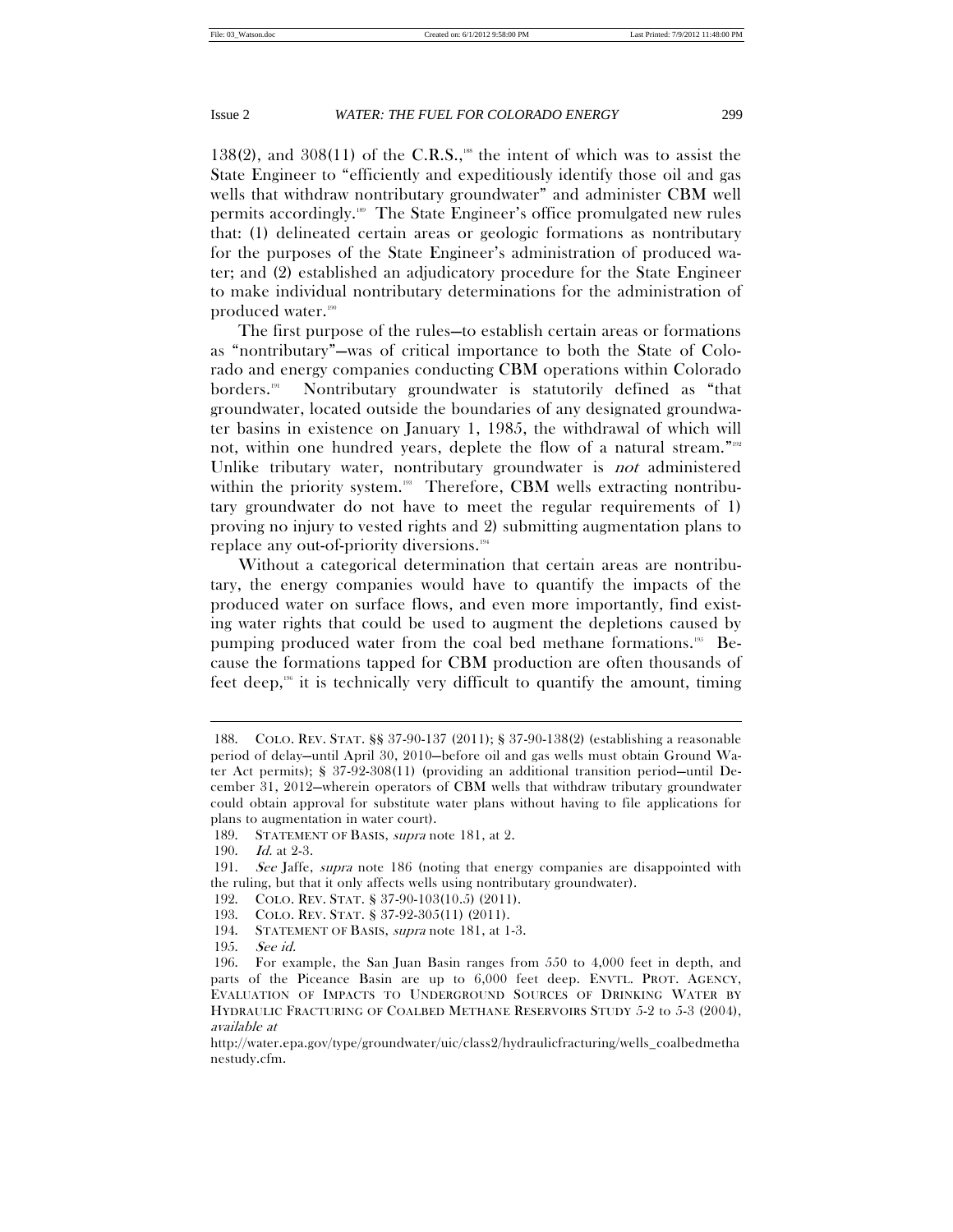138(2), and 308(11) of the C.R.S.,<sup>188</sup> the intent of which was to assist the State Engineer to "efficiently and expeditiously identify those oil and gas wells that withdraw nontributary groundwater" and administer CBM well permits accordingly.<sup>189</sup> The State Engineer's office promulgated new rules that: (1) delineated certain areas or geologic formations as nontributary for the purposes of the State Engineer's administration of produced water; and (2) established an adjudicatory procedure for the State Engineer to make individual nontributary determinations for the administration of produced water.<sup>190</sup>

The first purpose of the rules—to establish certain areas or formations as "nontributary"—was of critical importance to both the State of Colorado and energy companies conducting CBM operations within Colorado borders.191 Nontributary groundwater is statutorily defined as "that groundwater, located outside the boundaries of any designated groundwater basins in existence on January 1, 1985, the withdrawal of which will not, within one hundred years, deplete the flow of a natural stream."192 Unlike tributary water, nontributary groundwater is *not* administered within the priority system.<sup>193</sup> Therefore, CBM wells extracting nontributary groundwater do not have to meet the regular requirements of 1) proving no injury to vested rights and 2) submitting augmentation plans to replace any out-of-priority diversions.194

Without a categorical determination that certain areas are nontributary, the energy companies would have to quantify the impacts of the produced water on surface flows, and even more importantly, find existing water rights that could be used to augment the depletions caused by pumping produced water from the coal bed methane formations.<sup>195</sup> Because the formations tapped for CBM production are often thousands of feet deep,<sup>196</sup> it is technically very difficult to quantify the amount, timing

 <sup>188.</sup> COLO. REV. STAT. §§ 37-90-137 (2011); § 37-90-138(2) (establishing a reasonable period of delay—until April 30, 2010—before oil and gas wells must obtain Ground Water Act permits); § 37-92-308(11) (providing an additional transition period—until December 31, 2012—wherein operators of CBM wells that withdraw tributary groundwater could obtain approval for substitute water plans without having to file applications for plans to augmentation in water court).

 <sup>189.</sup> STATEMENT OF BASIS, supra note 181, at 2.

 <sup>190.</sup> Id. at 2-3.

 <sup>191.</sup> See Jaffe, supra note 186 (noting that energy companies are disappointed with the ruling, but that it only affects wells using nontributary groundwater).

 <sup>192.</sup> COLO. REV. STAT. § 37-90-103(10.5) (2011).

 <sup>193.</sup> COLO. REV. STAT. § 37-92-305(11) (2011).

 <sup>194.</sup> STATEMENT OF BASIS, supra note 181, at 1-3.

 <sup>195.</sup> See id.

 <sup>196.</sup> For example, the San Juan Basin ranges from 550 to 4,000 feet in depth, and parts of the Piceance Basin are up to 6,000 feet deep. ENVTL. PROT. AGENCY, EVALUATION OF IMPACTS TO UNDERGROUND SOURCES OF DRINKING WATER BY HYDRAULIC FRACTURING OF COALBED METHANE RESERVOIRS STUDY 5-2 to 5-3 (2004), available at

http://water.epa.gov/type/groundwater/uic/class2/hydraulicfracturing/wells\_coalbedmetha nestudy.cfm.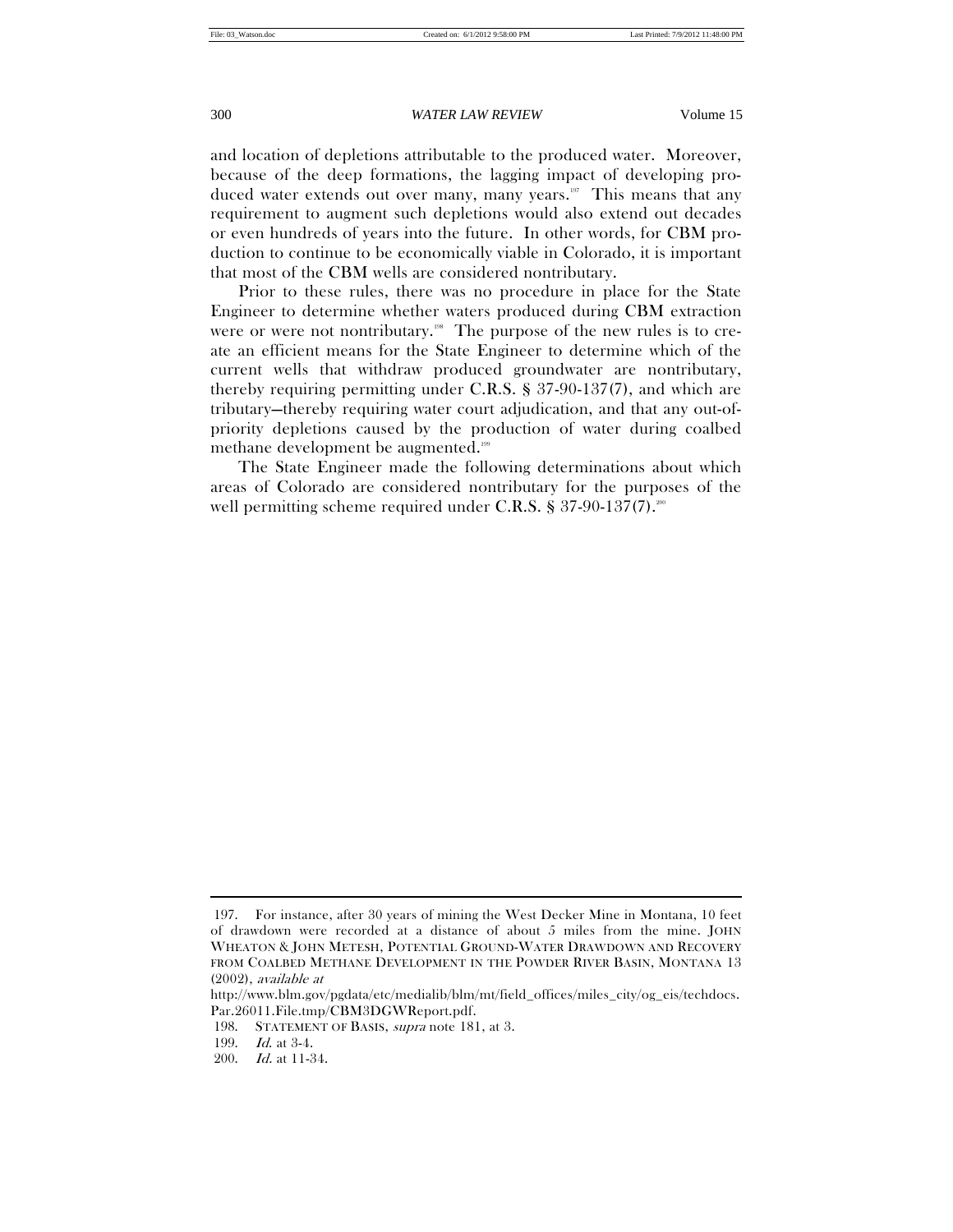and location of depletions attributable to the produced water. Moreover, because of the deep formations, the lagging impact of developing produced water extends out over many, many years.<sup>197</sup> This means that any requirement to augment such depletions would also extend out decades or even hundreds of years into the future. In other words, for CBM production to continue to be economically viable in Colorado, it is important that most of the CBM wells are considered nontributary.

Prior to these rules, there was no procedure in place for the State Engineer to determine whether waters produced during CBM extraction were or were not nontributary.<sup>198</sup> The purpose of the new rules is to create an efficient means for the State Engineer to determine which of the current wells that withdraw produced groundwater are nontributary, thereby requiring permitting under C.R.S. § 37-90-137(7), and which are tributary—thereby requiring water court adjudication, and that any out-ofpriority depletions caused by the production of water during coalbed methane development be augmented.<sup>199</sup>

The State Engineer made the following determinations about which areas of Colorado are considered nontributary for the purposes of the well permitting scheme required under C.R.S.  $\S 37-90-137(7)$ .

 <sup>197.</sup> For instance, after 30 years of mining the West Decker Mine in Montana, 10 feet of drawdown were recorded at a distance of about 5 miles from the mine. JOHN WHEATON & JOHN METESH, POTENTIAL GROUND-WATER DRAWDOWN AND RECOVERY FROM COALBED METHANE DEVELOPMENT IN THE POWDER RIVER BASIN, MONTANA 13 (2002), available at

http://www.blm.gov/pgdata/etc/medialib/blm/mt/field\_offices/miles\_city/og\_eis/techdocs. Par.26011.File.tmp/CBM3DGWReport.pdf.

 <sup>198.</sup> STATEMENT OF BASIS, supra note 181, at 3.

 <sup>199.</sup> Id. at 3-4.

 <sup>200.</sup> Id. at 11-34.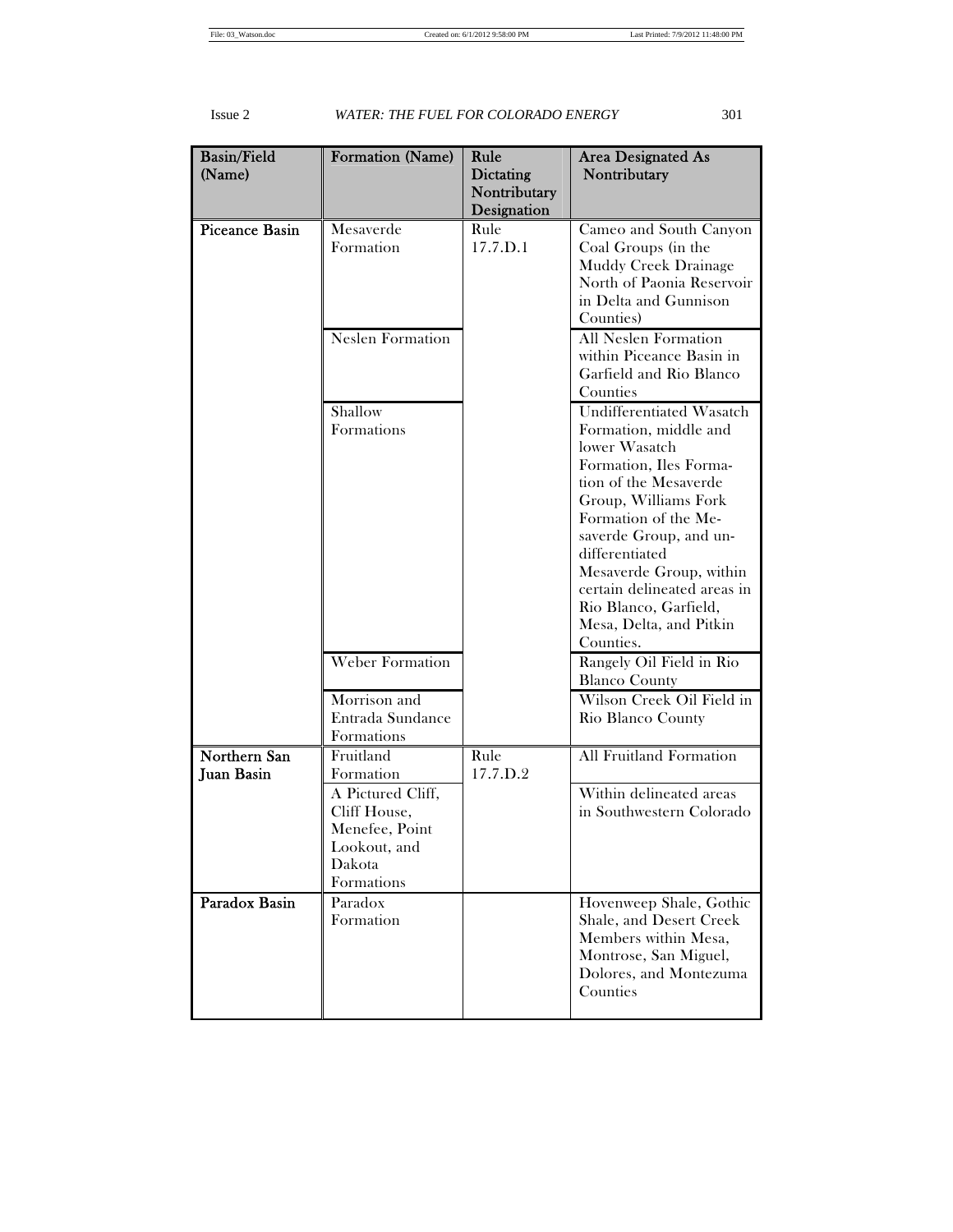| <b>Basin/Field</b>                | Formation (Name)                                                                            | Rule                             | <b>Area Designated As</b>                                                                                                                                                                                                                                                                                                                    |
|-----------------------------------|---------------------------------------------------------------------------------------------|----------------------------------|----------------------------------------------------------------------------------------------------------------------------------------------------------------------------------------------------------------------------------------------------------------------------------------------------------------------------------------------|
| (Name)                            |                                                                                             | <b>Dictating</b><br>Nontributary | Nontributary                                                                                                                                                                                                                                                                                                                                 |
|                                   |                                                                                             | Designation                      |                                                                                                                                                                                                                                                                                                                                              |
| <b>Piceance Basin</b>             | Mesaverde<br>Formation                                                                      | Rule<br>17.7.D.1                 | Cameo and South Canyon<br>Coal Groups (in the<br>Muddy Creek Drainage<br>North of Paonia Reservoir<br>in Delta and Gunnison<br>Counties)                                                                                                                                                                                                     |
|                                   | <b>Neslen Formation</b>                                                                     |                                  | All Neslen Formation<br>within Piceance Basin in<br>Garfield and Rio Blanco<br>Counties                                                                                                                                                                                                                                                      |
|                                   | Shallow<br>Formations                                                                       |                                  | Undifferentiated Wasatch<br>Formation, middle and<br>lower Wasatch<br>Formation, Iles Forma-<br>tion of the Mesaverde<br>Group, Williams Fork<br>Formation of the Me-<br>saverde Group, and un-<br>differentiated<br>Mesaverde Group, within<br>certain delineated areas in<br>Rio Blanco, Garfield,<br>Mesa, Delta, and Pitkin<br>Counties. |
|                                   | <b>Weber Formation</b><br>Morrison and                                                      |                                  | Rangely Oil Field in Rio<br><b>Blanco County</b><br>Wilson Creek Oil Field in                                                                                                                                                                                                                                                                |
|                                   | Entrada Sundance<br>Formations                                                              |                                  | Rio Blanco County                                                                                                                                                                                                                                                                                                                            |
| Northern San<br><b>Juan Basin</b> | Fruitland<br>Formation                                                                      | Rule<br>17.7.D.2                 | <b>All Fruitland Formation</b>                                                                                                                                                                                                                                                                                                               |
|                                   | A Pictured Cliff,<br>Cliff House,<br>Menefee, Point<br>Lookout, and<br>Dakota<br>Formations |                                  | Within delineated areas<br>in Southwestern Colorado                                                                                                                                                                                                                                                                                          |
| Paradox Basin                     | Paradox<br>Formation                                                                        |                                  | Hovenweep Shale, Gothic<br>Shale, and Desert Creek<br>Members within Mesa,<br>Montrose, San Miguel,<br>Dolores, and Montezuma<br>Counties                                                                                                                                                                                                    |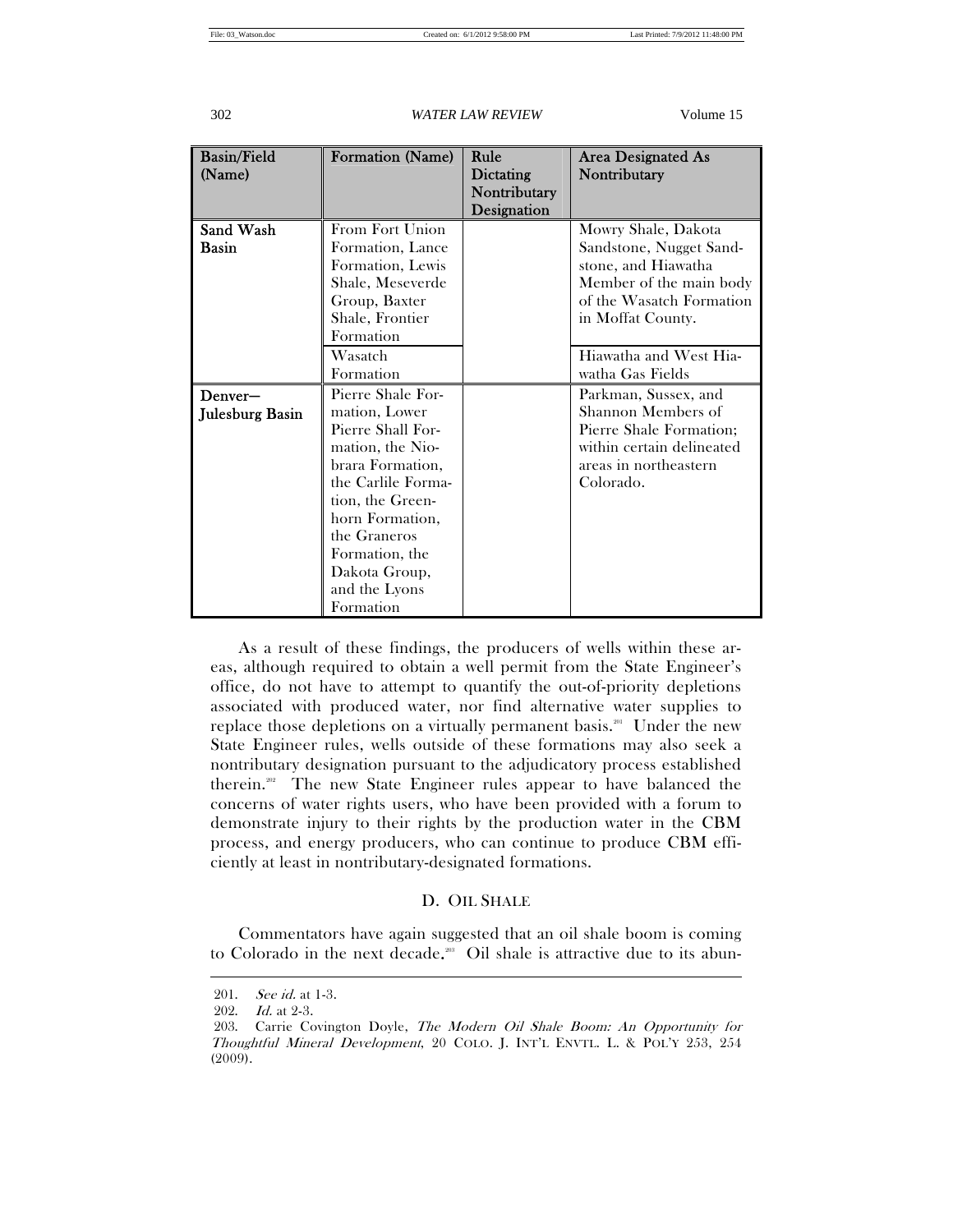| <b>Basin/Field</b><br>(Name) | Formation (Name)                                                                                                                                                                                                                              | Rule<br>Dictating<br>Nontributary<br>Designation | Area Designated As<br>Nontributary                                                                                                                |
|------------------------------|-----------------------------------------------------------------------------------------------------------------------------------------------------------------------------------------------------------------------------------------------|--------------------------------------------------|---------------------------------------------------------------------------------------------------------------------------------------------------|
| Sand Wash<br><b>Basin</b>    | From Fort Union<br>Formation, Lance<br>Formation, Lewis<br>Shale, Meseverde<br>Group, Baxter<br>Shale, Frontier<br>Formation                                                                                                                  |                                                  | Mowry Shale, Dakota<br>Sandstone, Nugget Sand-<br>stone, and Hiawatha<br>Member of the main body<br>of the Wasatch Formation<br>in Moffat County. |
|                              | Wasatch<br>Formation                                                                                                                                                                                                                          |                                                  | Hiawatha and West Hia-<br>watha Gas Fields                                                                                                        |
| Denver-<br>Julesburg Basin   | Pierre Shale For-<br>mation, Lower<br>Pierre Shall For-<br>mation, the Nio-<br>brara Formation,<br>the Carlile Forma-<br>tion, the Green-<br>horn Formation,<br>the Graneros<br>Formation, the<br>Dakota Group,<br>and the Lyons<br>Formation |                                                  | Parkman, Sussex, and<br>Shannon Members of<br>Pierre Shale Formation;<br>within certain delineated<br>areas in northeastern<br>Colorado.          |

As a result of these findings, the producers of wells within these areas, although required to obtain a well permit from the State Engineer's office, do not have to attempt to quantify the out-of-priority depletions associated with produced water, nor find alternative water supplies to replace those depletions on a virtually permanent basis.<sup>201</sup> Under the new State Engineer rules, wells outside of these formations may also seek a nontributary designation pursuant to the adjudicatory process established therein.202 The new State Engineer rules appear to have balanced the concerns of water rights users, who have been provided with a forum to demonstrate injury to their rights by the production water in the CBM process, and energy producers, who can continue to produce CBM efficiently at least in nontributary-designated formations.

# D. OIL SHALE

Commentators have again suggested that an oil shale boom is coming to Colorado in the next decade.<sup>203</sup> Oil shale is attractive due to its abun-

 <sup>201.</sup> See id. at 1-3.

 <sup>202.</sup> Id. at 2-3.

 <sup>203.</sup> Carrie Covington Doyle, The Modern Oil Shale Boom: An Opportunity for Thoughtful Mineral Development, 20 COLO. J. INT'L ENVTL. L. & POL'Y 253, 254 (2009).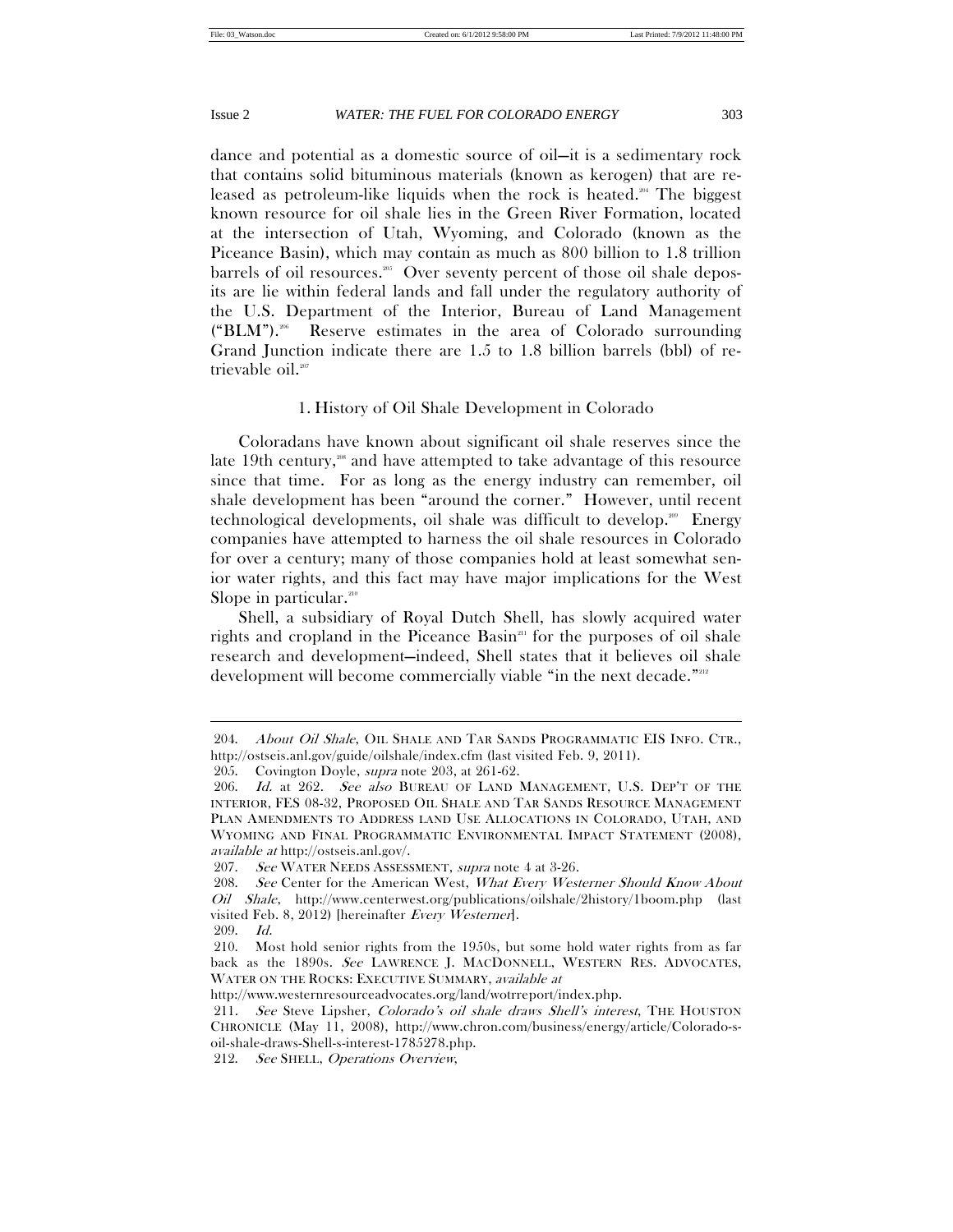dance and potential as a domestic source of oil—it is a sedimentary rock that contains solid bituminous materials (known as kerogen) that are released as petroleum-like liquids when the rock is heated.<sup>204</sup> The biggest known resource for oil shale lies in the Green River Formation, located at the intersection of Utah, Wyoming, and Colorado (known as the Piceance Basin), which may contain as much as 800 billion to 1.8 trillion barrels of oil resources.<sup>205</sup> Over seventy percent of those oil shale deposits are lie within federal lands and fall under the regulatory authority of the U.S. Department of the Interior, Bureau of Land Management  $("BLM")$ .<sup>206</sup> Reserve estimates in the area of Colorado surrounding Grand Junction indicate there are 1.5 to 1.8 billion barrels (bbl) of retrievable oil.<sup>207</sup>

## 1. History of Oil Shale Development in Colorado

Coloradans have known about significant oil shale reserves since the late 19th century, $\frac{308}{100}$  and have attempted to take advantage of this resource since that time. For as long as the energy industry can remember, oil shale development has been "around the corner." However, until recent technological developments, oil shale was difficult to develop.<sup>200</sup> Energy companies have attempted to harness the oil shale resources in Colorado for over a century; many of those companies hold at least somewhat senior water rights, and this fact may have major implications for the West Slope in particular.<sup>210</sup>

Shell, a subsidiary of Royal Dutch Shell, has slowly acquired water rights and cropland in the Piceance Basin<sup>211</sup> for the purposes of oil shale research and development—indeed, Shell states that it believes oil shale development will become commercially viable "in the next decade."<sup>2212</sup>

<sup>204.</sup> About Oil Shale, OIL SHALE AND TAR SANDS PROGRAMMATIC EIS INFO. CTR., http://ostseis.anl.gov/guide/oilshale/index.cfm (last visited Feb. 9, 2011).

 <sup>205.</sup> Covington Doyle, supra note 203, at 261-62.

<sup>206.</sup> Id. at 262. See also BUREAU OF LAND MANAGEMENT, U.S. DEP'T OF THE INTERIOR, FES 08-32, PROPOSED OIL SHALE AND TAR SANDS RESOURCE MANAGEMENT PLAN AMENDMENTS TO ADDRESS LAND USE ALLOCATIONS IN COLORADO, UTAH, AND WYOMING AND FINAL PROGRAMMATIC ENVIRONMENTAL IMPACT STATEMENT (2008), available at http://ostseis.anl.gov/.

<sup>207.</sup> See WATER NEEDS ASSESSMENT, supra note 4 at 3-26.

<sup>208.</sup> See Center for the American West, What Every Westerner Should Know About Oil Shale, http://www.centerwest.org/publications/oilshale/2history/1boom.php (last visited Feb. 8, 2012) [hereinafter Every Westerner].

 <sup>209.</sup> Id.

 <sup>210.</sup> Most hold senior rights from the 1950s, but some hold water rights from as far back as the 1890s. See LAWRENCE J. MACDONNELL, WESTERN RES. ADVOCATES, WATER ON THE ROCKS: EXECUTIVE SUMMARY, available at

http://www.westernresourceadvocates.org/land/wotrreport/index.php.

<sup>211</sup>. See Steve Lipsher, Colorado's oil shale draws Shell's interest, THE HOUSTON CHRONICLE (May 11, 2008), http://www.chron.com/business/energy/article/Colorado-soil-shale-draws-Shell-s-interest-1785278.php.

 <sup>212.</sup> See SHELL, Operations Overview,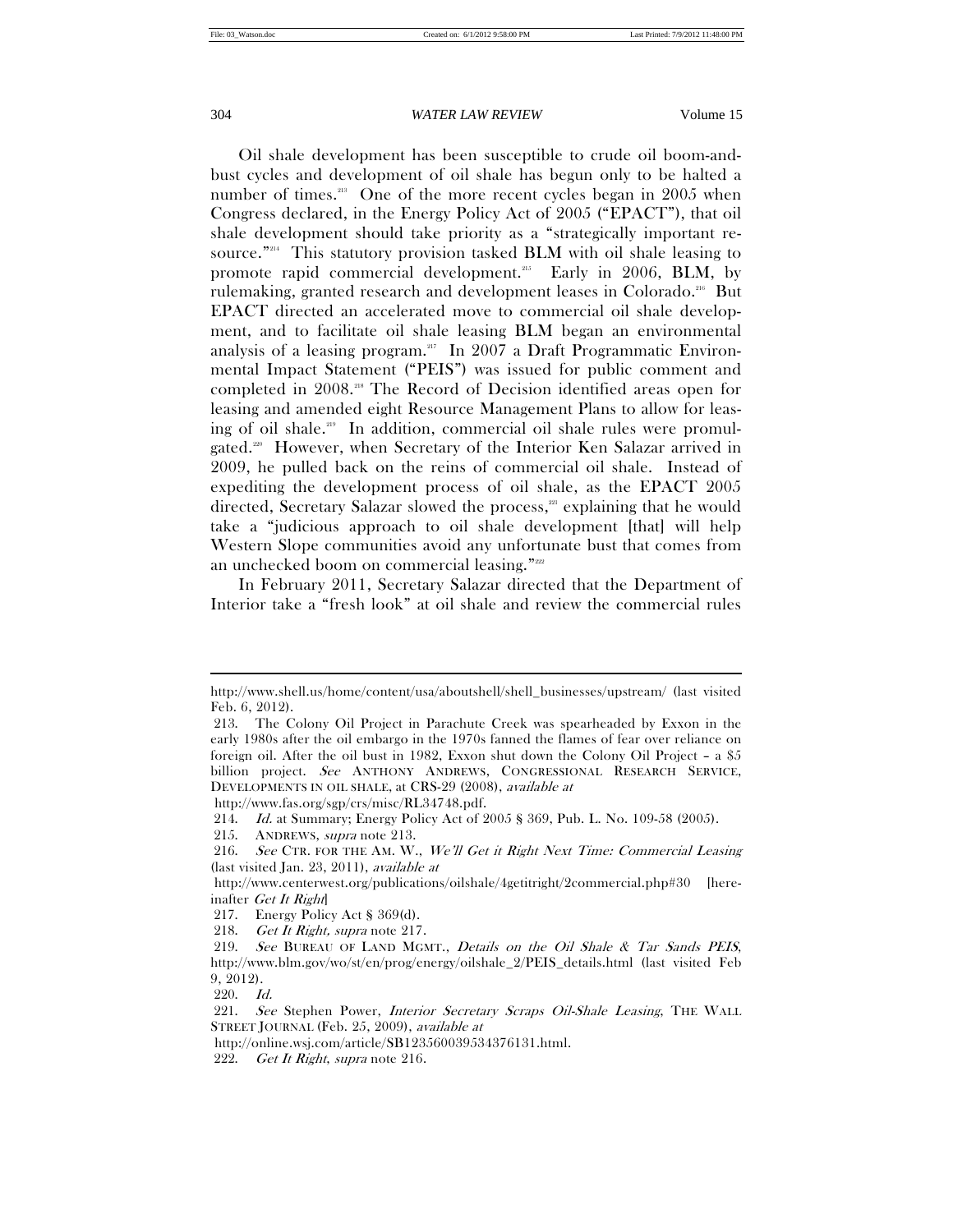Oil shale development has been susceptible to crude oil boom-andbust cycles and development of oil shale has begun only to be halted a number of times.<sup>213</sup> One of the more recent cycles began in 2005 when Congress declared, in the Energy Policy Act of 2005 ("EPACT"), that oil shale development should take priority as a "strategically important resource."214 This statutory provision tasked BLM with oil shale leasing to promote rapid commercial development.<sup>215</sup> Early in 2006, BLM, by rulemaking, granted research and development leases in Colorado.<sup>216</sup> But EPACT directed an accelerated move to commercial oil shale development, and to facilitate oil shale leasing BLM began an environmental analysis of a leasing program.217 In 2007 a Draft Programmatic Environmental Impact Statement ("PEIS") was issued for public comment and completed in 2008.218 The Record of Decision identified areas open for leasing and amended eight Resource Management Plans to allow for leasing of oil shale.<sup>219</sup> In addition, commercial oil shale rules were promulgated.<sup>220</sup> However, when Secretary of the Interior Ken Salazar arrived in 2009, he pulled back on the reins of commercial oil shale. Instead of expediting the development process of oil shale, as the EPACT 2005 directed, Secretary Salazar slowed the process, $221$  explaining that he would take a "judicious approach to oil shale development [that] will help Western Slope communities avoid any unfortunate bust that comes from an unchecked boom on commercial leasing."<sup>222</sup>

In February 2011, Secretary Salazar directed that the Department of Interior take a "fresh look" at oil shale and review the commercial rules

http://www.fas.org/sgp/crs/misc/RL34748.pdf.

http://www.shell.us/home/content/usa/aboutshell/shell\_businesses/upstream/ (last visited Feb. 6, 2012).

 <sup>213.</sup> The Colony Oil Project in Parachute Creek was spearheaded by Exxon in the early 1980s after the oil embargo in the 1970s fanned the flames of fear over reliance on foreign oil. After the oil bust in 1982, Exxon shut down the Colony Oil Project – a \$5 billion project. See ANTHONY ANDREWS, CONGRESSIONAL RESEARCH SERVICE, DEVELOPMENTS IN OIL SHALE, at CRS-29 (2008), available at

 <sup>214.</sup> Id. at Summary; Energy Policy Act of 2005 § 369, Pub. L. No. 109-58 (2005).

 <sup>215.</sup> ANDREWS, supra note 213.

 <sup>216.</sup> See CTR. FOR THE AM. W., We'll Get it Right Next Time: Commercial Leasing (last visited Jan. 23, 2011), available at

http://www.centerwest.org/publications/oilshale/4getitright/2commercial.php#30 [hereinafter Get It Right

 <sup>217.</sup> Energy Policy Act § 369(d).

 <sup>218.</sup> Get It Right, supra note 217.

 <sup>219.</sup> See BUREAU OF LAND MGMT., Details on the Oil Shale & Tar Sands PEIS, http://www.blm.gov/wo/st/en/prog/energy/oilshale\_2/PEIS\_details.html (last visited Feb 9, 2012).

 <sup>220.</sup> Id.

 <sup>221.</sup> See Stephen Power, Interior Secretary Scraps Oil-Shale Leasing, THE WALL STREET JOURNAL (Feb. 25, 2009), available at

http://online.wsj.com/article/SB123560039534376131.html.

 <sup>222.</sup> Get It Right, supra note 216.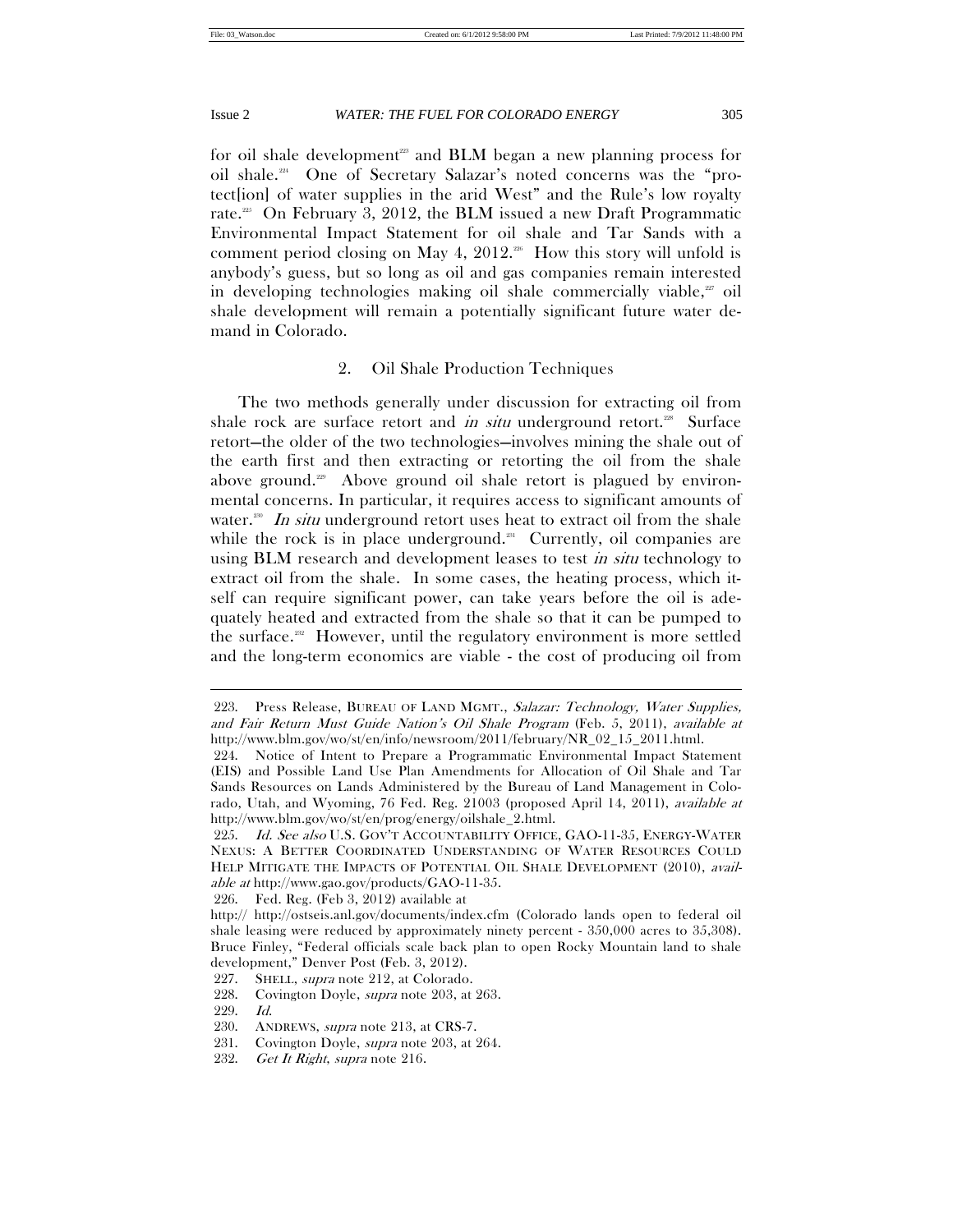for oil shale development<sup>223</sup> and **BLM** began a new planning process for oil shale.224 One of Secretary Salazar's noted concerns was the "protect[ion] of water supplies in the arid West" and the Rule's low royalty rate.<sup>225</sup> On February 3, 2012, the BLM issued a new Draft Programmatic Environmental Impact Statement for oil shale and Tar Sands with a comment period closing on May 4, 2012.<sup>226</sup> How this story will unfold is anybody's guess, but so long as oil and gas companies remain interested in developing technologies making oil shale commercially viable, $x$  oil shale development will remain a potentially significant future water demand in Colorado.

# 2. Oil Shale Production Techniques

The two methods generally under discussion for extracting oil from shale rock are surface retort and in situ underground retort.<sup>228</sup> Surface retort—the older of the two technologies—involves mining the shale out of the earth first and then extracting or retorting the oil from the shale above ground.<sup>229</sup> Above ground oil shale retort is plagued by environmental concerns. In particular, it requires access to significant amounts of water.<sup>200</sup> In situ underground retort uses heat to extract oil from the shale while the rock is in place underground.<sup>231</sup> Currently, oil companies are using BLM research and development leases to test *in situ* technology to extract oil from the shale. In some cases, the heating process, which itself can require significant power, can take years before the oil is adequately heated and extracted from the shale so that it can be pumped to the surface.<sup>232</sup> However, until the regulatory environment is more settled and the long-term economics are viable - the cost of producing oil from

226. Fed. Reg. (Feb 3, 2012) available at

228. Covington Doyle, supra note 203, at 263.

<sup>223.</sup> Press Release, BUREAU OF LAND MGMT., Salazar: Technology, Water Supplies, and Fair Return Must Guide Nation's Oil Shale Program (Feb. 5, 2011), available at http://www.blm.gov/wo/st/en/info/newsroom/2011/february/NR\_02\_15\_2011.html.

 <sup>224.</sup> Notice of Intent to Prepare a Programmatic Environmental Impact Statement (EIS) and Possible Land Use Plan Amendments for Allocation of Oil Shale and Tar Sands Resources on Lands Administered by the Bureau of Land Management in Colorado, Utah, and Wyoming, 76 Fed. Reg. 21003 (proposed April 14, 2011), available at http://www.blm.gov/wo/st/en/prog/energy/oilshale\_2.html.

<sup>225.</sup> Id. See also U.S. GOV'T ACCOUNTABILITY OFFICE, GAO-11-35, ENERGY-WATER NEXUS: A BETTER COORDINATED UNDERSTANDING OF WATER RESOURCES COULD HELP MITIGATE THE IMPACTS OF POTENTIAL OIL SHALE DEVELOPMENT (2010), available at http://www.gao.gov/products/GAO-11-35.

http:// http://ostseis.anl.gov/documents/index.cfm (Colorado lands open to federal oil shale leasing were reduced by approximately ninety percent - 350,000 acres to 35,308). Bruce Finley, "Federal officials scale back plan to open Rocky Mountain land to shale development," Denver Post (Feb. 3, 2012).

 <sup>227.</sup> SHELL, supra note 212, at Colorado.

 <sup>229.</sup> Id.

 <sup>230.</sup> ANDREWS, supra note 213, at CRS-7.

<sup>231.</sup> Covington Doyle, *supra* note 203, at 264.

<sup>232.</sup> Get It Right, supra note 216.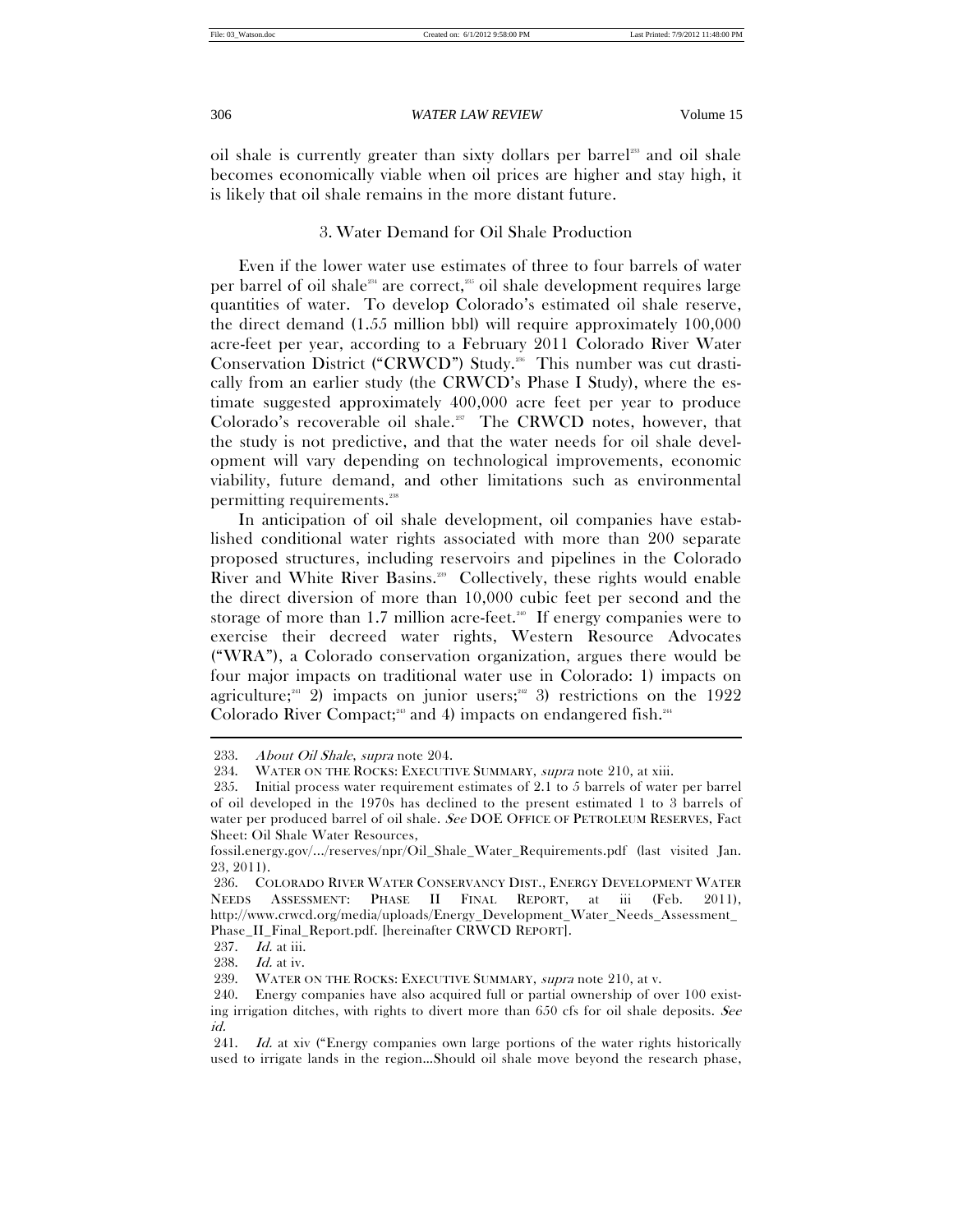oil shale is currently greater than sixty dollars per barrel<sup>233</sup> and oil shale becomes economically viable when oil prices are higher and stay high, it is likely that oil shale remains in the more distant future.

# 3. Water Demand for Oil Shale Production

Even if the lower water use estimates of three to four barrels of water per barrel of oil shale $234$  are correct, $235$  oil shale development requires large quantities of water. To develop Colorado's estimated oil shale reserve, the direct demand (1.55 million bbl) will require approximately 100,000 acre-feet per year, according to a February 2011 Colorado River Water Conservation District ("CRWCD") Study.<sup>236</sup> This number was cut drastically from an earlier study (the CRWCD's Phase I Study), where the estimate suggested approximately 400,000 acre feet per year to produce Colorado's recoverable oil shale.<sup>237</sup> The CRWCD notes, however, that the study is not predictive, and that the water needs for oil shale development will vary depending on technological improvements, economic viability, future demand, and other limitations such as environmental permitting requirements.238

In anticipation of oil shale development, oil companies have established conditional water rights associated with more than 200 separate proposed structures, including reservoirs and pipelines in the Colorado River and White River Basins.<sup>239</sup> Collectively, these rights would enable the direct diversion of more than 10,000 cubic feet per second and the storage of more than 1.7 million acre-feet.<sup>240</sup> If energy companies were to exercise their decreed water rights, Western Resource Advocates ("WRA"), a Colorado conservation organization, argues there would be four major impacts on traditional water use in Colorado: 1) impacts on agriculture;<sup>241</sup> 2) impacts on junior users;<sup>242</sup> 3) restrictions on the 1922 Colorado River Compact;<sup>213</sup> and 4) impacts on endangered fish.<sup>244</sup> j

 <sup>233.</sup> About Oil Shale, supra note 204.

<sup>234.</sup> WATER ON THE ROCKS: EXECUTIVE SUMMARY, supra note 210, at xiii.

 <sup>235.</sup> Initial process water requirement estimates of 2.1 to 5 barrels of water per barrel of oil developed in the 1970s has declined to the present estimated 1 to 3 barrels of water per produced barrel of oil shale. See DOE OFFICE OF PETROLEUM RESERVES, Fact Sheet: Oil Shale Water Resources,

fossil.energy.gov/.../reserves/npr/Oil\_Shale\_Water\_Requirements.pdf (last visited Jan. 23, 2011).

 <sup>236.</sup> COLORADO RIVER WATER CONSERVANCY DIST., ENERGY DEVELOPMENT WATER NEEDS ASSESSMENT: PHASE II FINAL REPORT, at iii (Feb. 2011), http://www.crwcd.org/media/uploads/Energy\_Development\_Water\_Needs\_Assessment\_ Phase\_II\_Final\_Report.pdf. [hereinafter CRWCD REPORT].

<sup>237.</sup> *Id.* at iii.<br>238. *Id.* at iv.

 $Id.$  at iv.

 <sup>239.</sup> WATER ON THE ROCKS: EXECUTIVE SUMMARY, supra note 210, at v.

 <sup>240.</sup> Energy companies have also acquired full or partial ownership of over 100 existing irrigation ditches, with rights to divert more than  $650$  cfs for oil shale deposits. See id.

<sup>241.</sup> Id. at xiv ("Energy companies own large portions of the water rights historically used to irrigate lands in the region…Should oil shale move beyond the research phase,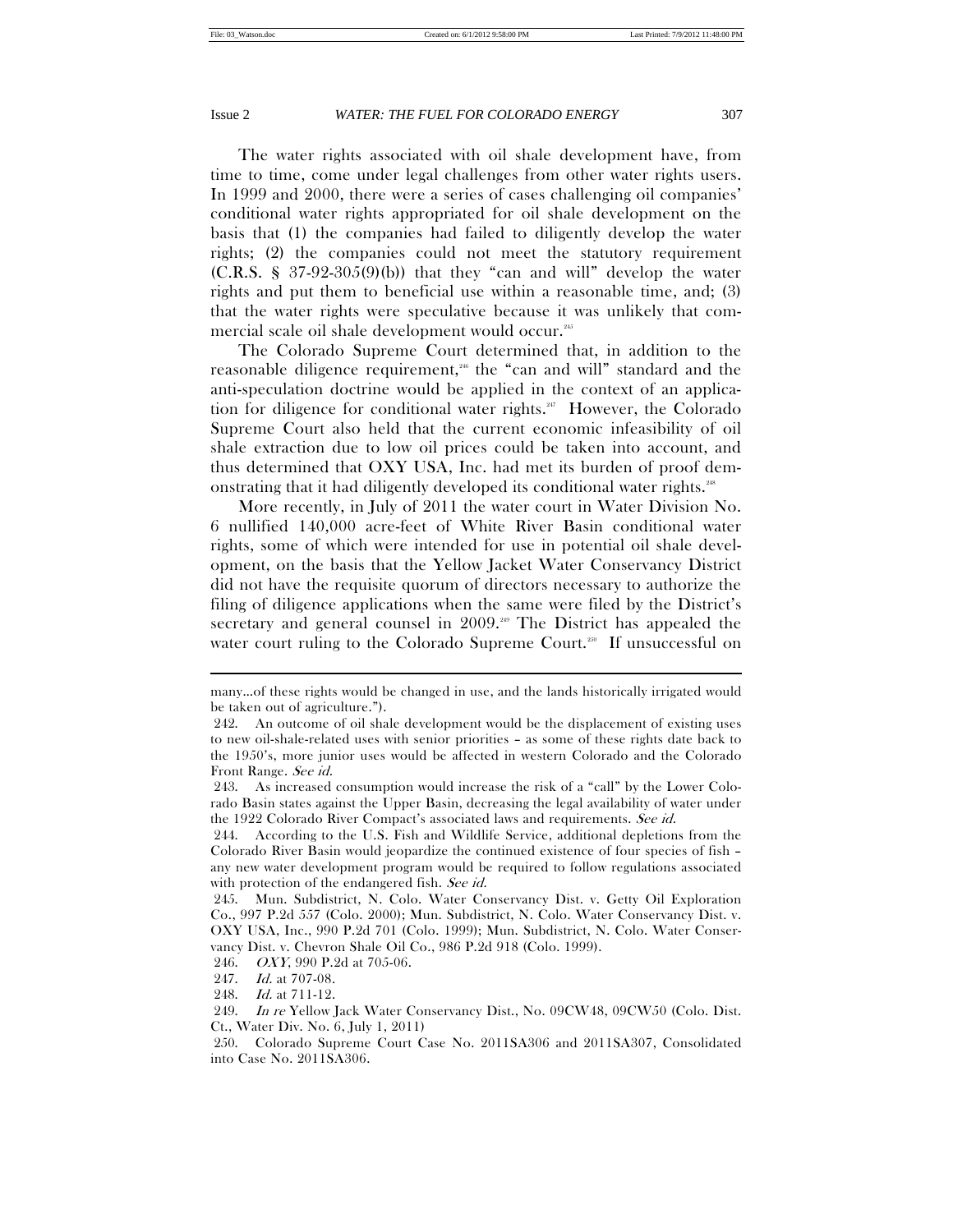The water rights associated with oil shale development have, from time to time, come under legal challenges from other water rights users. In 1999 and 2000, there were a series of cases challenging oil companies' conditional water rights appropriated for oil shale development on the basis that (1) the companies had failed to diligently develop the water rights; (2) the companies could not meet the statutory requirement  $(C.R.S. \S 37-92-305(9)(b))$  that they "can and will" develop the water rights and put them to beneficial use within a reasonable time, and; (3) that the water rights were speculative because it was unlikely that commercial scale oil shale development would occur.<sup>245</sup>

The Colorado Supreme Court determined that, in addition to the reasonable diligence requirement,<sup>26</sup> the "can and will" standard and the anti-speculation doctrine would be applied in the context of an application for diligence for conditional water rights.<sup>247</sup> However, the Colorado Supreme Court also held that the current economic infeasibility of oil shale extraction due to low oil prices could be taken into account, and thus determined that OXY USA, Inc. had met its burden of proof demonstrating that it had diligently developed its conditional water rights.<sup>248</sup>

More recently, in July of 2011 the water court in Water Division No. 6 nullified 140,000 acre-feet of White River Basin conditional water rights, some of which were intended for use in potential oil shale development, on the basis that the Yellow Jacket Water Conservancy District did not have the requisite quorum of directors necessary to authorize the filing of diligence applications when the same were filed by the District's secretary and general counsel in 2009.<sup>249</sup> The District has appealed the water court ruling to the Colorado Supreme Court.<sup>250</sup> If unsuccessful on

many…of these rights would be changed in use, and the lands historically irrigated would be taken out of agriculture.").

 <sup>242.</sup> An outcome of oil shale development would be the displacement of existing uses to new oil-shale-related uses with senior priorities – as some of these rights date back to the 1950's, more junior uses would be affected in western Colorado and the Colorado Front Range. See id.

 <sup>243.</sup> As increased consumption would increase the risk of a "call" by the Lower Colorado Basin states against the Upper Basin, decreasing the legal availability of water under the 1922 Colorado River Compact's associated laws and requirements. See id.

 <sup>244.</sup> According to the U.S. Fish and Wildlife Service, additional depletions from the Colorado River Basin would jeopardize the continued existence of four species of fish – any new water development program would be required to follow regulations associated with protection of the endangered fish. See id.

 <sup>245.</sup> Mun. Subdistrict, N. Colo. Water Conservancy Dist. v. Getty Oil Exploration Co., 997 P.2d 557 (Colo. 2000); Mun. Subdistrict, N. Colo. Water Conservancy Dist. v. OXY USA, Inc., 990 P.2d 701 (Colo. 1999); Mun. Subdistrict, N. Colo. Water Conservancy Dist. v. Chevron Shale Oil Co., 986 P.2d 918 (Colo. 1999).

 <sup>246.</sup> OXY, 990 P.2d at 705-06.

<sup>247.</sup> *Id.* at 707-08.

 <sup>248.</sup> Id. at 711-12.

 <sup>249.</sup> In re Yellow Jack Water Conservancy Dist., No. 09CW48, 09CW50 (Colo. Dist. Ct., Water Div. No. 6, July 1, 2011)

 <sup>250.</sup> Colorado Supreme Court Case No. 2011SA306 and 2011SA307, Consolidated into Case No. 2011SA306.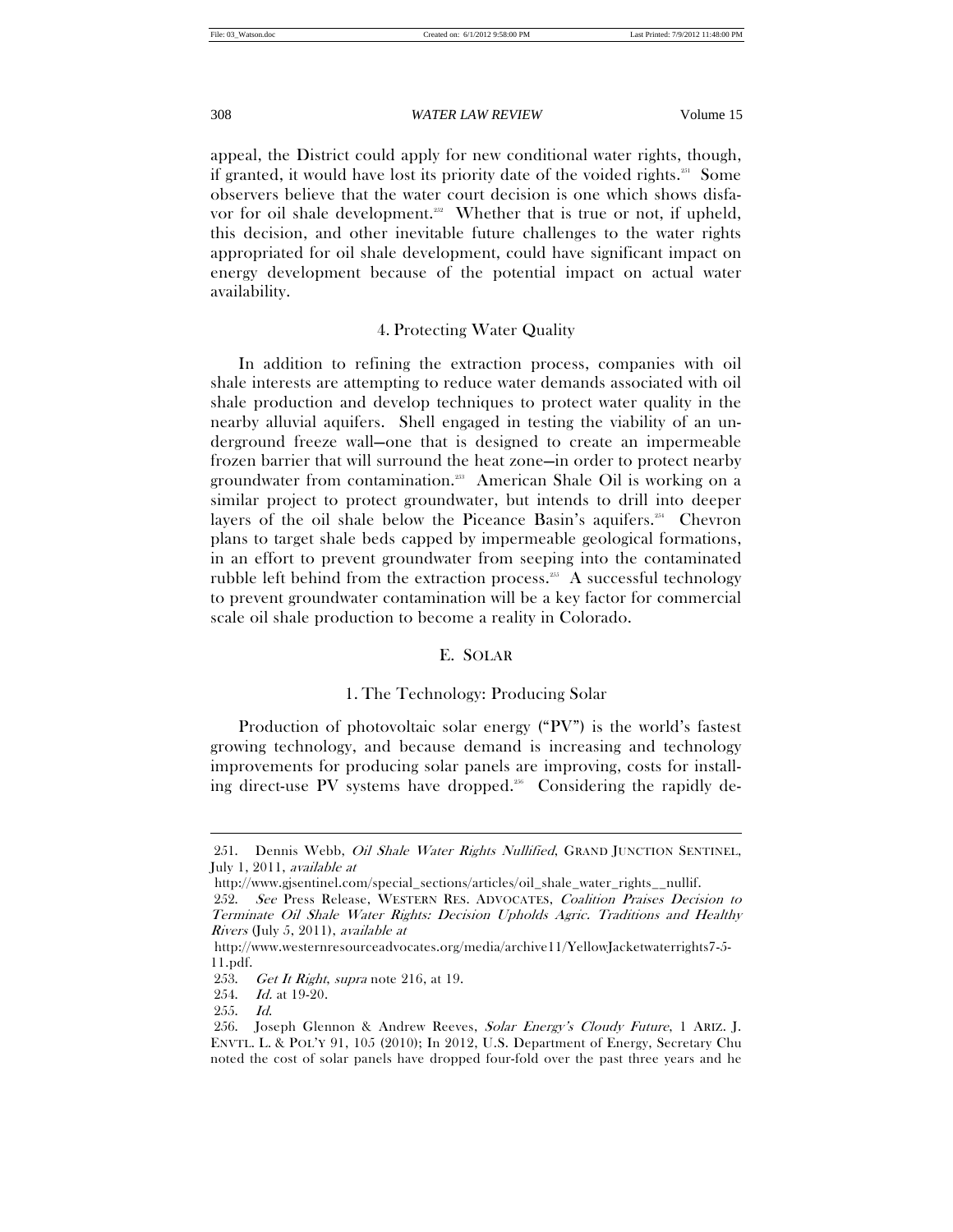appeal, the District could apply for new conditional water rights, though, if granted, it would have lost its priority date of the voided rights.<sup>251</sup> Some observers believe that the water court decision is one which shows disfavor for oil shale development.<sup>252</sup> Whether that is true or not, if upheld, this decision, and other inevitable future challenges to the water rights appropriated for oil shale development, could have significant impact on energy development because of the potential impact on actual water availability.

# 4. Protecting Water Quality

In addition to refining the extraction process, companies with oil shale interests are attempting to reduce water demands associated with oil shale production and develop techniques to protect water quality in the nearby alluvial aquifers. Shell engaged in testing the viability of an underground freeze wall—one that is designed to create an impermeable frozen barrier that will surround the heat zone—in order to protect nearby groundwater from contamination.253 American Shale Oil is working on a similar project to protect groundwater, but intends to drill into deeper layers of the oil shale below the Piceance Basin's aquifers.<sup>254</sup> Chevron plans to target shale beds capped by impermeable geological formations, in an effort to prevent groundwater from seeping into the contaminated rubble left behind from the extraction process.<sup>255</sup> A successful technology to prevent groundwater contamination will be a key factor for commercial scale oil shale production to become a reality in Colorado.

# E. SOLAR

# 1. The Technology: Producing Solar

Production of photovoltaic solar energy ("PV") is the world's fastest growing technology, and because demand is increasing and technology improvements for producing solar panels are improving, costs for installing direct-use PV systems have dropped.<sup>256</sup> Considering the rapidly de-

<sup>251.</sup> Dennis Webb, *Oil Shale Water Rights Nullified*, GRAND JUNCTION SENTINEL, July 1, 2011, available at

http://www.gjsentinel.com/special\_sections/articles/oil\_shale\_water\_rights\_\_nullif.

 <sup>252.</sup> See Press Release, WESTERN RES. ADVOCATES, Coalition Praises Decision to Terminate Oil Shale Water Rights: Decision Upholds Agric. Traditions and Healthy Rivers (July 5, 2011), available at

http://www.westernresourceadvocates.org/media/archive11/YellowJacketwaterrights7-5- 11.pdf.

<sup>253.</sup> Get It Right, supra note 216, at 19.

 <sup>254.</sup> Id. at 19-20.

 <sup>255.</sup> Id.

 <sup>256.</sup> Joseph Glennon & Andrew Reeves, Solar Energy's Cloudy Future, 1 ARIZ. J. ENVTL. L. & POL'Y 91, 105 (2010); In 2012, U.S. Department of Energy, Secretary Chu noted the cost of solar panels have dropped four-fold over the past three years and he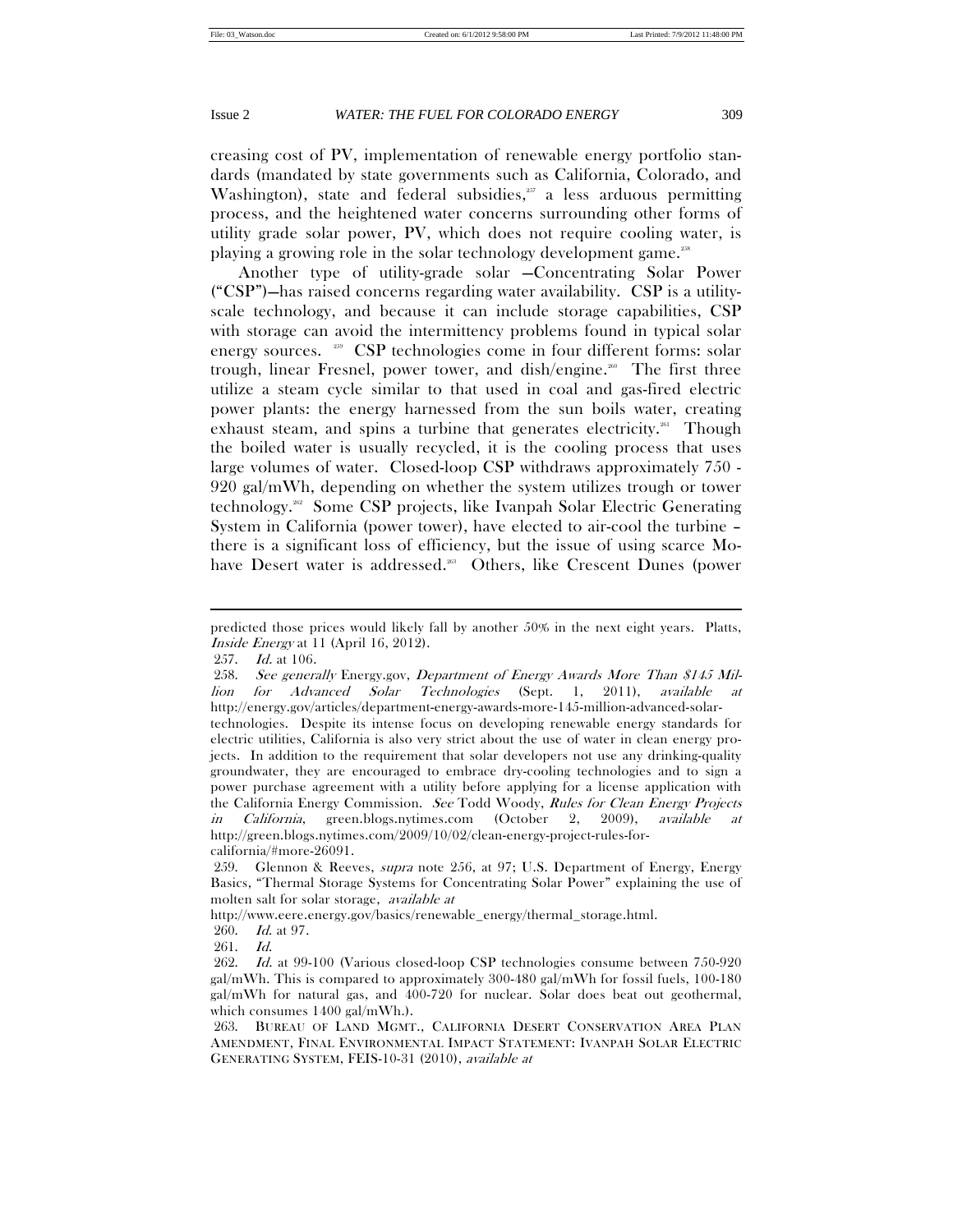creasing cost of PV, implementation of renewable energy portfolio standards (mandated by state governments such as California, Colorado, and Washington), state and federal subsidies, $257$  a less arduous permitting process, and the heightened water concerns surrounding other forms of utility grade solar power, PV, which does not require cooling water, is playing a growing role in the solar technology development game.258

Another type of utility-grade solar —Concentrating Solar Power ("CSP")—has raised concerns regarding water availability. CSP is a utilityscale technology, and because it can include storage capabilities, CSP with storage can avoid the intermittency problems found in typical solar energy sources. <sup>259</sup> CSP technologies come in four different forms: solar trough, linear Fresnel, power tower, and dish/engine.<sup>260</sup> The first three utilize a steam cycle similar to that used in coal and gas-fired electric power plants: the energy harnessed from the sun boils water, creating exhaust steam, and spins a turbine that generates electricity.<sup>261</sup> Though the boiled water is usually recycled, it is the cooling process that uses large volumes of water. Closed-loop CSP withdraws approximately 750 - 920 gal/mWh, depending on whether the system utilizes trough or tower technology.262 Some CSP projects, like Ivanpah Solar Electric Generating System in California (power tower), have elected to air-cool the turbine – there is a significant loss of efficiency, but the issue of using scarce Mohave Desert water is addressed.<sup>263</sup> Others, like Crescent Dunes (power

 $\overline{a}$ 

261. Id.

predicted those prices would likely fall by another 50% in the next eight years. Platts, Inside Energy at 11 (April 16, 2012).

 <sup>257.</sup> Id. at 106.

 <sup>258.</sup> See generally Energy.gov, Department of Energy Awards More Than \$145 Million for Advanced Solar Technologies (Sept. 1, 2011), available at http://energy.gov/articles/department-energy-awards-more-145-million-advanced-solartechnologies. Despite its intense focus on developing renewable energy standards for electric utilities, California is also very strict about the use of water in clean energy projects. In addition to the requirement that solar developers not use any drinking-quality groundwater, they are encouraged to embrace dry-cooling technologies and to sign a power purchase agreement with a utility before applying for a license application with the California Energy Commission. See Todd Woody, Rules for Clean Energy Projects in California, green.blogs.nytimes.com (October 2, 2009), available at http://green.blogs.nytimes.com/2009/10/02/clean-energy-project-rules-forcalifornia/#more-26091.

 <sup>259.</sup> Glennon & Reeves, supra note 256, at 97; U.S. Department of Energy, Energy Basics, "Thermal Storage Systems for Concentrating Solar Power" explaining the use of molten salt for solar storage, available at

http://www.eere.energy.gov/basics/renewable\_energy/thermal\_storage.html.

 <sup>260.</sup> Id. at 97.

 <sup>262.</sup> Id. at 99-100 (Various closed-loop CSP technologies consume between 750-920 gal/mWh. This is compared to approximately 300-480 gal/mWh for fossil fuels, 100-180 gal/mWh for natural gas, and 400-720 for nuclear. Solar does beat out geothermal, which consumes 1400 gal/mWh.).

 <sup>263.</sup> BUREAU OF LAND MGMT., CALIFORNIA DESERT CONSERVATION AREA PLAN AMENDMENT, FINAL ENVIRONMENTAL IMPACT STATEMENT: IVANPAH SOLAR ELECTRIC GENERATING SYSTEM, FEIS-10-31 (2010), available at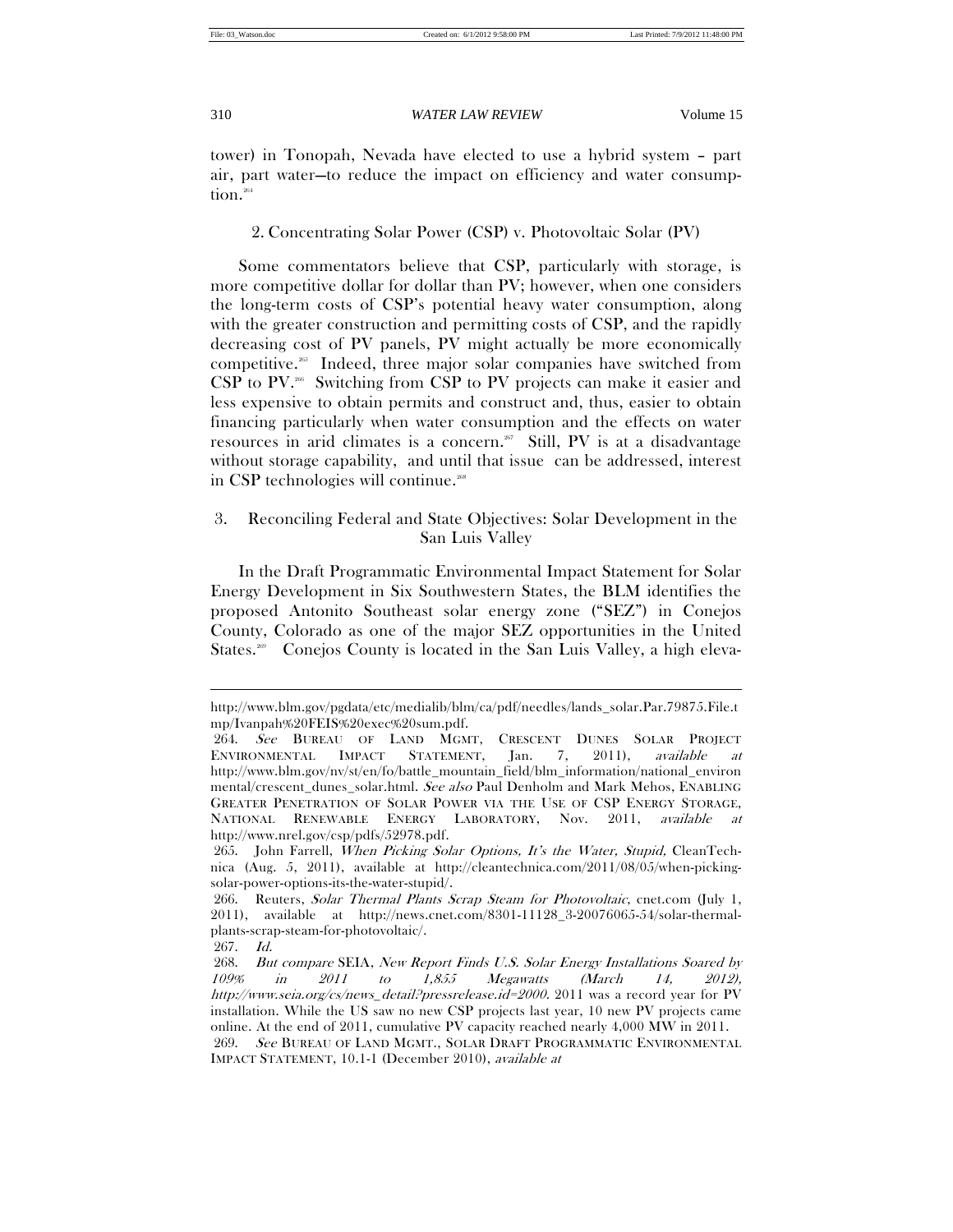tower) in Tonopah, Nevada have elected to use a hybrid system – part air, part water—to reduce the impact on efficiency and water consumption.<sup>264</sup>

2. Concentrating Solar Power (CSP) v. Photovoltaic Solar (PV)

Some commentators believe that CSP, particularly with storage, is more competitive dollar for dollar than PV; however, when one considers the long-term costs of CSP's potential heavy water consumption, along with the greater construction and permitting costs of CSP, and the rapidly decreasing cost of PV panels, PV might actually be more economically competitive.<sup>265</sup> Indeed, three major solar companies have switched from CSP to PV.<sup>266</sup> Switching from CSP to PV projects can make it easier and less expensive to obtain permits and construct and, thus, easier to obtain financing particularly when water consumption and the effects on water resources in arid climates is a concern.<sup>267</sup> Still, PV is at a disadvantage without storage capability, and until that issue can be addressed, interest in CSP technologies will continue.<sup>268</sup>

# 3. Reconciling Federal and State Objectives: Solar Development in the San Luis Valley

In the Draft Programmatic Environmental Impact Statement for Solar Energy Development in Six Southwestern States, the BLM identifies the proposed Antonito Southeast solar energy zone ("SEZ") in Conejos County, Colorado as one of the major SEZ opportunities in the United States.<sup>269</sup> Conejos County is located in the San Luis Valley, a high eleva-

http://www.blm.gov/pgdata/etc/medialib/blm/ca/pdf/needles/lands\_solar.Par.79875.File.t mp/Ivanpah%20FEIS%20exec%20sum.pdf.

 <sup>264.</sup> See BUREAU OF LAND MGMT, CRESCENT DUNES SOLAR PROJECT ENVIRONMENTAL IMPACT STATEMENT, Jan. 7, 2011), available at http://www.blm.gov/nv/st/en/fo/battle\_mountain\_field/blm\_information/national\_environ mental/crescent\_dunes\_solar.html. See also Paul Denholm and Mark Mehos, ENABLING GREATER PENETRATION OF SOLAR POWER VIA THE USE OF CSP ENERGY STORAGE, NATIONAL RENEWABLE ENERGY LABORATORY, Nov. 2011, available at http://www.nrel.gov/csp/pdfs/52978.pdf.

<sup>265.</sup> John Farrell, When Picking Solar Options, It's the Water, Stupid, CleanTechnica (Aug. 5, 2011), available at http://cleantechnica.com/2011/08/05/when-pickingsolar-power-options-its-the-water-stupid/.

 <sup>266.</sup> Reuters, Solar Thermal Plants Scrap Steam for Photovoltaic, cnet.com (July 1, 2011), available at http://news.cnet.com/8301-11128\_3-20076065-54/solar-thermalplants-scrap-steam-for-photovoltaic/.

 <sup>267.</sup> Id.

 <sup>268.</sup> But compare SEIA, New Report Finds U.S. Solar Energy Installations Soared by 109% in 2011 to 1,855 Megawatts (March 14, 2012), http://www.seia.org/cs/news\_detail?pressrelease.id=2000. 2011 was a record year for PV installation. While the US saw no new CSP projects last year, 10 new PV projects came online. At the end of 2011, cumulative PV capacity reached nearly 4,000 MW in 2011. 269. See BUREAU OF LAND MGMT., SOLAR DRAFT PROGRAMMATIC ENVIRONMENTAL IMPACT STATEMENT, 10.1-1 (December 2010), available at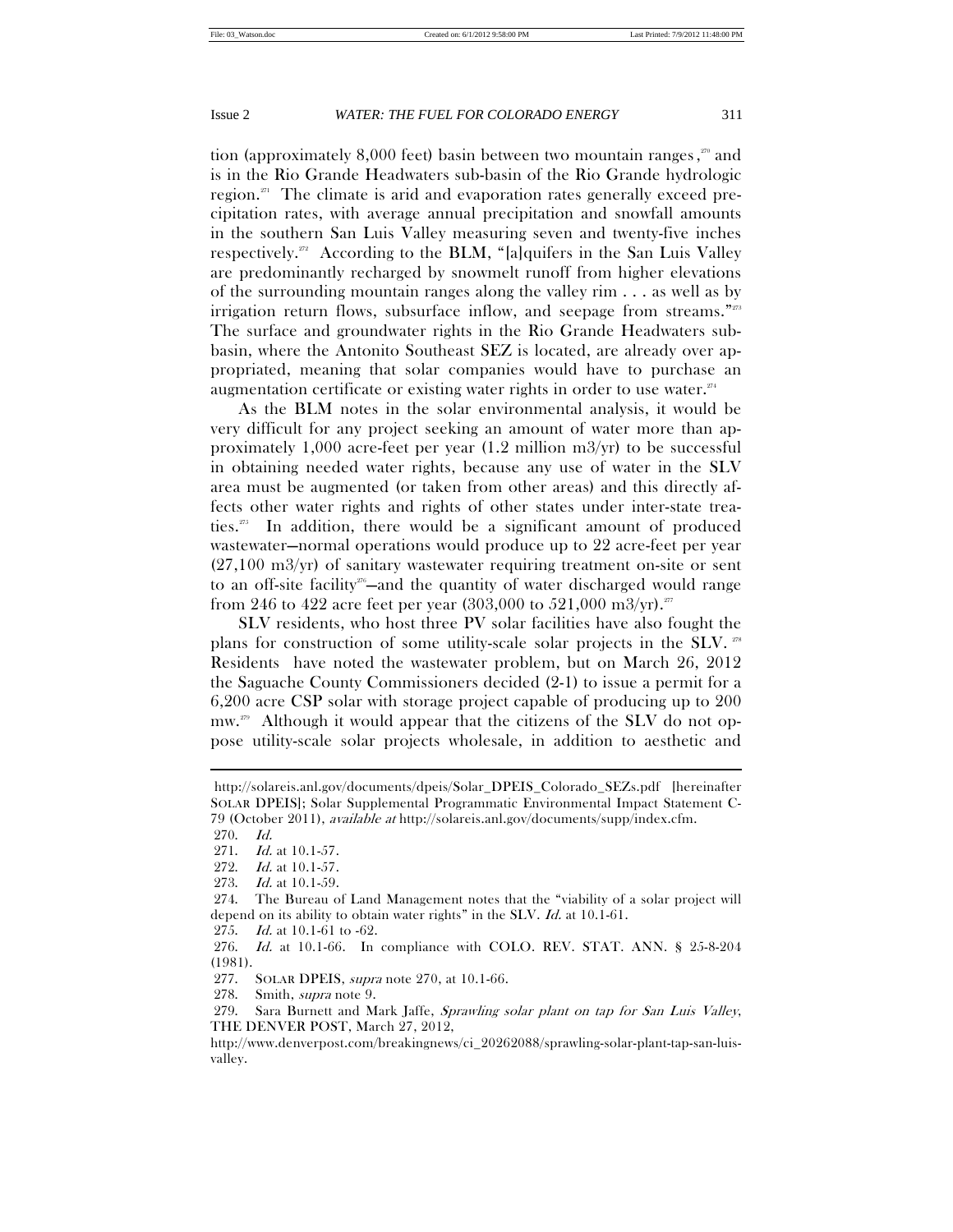tion (approximately 8,000 feet) basin between two mountain ranges, 270 and is in the Rio Grande Headwaters sub-basin of the Rio Grande hydrologic region. $271$  The climate is arid and evaporation rates generally exceed precipitation rates, with average annual precipitation and snowfall amounts in the southern San Luis Valley measuring seven and twenty-five inches respectively.<sup>272</sup> According to the BLM, "[a]quifers in the San Luis Valley are predominantly recharged by snowmelt runoff from higher elevations of the surrounding mountain ranges along the valley rim . . . as well as by irrigation return flows, subsurface inflow, and seepage from streams."273 The surface and groundwater rights in the Rio Grande Headwaters subbasin, where the Antonito Southeast SEZ is located, are already over appropriated, meaning that solar companies would have to purchase an augmentation certificate or existing water rights in order to use water. $274$ 

As the BLM notes in the solar environmental analysis, it would be very difficult for any project seeking an amount of water more than approximately 1,000 acre-feet per year (1.2 million m3/yr) to be successful in obtaining needed water rights, because any use of water in the SLV area must be augmented (or taken from other areas) and this directly affects other water rights and rights of other states under inter-state treaties.275 In addition, there would be a significant amount of produced wastewater—normal operations would produce up to 22 acre-feet per year (27,100 m3/yr) of sanitary wastewater requiring treatment on-site or sent to an off-site facility<sup>276</sup>—and the quantity of water discharged would range from 246 to 422 acre feet per year (303,000 to 521,000 m3/yr).<sup>277</sup>

SLV residents, who host three PV solar facilities have also fought the plans for construction of some utility-scale solar projects in the SLV. 278 Residents have noted the wastewater problem, but on March 26, 2012 the Saguache County Commissioners decided (2-1) to issue a permit for a 6,200 acre CSP solar with storage project capable of producing up to 200  $\text{mw}^{279}$  Although it would appear that the citizens of the SLV do not oppose utility-scale solar projects wholesale, in addition to aesthetic and

 $\overline{a}$ 

275. Id. at 10.1-61 to -62.

 276. Id. at 10.1-66. In compliance with COLO. REV. STAT. ANN. § 25-8-204 (1981).

277. SOLAR DPEIS, supra note 270, at 10.1-66.

278. Smith, supra note 9.

 279. Sara Burnett and Mark Jaffe, Sprawling solar plant on tap for San Luis Valley, THE DENVER POST, March 27, 2012,

http://www.denverpost.com/breakingnews/ci\_20262088/sprawling-solar-plant-tap-san-luisvalley.

http://solareis.anl.gov/documents/dpeis/Solar\_DPEIS\_Colorado\_SEZs.pdf [hereinafter SOLAR DPEIS]; Solar Supplemental Programmatic Environmental Impact Statement C-79 (October 2011), available at http://solareis.anl.gov/documents/supp/index.cfm.

 <sup>270.</sup> Id.

 <sup>271.</sup> Id. at 10.1-57.

<sup>272.</sup> *Id.* at 10.1-57.

<sup>273.</sup> *Id.* at 10.1-59.

 <sup>274.</sup> The Bureau of Land Management notes that the "viability of a solar project will depend on its ability to obtain water rights" in the SLV. Id. at 10.1-61.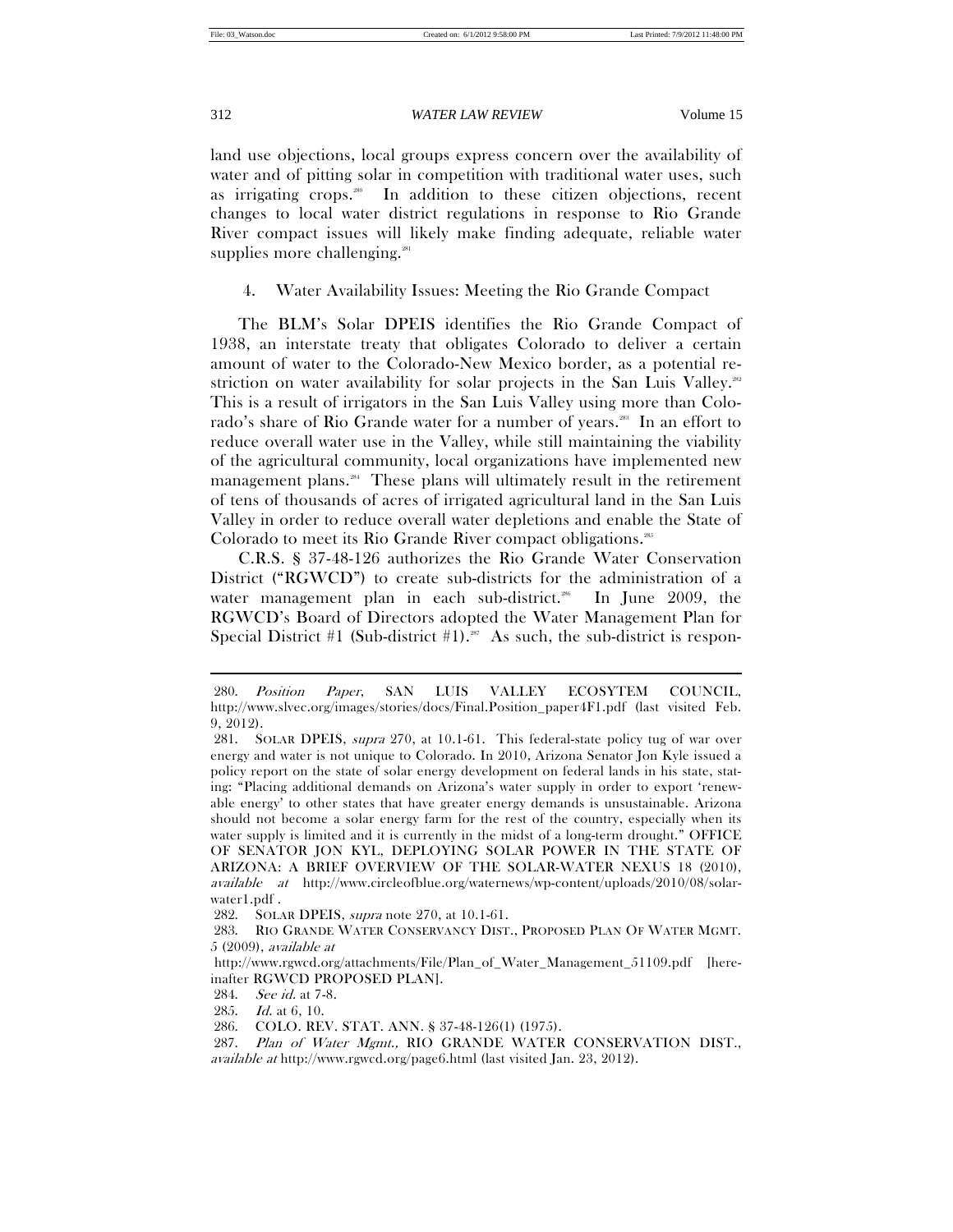$\overline{a}$ 

## 312 *WATER LAW REVIEW* Volume 15

land use objections, local groups express concern over the availability of water and of pitting solar in competition with traditional water uses, such as irrigating crops.<sup>280</sup> In addition to these citizen objections, recent changes to local water district regulations in response to Rio Grande River compact issues will likely make finding adequate, reliable water supplies more challenging.<sup>281</sup>

4. Water Availability Issues: Meeting the Rio Grande Compact

The BLM's Solar DPEIS identifies the Rio Grande Compact of 1938, an interstate treaty that obligates Colorado to deliver a certain amount of water to the Colorado-New Mexico border, as a potential restriction on water availability for solar projects in the San Luis Valley.<sup>282</sup> This is a result of irrigators in the San Luis Valley using more than Colorado's share of Rio Grande water for a number of years.<sup>283</sup> In an effort to reduce overall water use in the Valley, while still maintaining the viability of the agricultural community, local organizations have implemented new management plans.284 These plans will ultimately result in the retirement of tens of thousands of acres of irrigated agricultural land in the San Luis Valley in order to reduce overall water depletions and enable the State of Colorado to meet its Rio Grande River compact obligations.<sup>285</sup>

C.R.S. § 37-48-126 authorizes the Rio Grande Water Conservation District ("RGWCD") to create sub-districts for the administration of a water management plan in each sub-district.<sup>286</sup> In June 2009, the RGWCD's Board of Directors adopted the Water Management Plan for Special District #1 (Sub-district #1).<sup>287</sup> As such, the sub-district is respon-

 <sup>280.</sup> Position Paper, SAN LUIS VALLEY ECOSYTEM COUNCIL, http://www.slvec.org/images/stories/docs/Final.Position\_paper4F1.pdf (last visited Feb. 9, 2012).

 <sup>281.</sup> SOLAR DPEIS, supra 270, at 10.1-61. This federal-state policy tug of war over energy and water is not unique to Colorado. In 2010, Arizona Senator Jon Kyle issued a policy report on the state of solar energy development on federal lands in his state, stating: "Placing additional demands on Arizona's water supply in order to export 'renewable energy' to other states that have greater energy demands is unsustainable. Arizona should not become a solar energy farm for the rest of the country, especially when its water supply is limited and it is currently in the midst of a long-term drought." OFFICE OF SENATOR JON KYL, DEPLOYING SOLAR POWER IN THE STATE OF ARIZONA: A BRIEF OVERVIEW OF THE SOLAR-WATER NEXUS 18 (2010), available at http://www.circleofblue.org/waternews/wp-content/uploads/2010/08/solarwater1.pdf .

 <sup>282.</sup> SOLAR DPEIS, supra note 270, at 10.1-61.

<sup>283.</sup> RIO GRANDE WATER CONSERVANCY DIST., PROPOSED PLAN OF WATER MGMT. 5 (2009), available at

http://www.rgwcd.org/attachments/File/Plan\_of\_Water\_Management\_51109.pdf [hereinafter RGWCD PROPOSED PLAN].

 <sup>284.</sup> See id. at 7-8.

<sup>285.</sup> *Id.* at 6, 10.

 <sup>286.</sup> COLO. REV. STAT. ANN. § 37-48-126(1) (1975).

<sup>287.</sup> Plan of Water Mgmt., RIO GRANDE WATER CONSERVATION DIST., available at http://www.rgwcd.org/page6.html (last visited Jan. 23, 2012).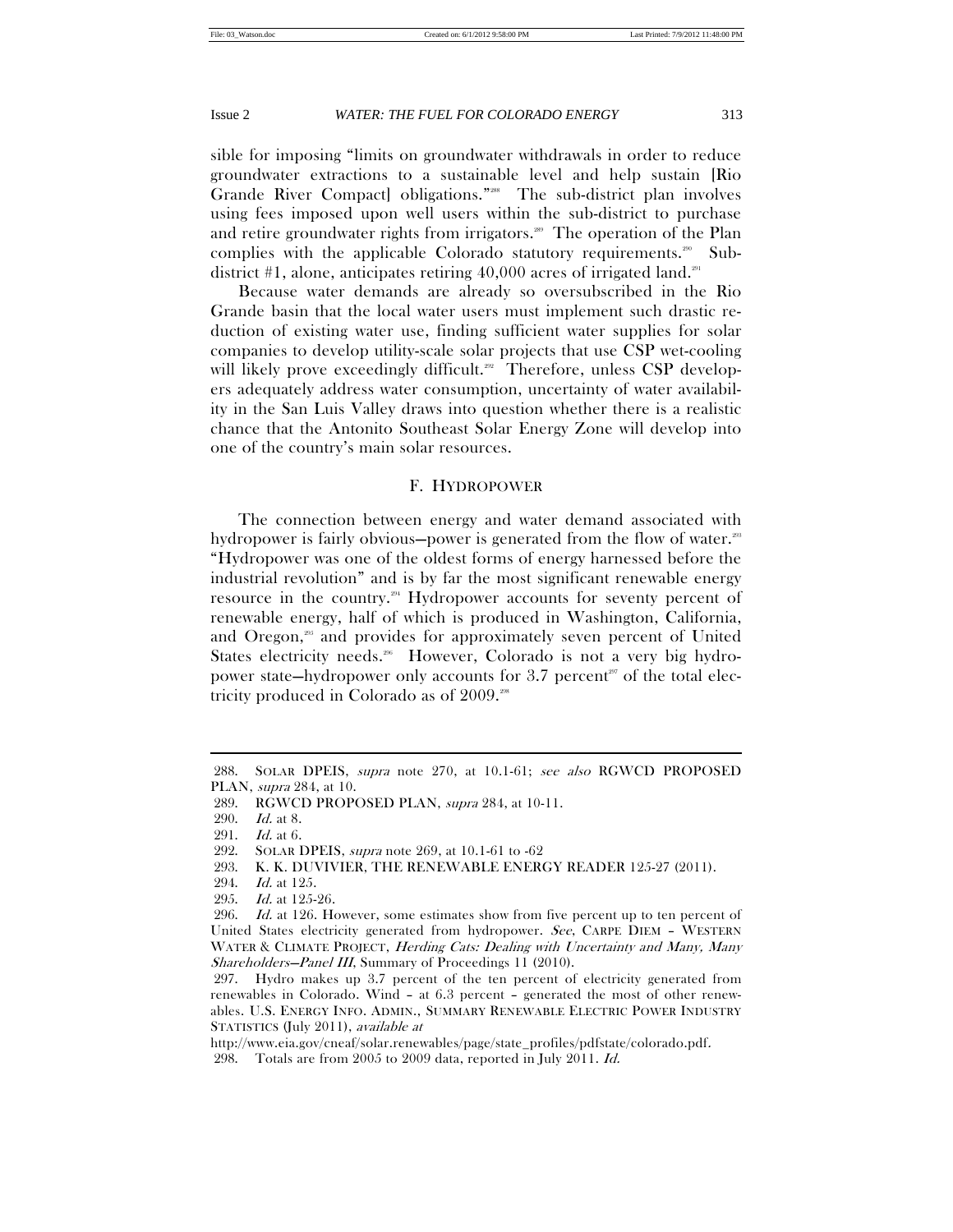sible for imposing "limits on groundwater withdrawals in order to reduce groundwater extractions to a sustainable level and help sustain [Rio Grande River Compact] obligations."288 The sub-district plan involves using fees imposed upon well users within the sub-district to purchase and retire groundwater rights from irrigators.<sup>289</sup> The operation of the Plan complies with the applicable Colorado statutory requirements.<sup>290</sup> Subdistrict #1, alone, anticipates retiring  $40,000$  acres of irrigated land.<sup>291</sup>

Because water demands are already so oversubscribed in the Rio Grande basin that the local water users must implement such drastic reduction of existing water use, finding sufficient water supplies for solar companies to develop utility-scale solar projects that use CSP wet-cooling will likely prove exceedingly difficult.<sup>292</sup> Therefore, unless CSP developers adequately address water consumption, uncertainty of water availability in the San Luis Valley draws into question whether there is a realistic chance that the Antonito Southeast Solar Energy Zone will develop into one of the country's main solar resources.

# F. HYDROPOWER

The connection between energy and water demand associated with hydropower is fairly obvious—power is generated from the flow of water.<sup>28</sup> "Hydropower was one of the oldest forms of energy harnessed before the industrial revolution" and is by far the most significant renewable energy resource in the country.294 Hydropower accounts for seventy percent of renewable energy, half of which is produced in Washington, California, and Oregon,<sup>295</sup> and provides for approximately seven percent of United States electricity needs.<sup>206</sup> However, Colorado is not a very big hydropower state—hydropower only accounts for 3.7 percent<sup>297</sup> of the total electricity produced in Colorado as of 2009.298

 <sup>288.</sup> SOLAR DPEIS, supra note 270, at 10.1-61; see also RGWCD PROPOSED PLAN, supra 284, at 10.

 <sup>289.</sup> RGWCD PROPOSED PLAN, supra 284, at 10-11.

 <sup>290.</sup> Id. at 8.

 <sup>291.</sup> Id. at 6.

 <sup>292.</sup> SOLAR DPEIS, supra note 269, at 10.1-61 to -62

 <sup>293.</sup> K. K. DUVIVIER, THE RENEWABLE ENERGY READER 125-27 (2011).

 <sup>294.</sup> Id. at 125.

 <sup>295.</sup> Id. at 125-26.

<sup>296.</sup> Id. at 126. However, some estimates show from five percent up to ten percent of United States electricity generated from hydropower. See, CARPE DIEM – WESTERN WATER & CLIMATE PROJECT, Herding Cats: Dealing with Uncertainty and Many, Many Shareholders–Panel III, Summary of Proceedings 11 (2010).

 <sup>297.</sup> Hydro makes up 3.7 percent of the ten percent of electricity generated from renewables in Colorado. Wind – at 6.3 percent – generated the most of other renewables. U.S. ENERGY INFO. ADMIN., SUMMARY RENEWABLE ELECTRIC POWER INDUSTRY STATISTICS (July 2011), available at

http://www.eia.gov/cneaf/solar.renewables/page/state\_profiles/pdfstate/colorado.pdf.

 <sup>298.</sup> Totals are from 2005 to 2009 data, reported in July 2011. Id.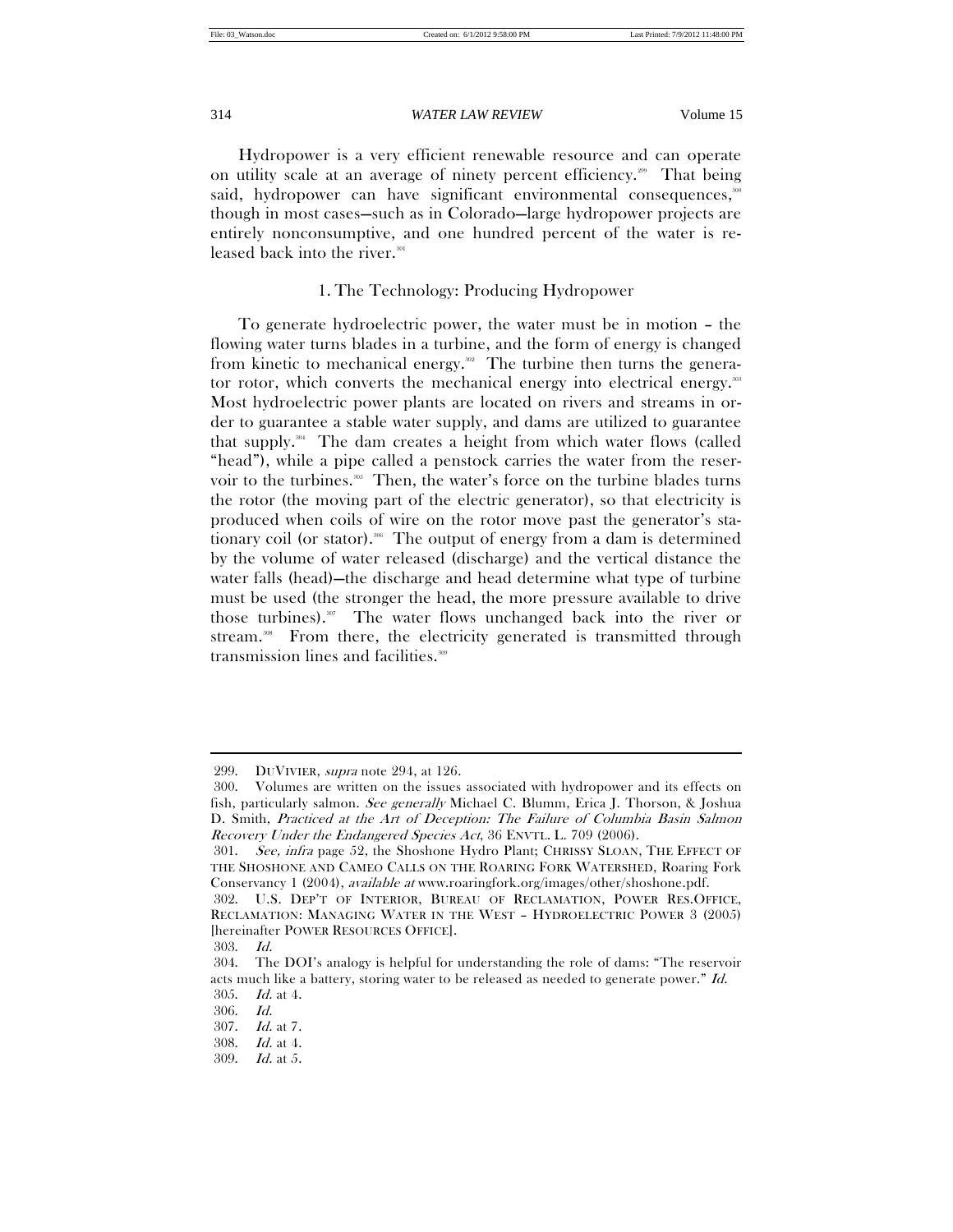Hydropower is a very efficient renewable resource and can operate on utility scale at an average of ninety percent efficiency.<sup>299</sup> That being said, hydropower can have significant environmental consequences,<sup>300</sup> though in most cases—such as in Colorado—large hydropower projects are entirely nonconsumptive, and one hundred percent of the water is released back into the river.<sup>301</sup>

# 1. The Technology: Producing Hydropower

To generate hydroelectric power, the water must be in motion – the flowing water turns blades in a turbine, and the form of energy is changed from kinetic to mechanical energy.<sup>302</sup> The turbine then turns the generator rotor, which converts the mechanical energy into electrical energy.<sup>303</sup> Most hydroelectric power plants are located on rivers and streams in order to guarantee a stable water supply, and dams are utilized to guarantee that supply.<sup>304</sup> The dam creates a height from which water flows (called "head"), while a pipe called a penstock carries the water from the reservoir to the turbines.<sup>305</sup> Then, the water's force on the turbine blades turns the rotor (the moving part of the electric generator), so that electricity is produced when coils of wire on the rotor move past the generator's stationary coil (or stator).<sup>366</sup> The output of energy from a dam is determined by the volume of water released (discharge) and the vertical distance the water falls (head)—the discharge and head determine what type of turbine must be used (the stronger the head, the more pressure available to drive those turbines).<sup>307</sup> The water flows unchanged back into the river or stream.<sup>308</sup> From there, the electricity generated is transmitted through transmission lines and facilities.<sup>309</sup>

 <sup>299.</sup> DUVIVIER, supra note 294, at 126.

 <sup>300.</sup> Volumes are written on the issues associated with hydropower and its effects on fish, particularly salmon. See generally Michael C. Blumm, Erica J. Thorson, & Joshua D. Smith, Practiced at the Art of Deception: The Failure of Columbia Basin Salmon Recovery Under the Endangered Species Act, 36 ENVTL. L. 709 (2006).

 <sup>301.</sup> See, infra page 52, the Shoshone Hydro Plant; CHRISSY SLOAN, THE EFFECT OF THE SHOSHONE AND CAMEO CALLS ON THE ROARING FORK WATERSHED, Roaring Fork Conservancy 1 (2004), available at www.roaringfork.org/images/other/shoshone.pdf.

 <sup>302.</sup> U.S. DEP'T OF INTERIOR, BUREAU OF RECLAMATION, POWER RES.OFFICE, RECLAMATION: MANAGING WATER IN THE WEST – HYDROELECTRIC POWER 3 (2005) [hereinafter POWER RESOURCES OFFICE].

 <sup>303.</sup> Id.

 <sup>304.</sup> The DOI's analogy is helpful for understanding the role of dams: "The reservoir acts much like a battery, storing water to be released as needed to generate power." Id. 305. Id. at 4.

 <sup>306.</sup> Id.

 <sup>307.</sup> Id. at 7.

 <sup>308.</sup> Id. at 4.

 <sup>309.</sup> Id. at 5.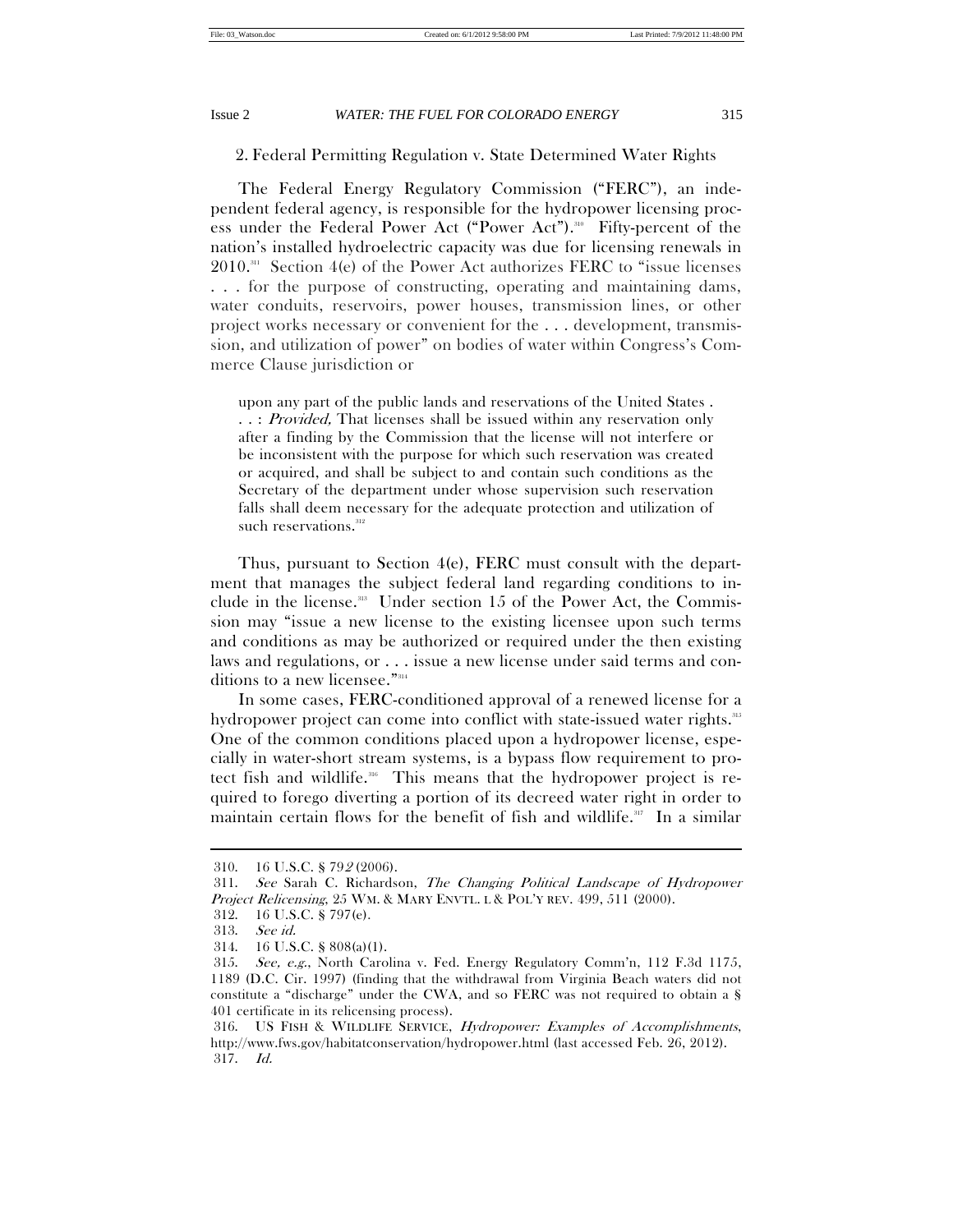2. Federal Permitting Regulation v. State Determined Water Rights

The Federal Energy Regulatory Commission ("FERC"), an independent federal agency, is responsible for the hydropower licensing process under the Federal Power Act ("Power Act").<sup>310</sup> Fifty-percent of the nation's installed hydroelectric capacity was due for licensing renewals in 2010.311 Section 4(e) of the Power Act authorizes FERC to "issue licenses . . . for the purpose of constructing, operating and maintaining dams, water conduits, reservoirs, power houses, transmission lines, or other project works necessary or convenient for the . . . development, transmission, and utilization of power" on bodies of water within Congress's Commerce Clause jurisdiction or

upon any part of the public lands and reservations of the United States . ..: *Provided*, That licenses shall be issued within any reservation only after a finding by the Commission that the license will not interfere or be inconsistent with the purpose for which such reservation was created or acquired, and shall be subject to and contain such conditions as the Secretary of the department under whose supervision such reservation falls shall deem necessary for the adequate protection and utilization of such reservations. $312$ 

Thus, pursuant to Section 4(e), FERC must consult with the department that manages the subject federal land regarding conditions to include in the license.<sup>313</sup> Under section 15 of the Power Act, the Commission may "issue a new license to the existing licensee upon such terms and conditions as may be authorized or required under the then existing laws and regulations, or . . . issue a new license under said terms and conditions to a new licensee."<sup>314</sup>

In some cases, FERC-conditioned approval of a renewed license for a hydropower project can come into conflict with state-issued water rights.<sup>315</sup> One of the common conditions placed upon a hydropower license, especially in water-short stream systems, is a bypass flow requirement to protect fish and wildlife.<sup>316</sup> This means that the hydropower project is required to forego diverting a portion of its decreed water right in order to maintain certain flows for the benefit of fish and wildlife. $317$  In a similar

 <sup>310. 16</sup> U.S.C. § 792 (2006).

 <sup>311.</sup> See Sarah C. Richardson, The Changing Political Landscape of Hydropower Project Relicensing, 25 WM. & MARY ENVTL. L & POL'Y REV. 499, 511 (2000).

 <sup>312. 16</sup> U.S.C. § 797(e).

 <sup>313.</sup> See id.

 <sup>314. 16</sup> U.S.C. § 808(a)(1).

 <sup>315.</sup> See, e.g., North Carolina v. Fed. Energy Regulatory Comm'n, 112 F.3d 1175, 1189 (D.C. Cir. 1997) (finding that the withdrawal from Virginia Beach waters did not constitute a "discharge" under the CWA, and so FERC was not required to obtain a § 401 certificate in its relicensing process).

 <sup>316.</sup> US FISH & WILDLIFE SERVICE, Hydropower: Examples of Accomplishments, http://www.fws.gov/habitatconservation/hydropower.html (last accessed Feb. 26, 2012). 317. Id.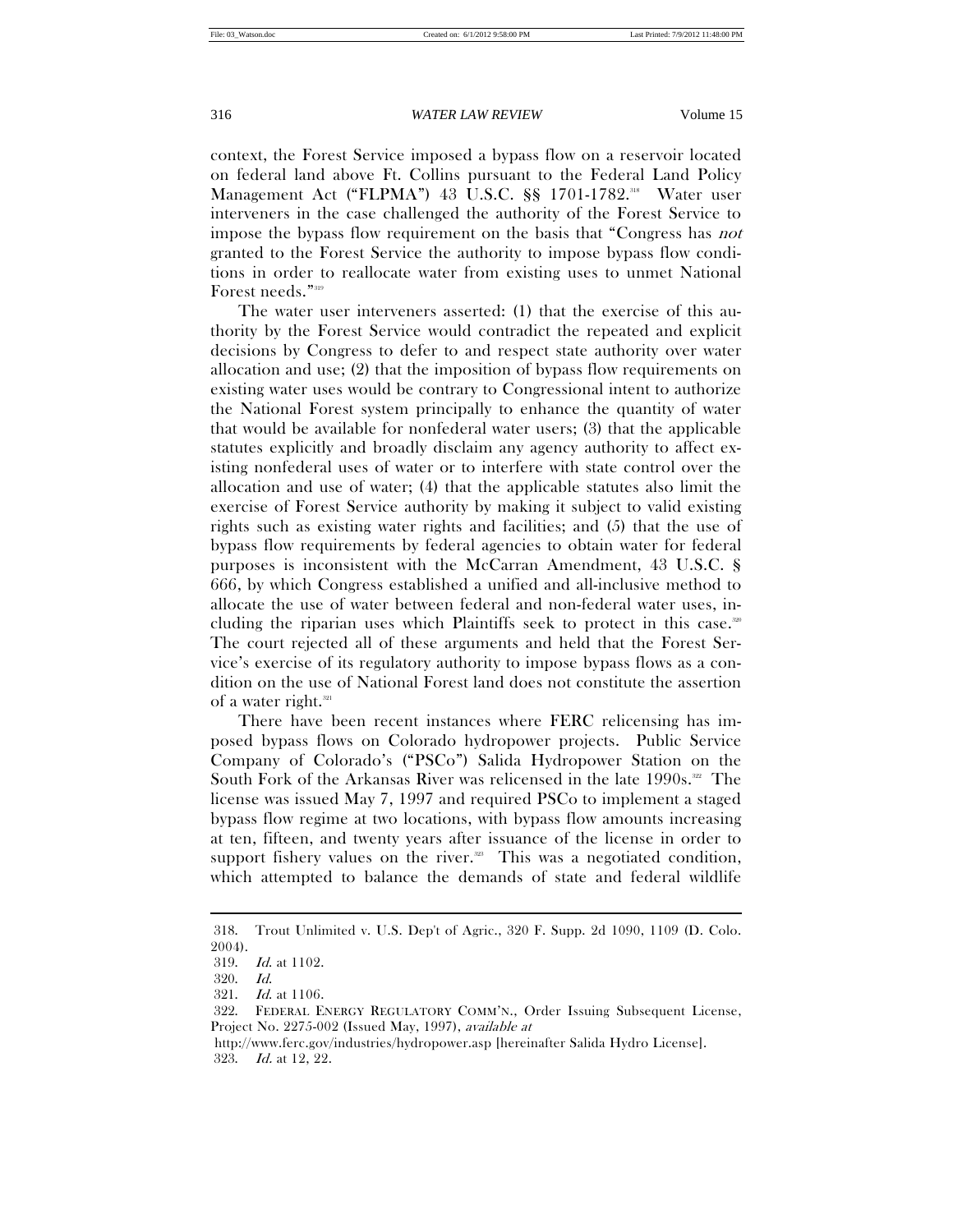context, the Forest Service imposed a bypass flow on a reservoir located on federal land above Ft. Collins pursuant to the Federal Land Policy Management Act ("FLPMA") 43 U.S.C. §§ 1701-1782.<sup>318</sup> Water user interveners in the case challenged the authority of the Forest Service to impose the bypass flow requirement on the basis that "Congress has not granted to the Forest Service the authority to impose bypass flow conditions in order to reallocate water from existing uses to unmet National Forest needs."<sup>319</sup>

The water user interveners asserted: (1) that the exercise of this authority by the Forest Service would contradict the repeated and explicit decisions by Congress to defer to and respect state authority over water allocation and use; (2) that the imposition of bypass flow requirements on existing water uses would be contrary to Congressional intent to authorize the National Forest system principally to enhance the quantity of water that would be available for nonfederal water users; (3) that the applicable statutes explicitly and broadly disclaim any agency authority to affect existing nonfederal uses of water or to interfere with state control over the allocation and use of water; (4) that the applicable statutes also limit the exercise of Forest Service authority by making it subject to valid existing rights such as existing water rights and facilities; and (5) that the use of bypass flow requirements by federal agencies to obtain water for federal purposes is inconsistent with the McCarran Amendment, 43 U.S.C. § 666, by which Congress established a unified and all-inclusive method to allocate the use of water between federal and non-federal water uses, including the riparian uses which Plaintiffs seek to protect in this case.320 The court rejected all of these arguments and held that the Forest Service's exercise of its regulatory authority to impose bypass flows as a condition on the use of National Forest land does not constitute the assertion of a water right. $321$ 

There have been recent instances where FERC relicensing has imposed bypass flows on Colorado hydropower projects. Public Service Company of Colorado's ("PSCo") Salida Hydropower Station on the South Fork of the Arkansas River was relicensed in the late  $1990s<sup>322</sup>$ . The license was issued May 7, 1997 and required PSCo to implement a staged bypass flow regime at two locations, with bypass flow amounts increasing at ten, fifteen, and twenty years after issuance of the license in order to support fishery values on the river. $323$  This was a negotiated condition, which attempted to balance the demands of state and federal wildlife

 <sup>318.</sup> Trout Unlimited v. U.S. Dep't of Agric., 320 F. Supp. 2d 1090, 1109 (D. Colo. 2004).

 <sup>319.</sup> Id. at 1102.

 <sup>320.</sup> Id.

 <sup>321.</sup> Id. at 1106.

 <sup>322.</sup> FEDERAL ENERGY REGULATORY COMM'N., Order Issuing Subsequent License, Project No. 2275-002 (Issued May, 1997), available at

http://www.ferc.gov/industries/hydropower.asp [hereinafter Salida Hydro License]. 323. Id. at 12, 22.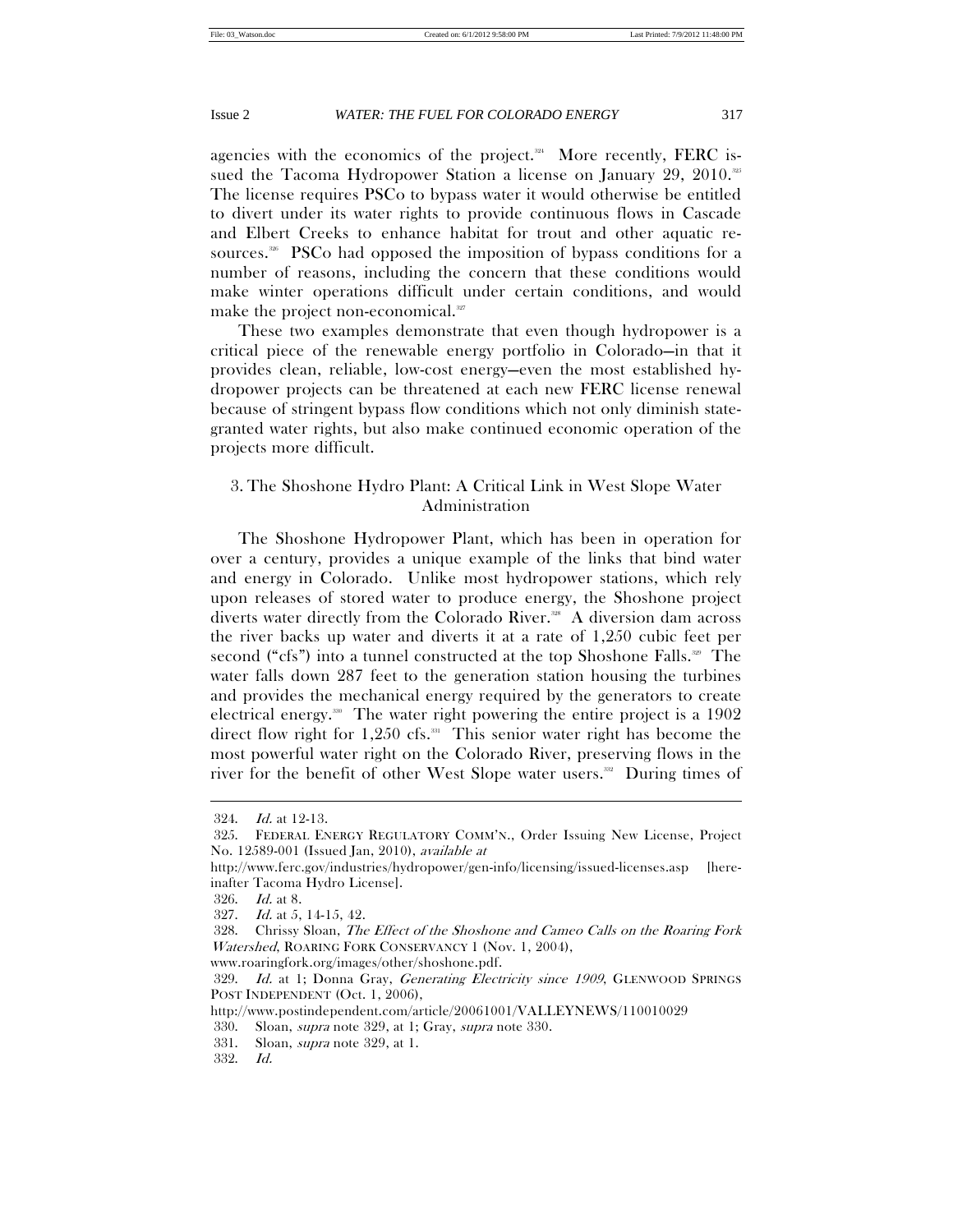agencies with the economics of the project. $244$  More recently, FERC issued the Tacoma Hydropower Station a license on January 29, 2010.<sup>325</sup> The license requires PSCo to bypass water it would otherwise be entitled to divert under its water rights to provide continuous flows in Cascade and Elbert Creeks to enhance habitat for trout and other aquatic resources.<sup>336</sup> PSCo had opposed the imposition of bypass conditions for a number of reasons, including the concern that these conditions would make winter operations difficult under certain conditions, and would make the project non-economical.<sup>327</sup>

These two examples demonstrate that even though hydropower is a critical piece of the renewable energy portfolio in Colorado—in that it provides clean, reliable, low-cost energy—even the most established hydropower projects can be threatened at each new FERC license renewal because of stringent bypass flow conditions which not only diminish stategranted water rights, but also make continued economic operation of the projects more difficult.

# 3. The Shoshone Hydro Plant: A Critical Link in West Slope Water Administration

The Shoshone Hydropower Plant, which has been in operation for over a century, provides a unique example of the links that bind water and energy in Colorado. Unlike most hydropower stations, which rely upon releases of stored water to produce energy, the Shoshone project diverts water directly from the Colorado River.<sup>328</sup> A diversion dam across the river backs up water and diverts it at a rate of 1,250 cubic feet per second ("cfs") into a tunnel constructed at the top Shoshone Falls.<sup>329</sup> The water falls down 287 feet to the generation station housing the turbines and provides the mechanical energy required by the generators to create electrical energy.<sup>330</sup> The water right powering the entire project is a  $1902$ direct flow right for  $1,250$  cfs.<sup>331</sup> This senior water right has become the most powerful water right on the Colorado River, preserving flows in the river for the benefit of other West Slope water users.<sup>332</sup> During times of

 <sup>324.</sup> Id. at 12-13.

 <sup>325.</sup> FEDERAL ENERGY REGULATORY COMM'N., Order Issuing New License, Project No. 12589-001 (Issued Jan, 2010), available at

http://www.ferc.gov/industries/hydropower/gen-info/licensing/issued-licenses.asp [hereinafter Tacoma Hydro License].

 <sup>326.</sup> Id. at 8.

 <sup>327.</sup> Id. at 5, 14-15, 42.

 <sup>328.</sup> Chrissy Sloan, The Effect of the Shoshone and Cameo Calls on the Roaring Fork Watershed, ROARING FORK CONSERVANCY 1 (Nov. 1, 2004),

www.roaringfork.org/images/other/shoshone.pdf.

<sup>329.</sup> Id. at 1; Donna Gray, Generating Electricity since 1909, GLENWOOD SPRINGS POST INDEPENDENT (Oct. 1, 2006),

http://www.postindependent.com/article/20061001/VALLEYNEWS/110010029

 <sup>330.</sup> Sloan, supra note 329, at 1; Gray, supra note 330.

 <sup>331.</sup> Sloan, supra note 329, at 1.

 <sup>332.</sup> Id.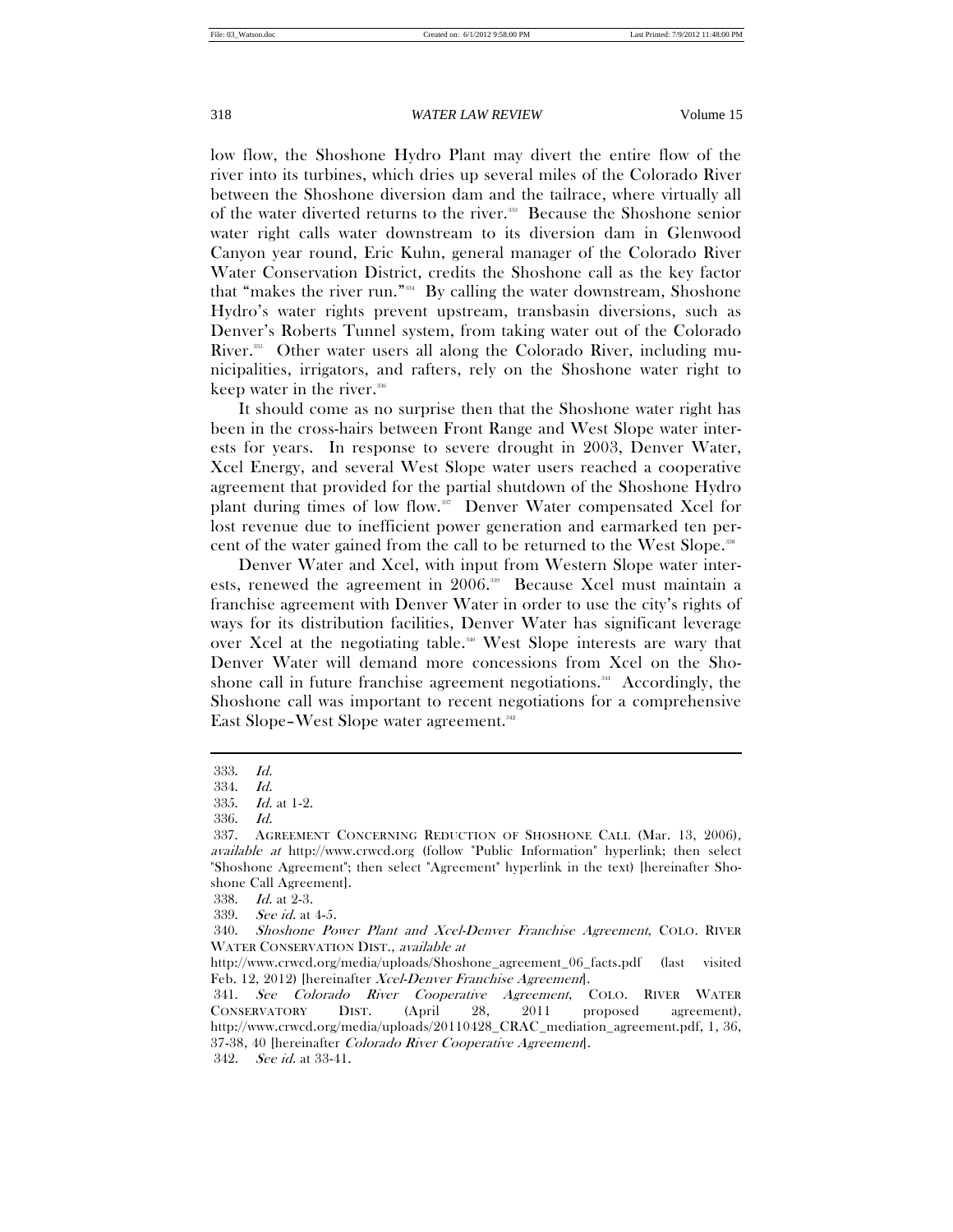low flow, the Shoshone Hydro Plant may divert the entire flow of the river into its turbines, which dries up several miles of the Colorado River between the Shoshone diversion dam and the tailrace, where virtually all of the water diverted returns to the river.<sup>333</sup> Because the Shoshone senior water right calls water downstream to its diversion dam in Glenwood Canyon year round, Eric Kuhn, general manager of the Colorado River Water Conservation District, credits the Shoshone call as the key factor that "makes the river run."334 By calling the water downstream, Shoshone Hydro's water rights prevent upstream, transbasin diversions, such as Denver's Roberts Tunnel system, from taking water out of the Colorado River.<sup>335</sup> Other water users all along the Colorado River, including municipalities, irrigators, and rafters, rely on the Shoshone water right to keep water in the river.<sup>336</sup>

It should come as no surprise then that the Shoshone water right has been in the cross-hairs between Front Range and West Slope water interests for years. In response to severe drought in 2003, Denver Water, Xcel Energy, and several West Slope water users reached a cooperative agreement that provided for the partial shutdown of the Shoshone Hydro plant during times of low flow.<sup>337</sup> Denver Water compensated Xcel for lost revenue due to inefficient power generation and earmarked ten percent of the water gained from the call to be returned to the West Slope.<sup>338</sup>

Denver Water and Xcel, with input from Western Slope water interests, renewed the agreement in 2006.<sup>339</sup> Because Xcel must maintain a franchise agreement with Denver Water in order to use the city's rights of ways for its distribution facilities, Denver Water has significant leverage over Xcel at the negotiating table.<sup>340</sup> West Slope interests are wary that Denver Water will demand more concessions from Xcel on the Shoshone call in future franchise agreement negotiations.<sup>341</sup> Accordingly, the Shoshone call was important to recent negotiations for a comprehensive East Slope–West Slope water agreement.<sup>342</sup>

 $\overline{a}$ 

342. See id. at 33-41.

 <sup>333.</sup> Id.

 <sup>334.</sup> Id.

 <sup>335.</sup> Id. at 1-2.

 <sup>336.</sup> Id.

 <sup>337.</sup> AGREEMENT CONCERNING REDUCTION OF SHOSHONE CALL (Mar. 13, 2006), available at http://www.crwcd.org (follow "Public Information" hyperlink; then select "Shoshone Agreement"; then select "Agreement" hyperlink in the text) [hereinafter Shoshone Call Agreement].

 <sup>338.</sup> Id. at 2-3.

 <sup>339.</sup> See id. at 4-5.

 <sup>340.</sup> Shoshone Power Plant and Xcel-Denver Franchise Agreement, COLO. RIVER WATER CONSERVATION DIST., available at

http://www.crwcd.org/media/uploads/Shoshone\_agreement\_06\_facts.pdf (last visited Feb. 12, 2012) [hereinafter Xcel-Denver Franchise Agreement].

 <sup>341.</sup> See Colorado River Cooperative Agreement, COLO. RIVER WATER CONSERVATORY DIST. (April 28, 2011 proposed agreement), http://www.crwcd.org/media/uploads/20110428\_CRAC\_mediation\_agreement.pdf, 1, 36, 37-38, 40 [hereinafter Colorado River Cooperative Agreement].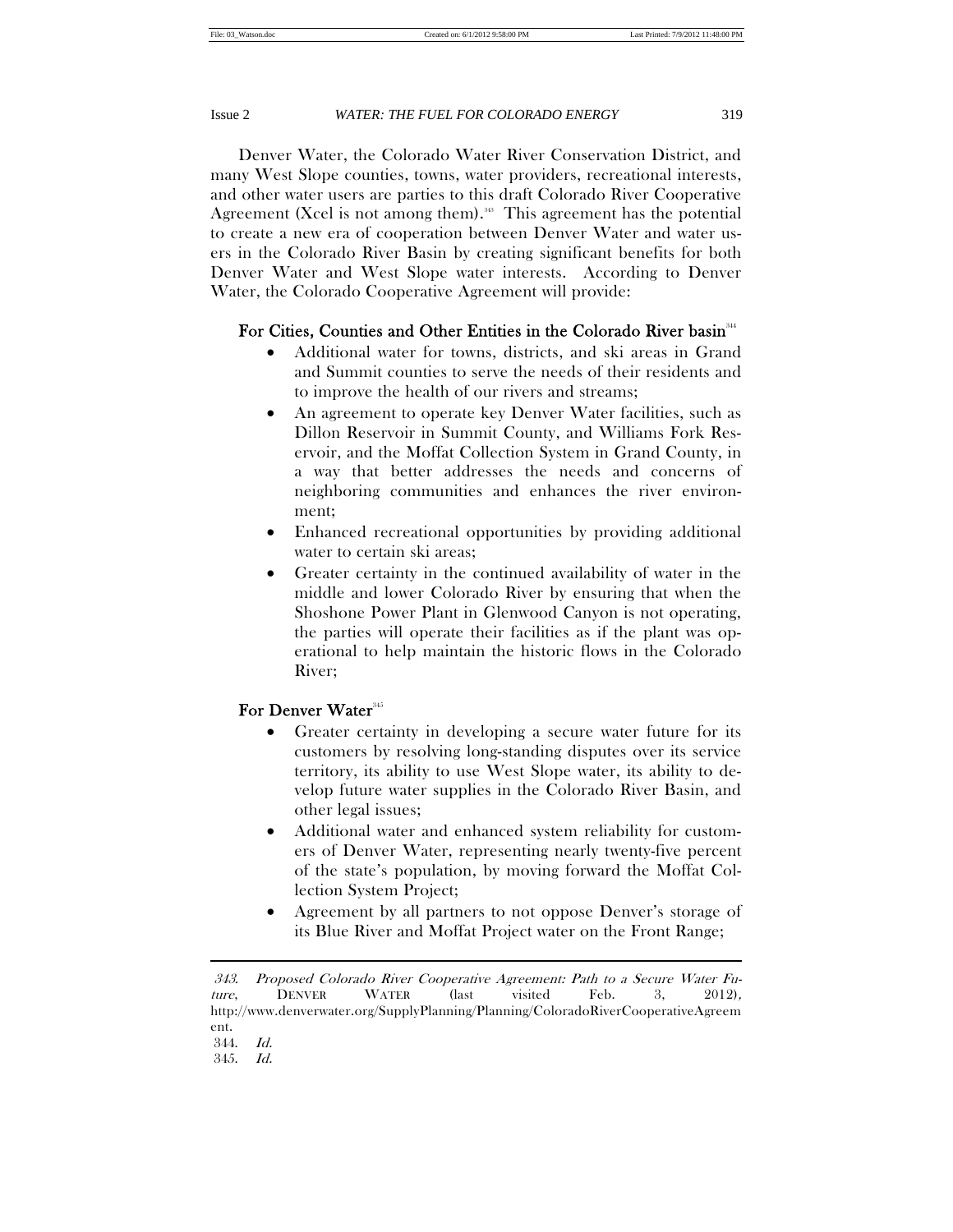Denver Water, the Colorado Water River Conservation District, and many West Slope counties, towns, water providers, recreational interests, and other water users are parties to this draft Colorado River Cooperative Agreement (Xcel is not among them).<sup>38</sup> This agreement has the potential to create a new era of cooperation between Denver Water and water users in the Colorado River Basin by creating significant benefits for both Denver Water and West Slope water interests. According to Denver Water, the Colorado Cooperative Agreement will provide:

# For Cities, Counties and Other Entities in the Colorado River basin<sup>344</sup>

- Additional water for towns, districts, and ski areas in Grand and Summit counties to serve the needs of their residents and to improve the health of our rivers and streams;
- An agreement to operate key Denver Water facilities, such as Dillon Reservoir in Summit County, and Williams Fork Reservoir, and the Moffat Collection System in Grand County, in a way that better addresses the needs and concerns of neighboring communities and enhances the river environment;
- Enhanced recreational opportunities by providing additional water to certain ski areas;
- Greater certainty in the continued availability of water in the middle and lower Colorado River by ensuring that when the Shoshone Power Plant in Glenwood Canyon is not operating, the parties will operate their facilities as if the plant was operational to help maintain the historic flows in the Colorado River;

# For Denver Water<sup>345</sup>

- Greater certainty in developing a secure water future for its customers by resolving long-standing disputes over its service territory, its ability to use West Slope water, its ability to develop future water supplies in the Colorado River Basin, and other legal issues;
- Additional water and enhanced system reliability for customers of Denver Water, representing nearly twenty-five percent of the state's population, by moving forward the Moffat Collection System Project;
- Agreement by all partners to not oppose Denver's storage of its Blue River and Moffat Project water on the Front Range;

 <sup>343.</sup> Proposed Colorado River Cooperative Agreement: Path to a Secure Water Future, DENVER WATER (last visited Feb. 3, 2012), http://www.denverwater.org/SupplyPlanning/Planning/ColoradoRiverCooperativeAgreem ent.

 <sup>344.</sup> Id.

 <sup>345.</sup> Id.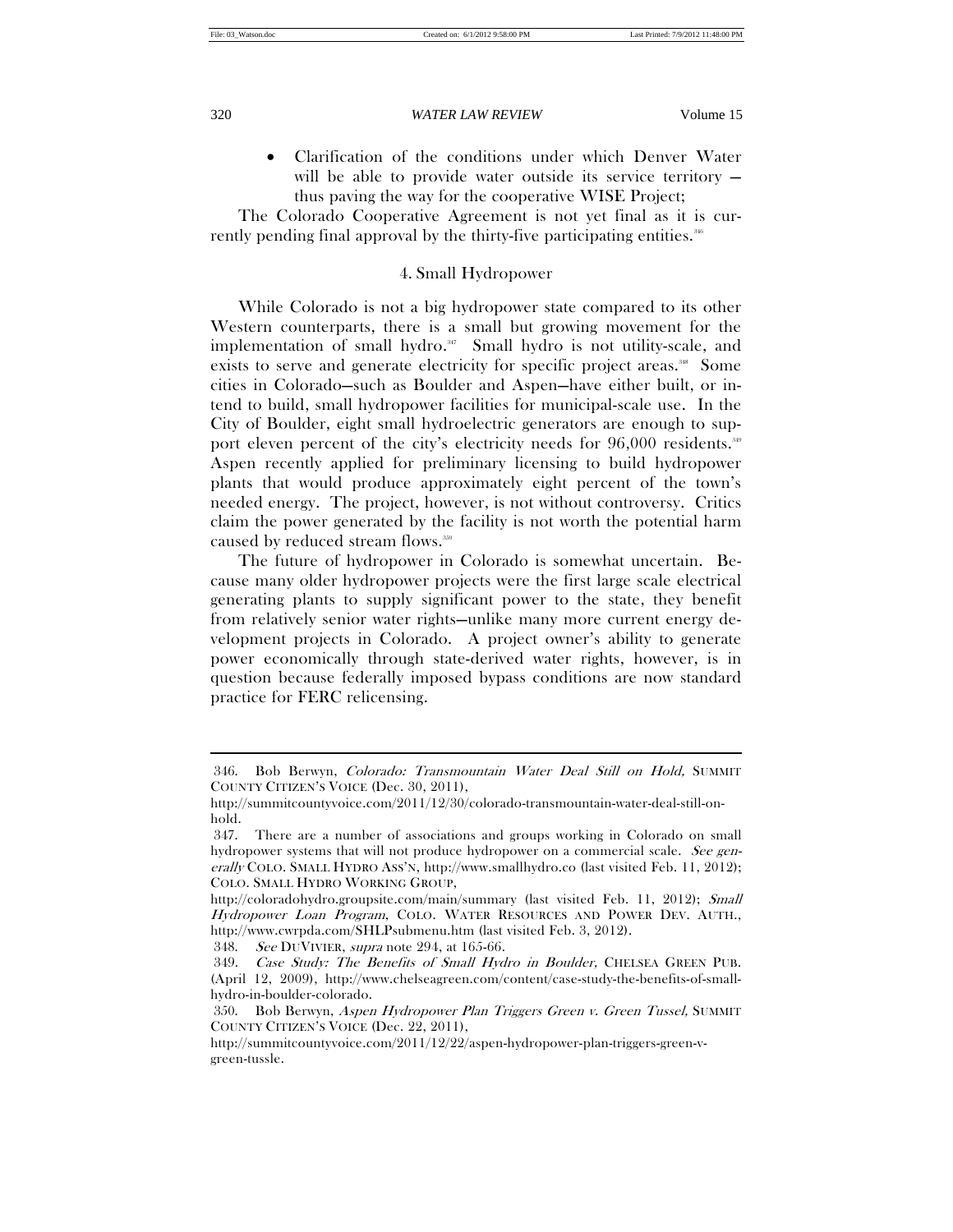$\overline{a}$ 

## 320 *WATER LAW REVIEW* Volume 15

 Clarification of the conditions under which Denver Water will be able to provide water outside its service territory thus paving the way for the cooperative WISE Project;

The Colorado Cooperative Agreement is not yet final as it is currently pending final approval by the thirty-five participating entities.<sup>346</sup>

# 4. Small Hydropower

While Colorado is not a big hydropower state compared to its other Western counterparts, there is a small but growing movement for the implementation of small hydro.<sup>347</sup> Small hydro is not utility-scale, and exists to serve and generate electricity for specific project areas.<sup>38</sup> Some cities in Colorado—such as Boulder and Aspen—have either built, or intend to build, small hydropower facilities for municipal-scale use. In the City of Boulder, eight small hydroelectric generators are enough to support eleven percent of the city's electricity needs for 96,000 residents.<sup>349</sup> Aspen recently applied for preliminary licensing to build hydropower plants that would produce approximately eight percent of the town's needed energy. The project, however, is not without controversy. Critics claim the power generated by the facility is not worth the potential harm caused by reduced stream flows.<sup>350</sup>

The future of hydropower in Colorado is somewhat uncertain. Because many older hydropower projects were the first large scale electrical generating plants to supply significant power to the state, they benefit from relatively senior water rights—unlike many more current energy development projects in Colorado. A project owner's ability to generate power economically through state-derived water rights, however, is in question because federally imposed bypass conditions are now standard practice for FERC relicensing.

348. See DUVIVIER, *supra* note 294, at 165-66.

<sup>346.</sup> Bob Berwyn, Colorado: Transmountain Water Deal Still on Hold, SUMMIT COUNTY CITIZEN'S VOICE (Dec. 30, 2011),

http://summitcountyvoice.com/2011/12/30/colorado-transmountain-water-deal-still-onhold.

 <sup>347.</sup> There are a number of associations and groups working in Colorado on small hydropower systems that will not produce hydropower on a commercial scale. See generally COLO. SMALL HYDRO ASS'N, http://www.smallhydro.co (last visited Feb. 11, 2012); COLO. SMALL HYDRO WORKING GROUP,

http://coloradohydro.groupsite.com/main/summary (last visited Feb. 11, 2012); Small Hydropower Loan Program, COLO. WATER RESOURCES AND POWER DEV. AUTH., http://www.cwrpda.com/SHLPsubmenu.htm (last visited Feb. 3, 2012).

<sup>349</sup>. Case Study: The Benefits of Small Hydro in Boulder, CHELSEA GREEN PUB. (April 12, 2009), http://www.chelseagreen.com/content/case-study-the-benefits-of-smallhydro-in-boulder-colorado.

 <sup>350.</sup> Bob Berwyn, Aspen Hydropower Plan Triggers Green v. Green Tussel, SUMMIT COUNTY CITIZEN'S VOICE (Dec. 22, 2011),

http://summitcountyvoice.com/2011/12/22/aspen-hydropower-plan-triggers-green-vgreen-tussle.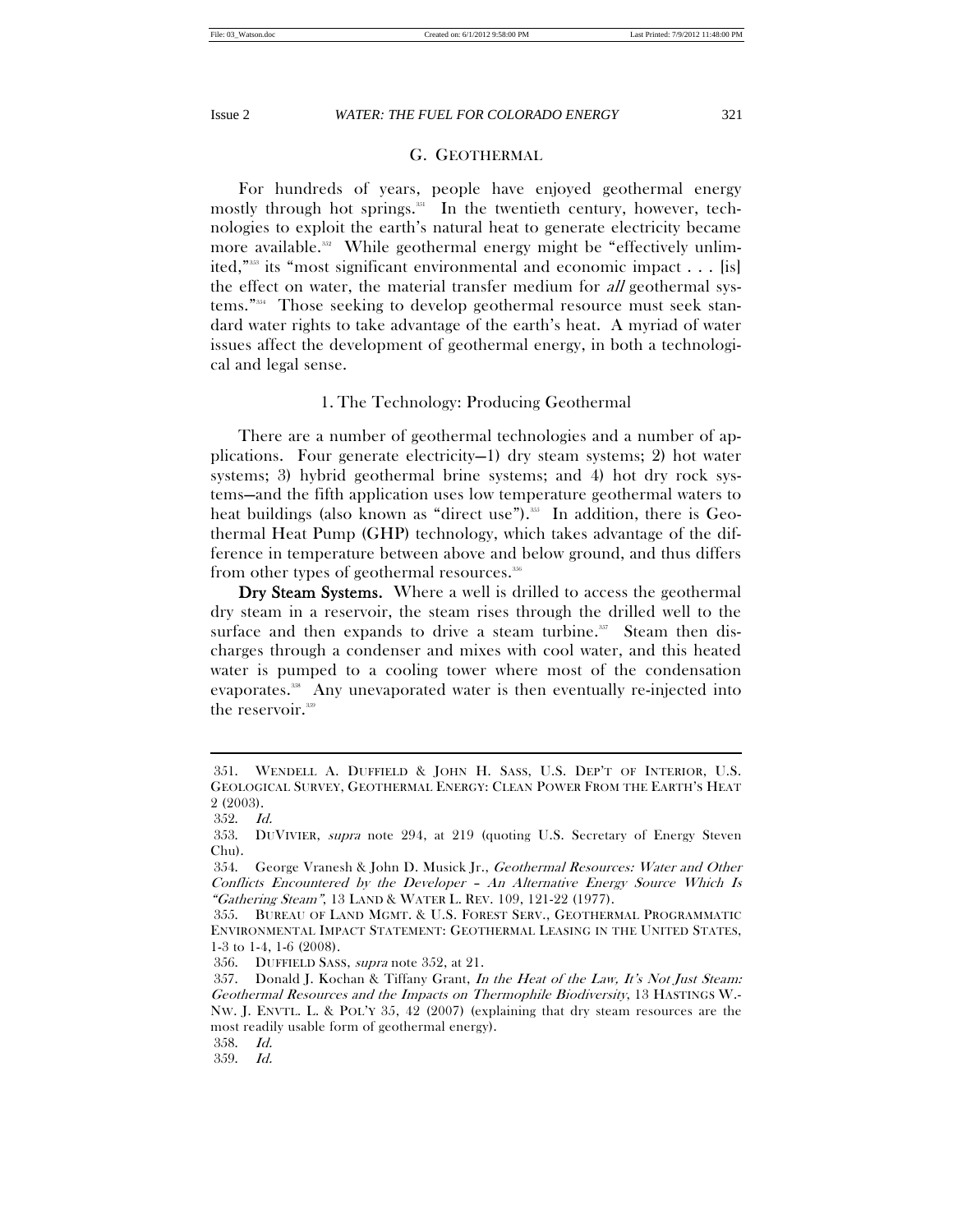# G. GEOTHERMAL

For hundreds of years, people have enjoyed geothermal energy mostly through hot springs. $351$  In the twentieth century, however, technologies to exploit the earth's natural heat to generate electricity became more available.<sup>352</sup> While geothermal energy might be "effectively unlimited,"353 its "most significant environmental and economic impact . . . [is] the effect on water, the material transfer medium for all geothermal systems."354 Those seeking to develop geothermal resource must seek standard water rights to take advantage of the earth's heat. A myriad of water issues affect the development of geothermal energy, in both a technological and legal sense.

# 1. The Technology: Producing Geothermal

There are a number of geothermal technologies and a number of applications. Four generate electricity—1) dry steam systems; 2) hot water systems; 3) hybrid geothermal brine systems; and 4) hot dry rock systems—and the fifth application uses low temperature geothermal waters to heat buildings (also known as "direct use").<sup>355</sup> In addition, there is Geothermal Heat Pump (GHP) technology, which takes advantage of the difference in temperature between above and below ground, and thus differs from other types of geothermal resources.356

Dry Steam Systems. Where a well is drilled to access the geothermal dry steam in a reservoir, the steam rises through the drilled well to the surface and then expands to drive a steam turbine. $357$  Steam then discharges through a condenser and mixes with cool water, and this heated water is pumped to a cooling tower where most of the condensation evaporates.<sup>338</sup> Any unevaporated water is then eventually re-injected into the reservoir.<sup>359</sup>

 $\overline{a}$ 

356. DUFFIELD SASS, supra note 352, at 21.

359. Id.

 <sup>351.</sup> WENDELL A. DUFFIELD & JOHN H. SASS, U.S. DEP'T OF INTERIOR, U.S. GEOLOGICAL SURVEY, GEOTHERMAL ENERGY: CLEAN POWER FROM THE EARTH'S HEAT 2 (2003).

 <sup>352.</sup> Id.

 <sup>353.</sup> DUVIVIER, supra note 294, at 219 (quoting U.S. Secretary of Energy Steven Chu).

 <sup>354.</sup> George Vranesh & John D. Musick Jr., Geothermal Resources: Water and Other Conflicts Encountered by the Developer – An Alternative Energy Source Which Is "Gathering Steam", 13 LAND & WATER L. REV. 109, 121-22 (1977).

 <sup>355.</sup> BUREAU OF LAND MGMT. & U.S. FOREST SERV., GEOTHERMAL PROGRAMMATIC ENVIRONMENTAL IMPACT STATEMENT: GEOTHERMAL LEASING IN THE UNITED STATES, 1-3 to 1-4, 1-6 (2008).

 <sup>357.</sup> Donald J. Kochan & Tiffany Grant, In the Heat of the Law, It's Not Just Steam: Geothermal Resources and the Impacts on Thermophile Biodiversity, 13 HASTINGS W.- NW. J. ENVTL. L. & POL'Y 35, 42 (2007) (explaining that dry steam resources are the most readily usable form of geothermal energy).

 <sup>358.</sup> Id.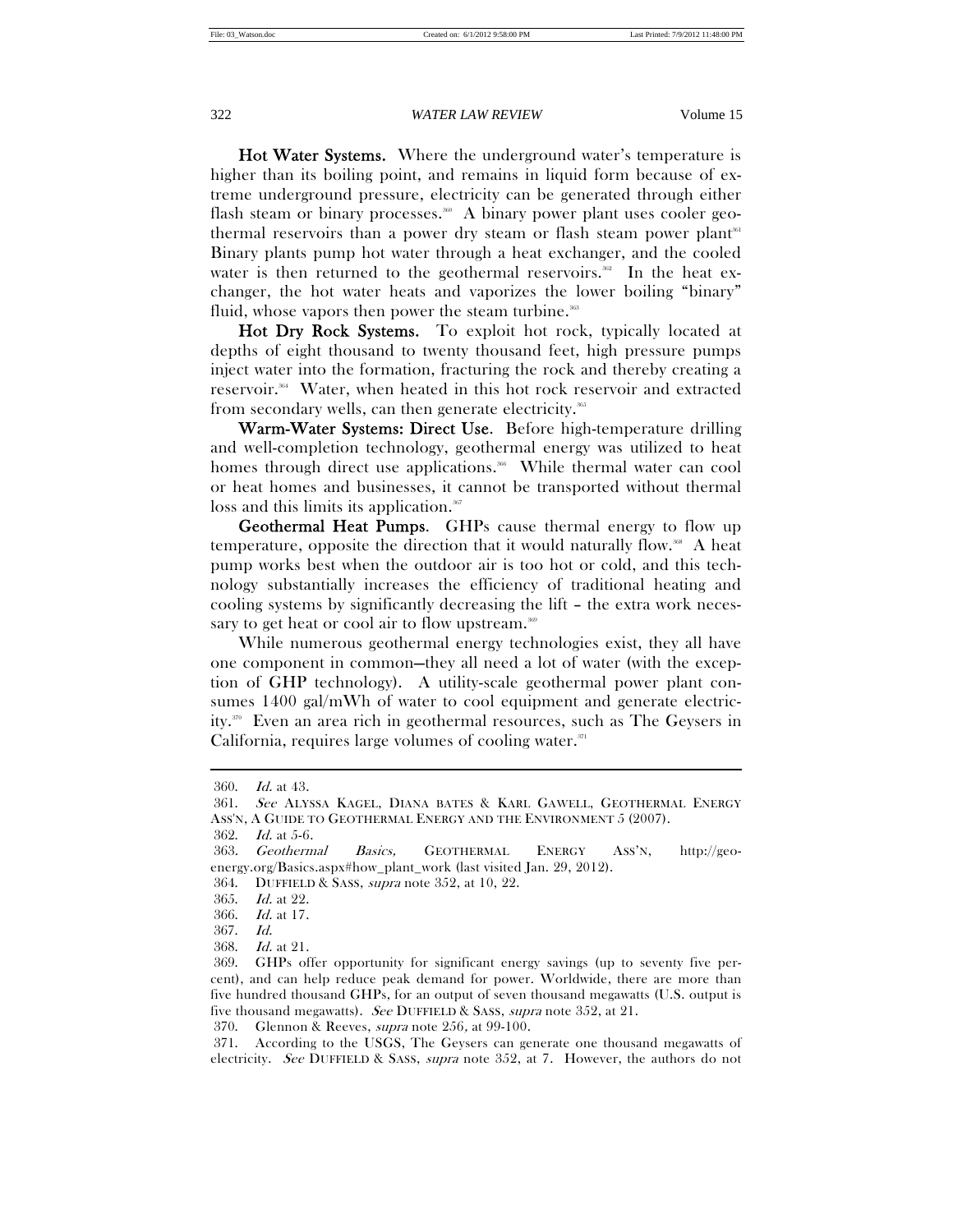Hot Water Systems. Where the underground water's temperature is higher than its boiling point, and remains in liquid form because of extreme underground pressure, electricity can be generated through either flash steam or binary processes.<sup>360</sup> A binary power plant uses cooler geothermal reservoirs than a power dry steam or flash steam power plant<sup>361</sup> Binary plants pump hot water through a heat exchanger, and the cooled water is then returned to the geothermal reservoirs.<sup>362</sup> In the heat exchanger, the hot water heats and vaporizes the lower boiling "binary" fluid, whose vapors then power the steam turbine.<sup>36</sup>

Hot Dry Rock Systems. To exploit hot rock, typically located at depths of eight thousand to twenty thousand feet, high pressure pumps inject water into the formation, fracturing the rock and thereby creating a reservoir.364 Water, when heated in this hot rock reservoir and extracted from secondary wells, can then generate electricity.<sup>365</sup>

Warm-Water Systems: Direct Use. Before high-temperature drilling and well-completion technology, geothermal energy was utilized to heat homes through direct use applications.<sup>366</sup> While thermal water can cool or heat homes and businesses, it cannot be transported without thermal loss and this limits its application.<sup>367</sup>

Geothermal Heat Pumps. GHPs cause thermal energy to flow up temperature, opposite the direction that it would naturally flow.<sup>368</sup> A heat pump works best when the outdoor air is too hot or cold, and this technology substantially increases the efficiency of traditional heating and cooling systems by significantly decreasing the lift – the extra work necessary to get heat or cool air to flow upstream.<sup>369</sup>

While numerous geothermal energy technologies exist, they all have one component in common—they all need a lot of water (with the exception of GHP technology). A utility-scale geothermal power plant consumes 1400 gal/mWh of water to cool equipment and generate electricity.370 Even an area rich in geothermal resources, such as The Geysers in California, requires large volumes of cooling water.<sup>371</sup>

 $\overline{a}$ 

362. Id. at 5-6.

370. Glennon & Reeves, supra note 256, at 99-100.

 371. According to the USGS, The Geysers can generate one thousand megawatts of electricity. See DUFFIELD & SASS, supra note 352, at 7. However, the authors do not

 <sup>360.</sup> Id. at 43.

 <sup>361.</sup> See ALYSSA KAGEL, DIANA BATES & KARL GAWELL, GEOTHERMAL ENERGY

ASS'N, A GUIDE TO GEOTHERMAL ENERGY AND THE ENVIRONMENT 5 (2007).

<sup>363</sup>. Geothermal Basics, GEOTHERMAL ENERGY ASS'N, http://geoenergy.org/Basics.aspx#how\_plant\_work (last visited Jan. 29, 2012).

 <sup>364.</sup> DUFFIELD & SASS, supra note 352, at 10, 22.

 <sup>365.</sup> Id. at 22.

 <sup>366.</sup> Id. at 17.

 <sup>367.</sup> Id.

 <sup>368.</sup> Id. at 21.

 <sup>369.</sup> GHPs offer opportunity for significant energy savings (up to seventy five percent), and can help reduce peak demand for power. Worldwide, there are more than five hundred thousand GHPs, for an output of seven thousand megawatts (U.S. output is five thousand megawatts). See DUFFIELD & SASS, supra note 352, at 21.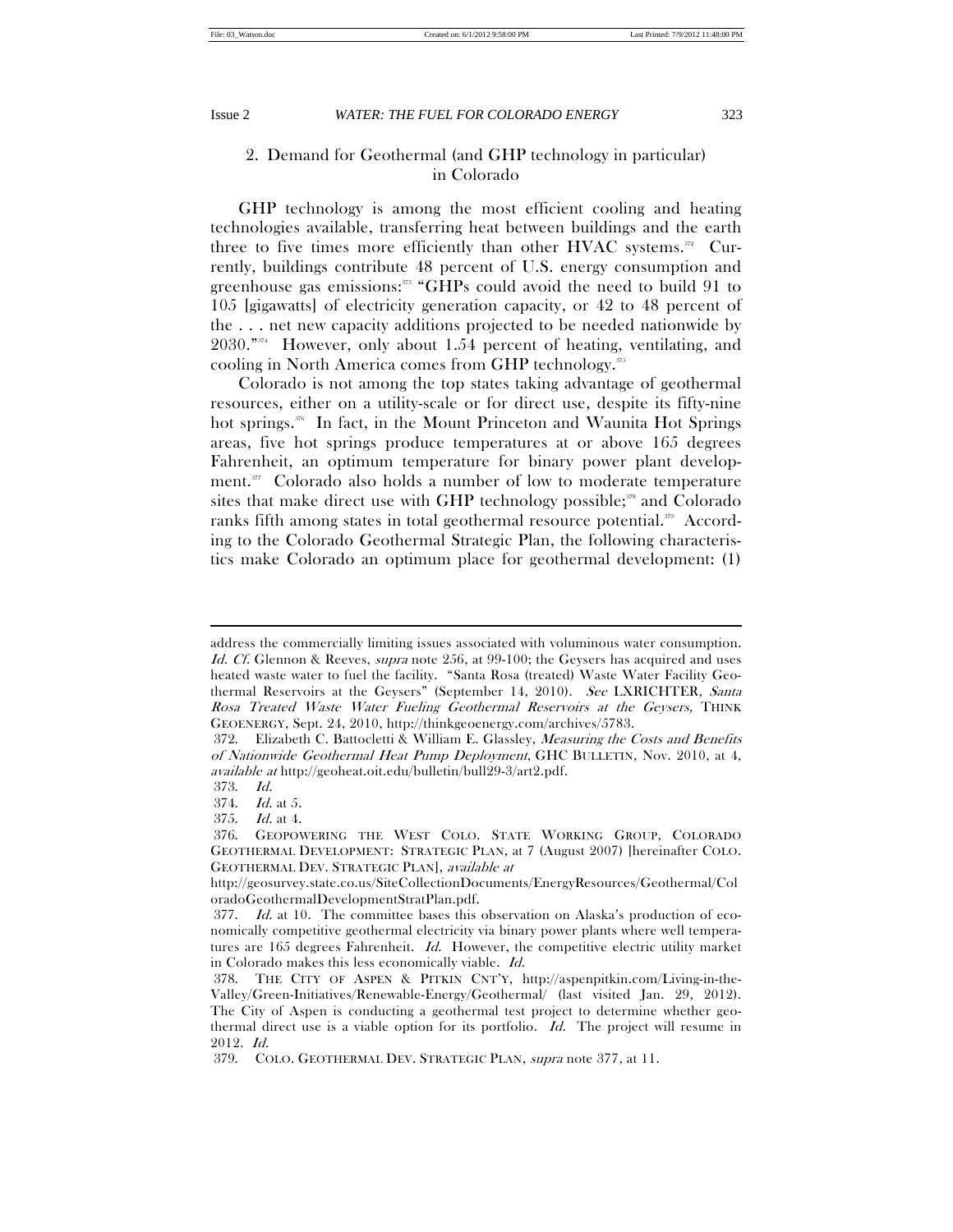# 2. Demand for Geothermal (and GHP technology in particular) in Colorado

GHP technology is among the most efficient cooling and heating technologies available, transferring heat between buildings and the earth three to five times more efficiently than other HVAC systems.<sup>372</sup> Currently, buildings contribute 48 percent of U.S. energy consumption and greenhouse gas emissions:<sup>373</sup> "GHPs could avoid the need to build 91 to 105 [gigawatts] of electricity generation capacity, or 42 to 48 percent of the . . . net new capacity additions projected to be needed nationwide by  $2030.^{"374}$  However, only about 1.54 percent of heating, ventilating, and cooling in North America comes from GHP technology.375

Colorado is not among the top states taking advantage of geothermal resources, either on a utility-scale or for direct use, despite its fifty-nine hot springs.<sup>376</sup> In fact, in the Mount Princeton and Waunita Hot Springs areas, five hot springs produce temperatures at or above 165 degrees Fahrenheit, an optimum temperature for binary power plant development.<sup>377</sup> Colorado also holds a number of low to moderate temperature sites that make direct use with GHP technology possible; $\frac{378}{10}$  and Colorado ranks fifth among states in total geothermal resource potential.<sup>339</sup> According to the Colorado Geothermal Strategic Plan, the following characteristics make Colorado an optimum place for geothermal development: (1)

address the commercially limiting issues associated with voluminous water consumption. Id. Cf. Glennon & Reeves, *supra* note 256, at 99-100; the Geysers has acquired and uses heated waste water to fuel the facility. "Santa Rosa (treated) Waste Water Facility Geothermal Reservoirs at the Geysers" (September 14, 2010). See LXRICHTER, Santa Rosa Treated Waste Water Fueling Geothermal Reservoirs at the Geysers, THINK GEOENERGY, Sept. 24, 2010, http://thinkgeoenergy.com/archives/5783.

 <sup>372.</sup> Elizabeth C. Battocletti & William E. Glassley, Measuring the Costs and Benefits of Nationwide Geothermal Heat Pump Deployment, GHC BULLETIN, Nov. 2010, at 4, available at http://geoheat.oit.edu/bulletin/bull29-3/art2.pdf.

 <sup>373.</sup> Id.

 <sup>374.</sup> Id. at 5.

 <sup>375.</sup> Id. at 4.

 <sup>376.</sup> GEOPOWERING THE WEST COLO. STATE WORKING GROUP, COLORADO GEOTHERMAL DEVELOPMENT: STRATEGIC PLAN, at 7 (August 2007) [hereinafter COLO. GEOTHERMAL DEV. STRATEGIC PLAN], available at

http://geosurvey.state.co.us/SiteCollectionDocuments/EnergyResources/Geothermal/Col oradoGeothermalDevelopmentStratPlan.pdf.

 <sup>377.</sup> Id. at 10. The committee bases this observation on Alaska's production of economically competitive geothermal electricity via binary power plants where well temperatures are 165 degrees Fahrenheit. Id. However, the competitive electric utility market in Colorado makes this less economically viable. Id.

 <sup>378.</sup> THE CITY OF ASPEN & PITKIN CNT'Y, http://aspenpitkin.com/Living-in-the-Valley/Green-Initiatives/Renewable-Energy/Geothermal/ (last visited Jan. 29, 2012). The City of Aspen is conducting a geothermal test project to determine whether geothermal direct use is a viable option for its portfolio. Id. The project will resume in 2012. Id.

 <sup>379.</sup> COLO. GEOTHERMAL DEV. STRATEGIC PLAN, supra note 377, at 11.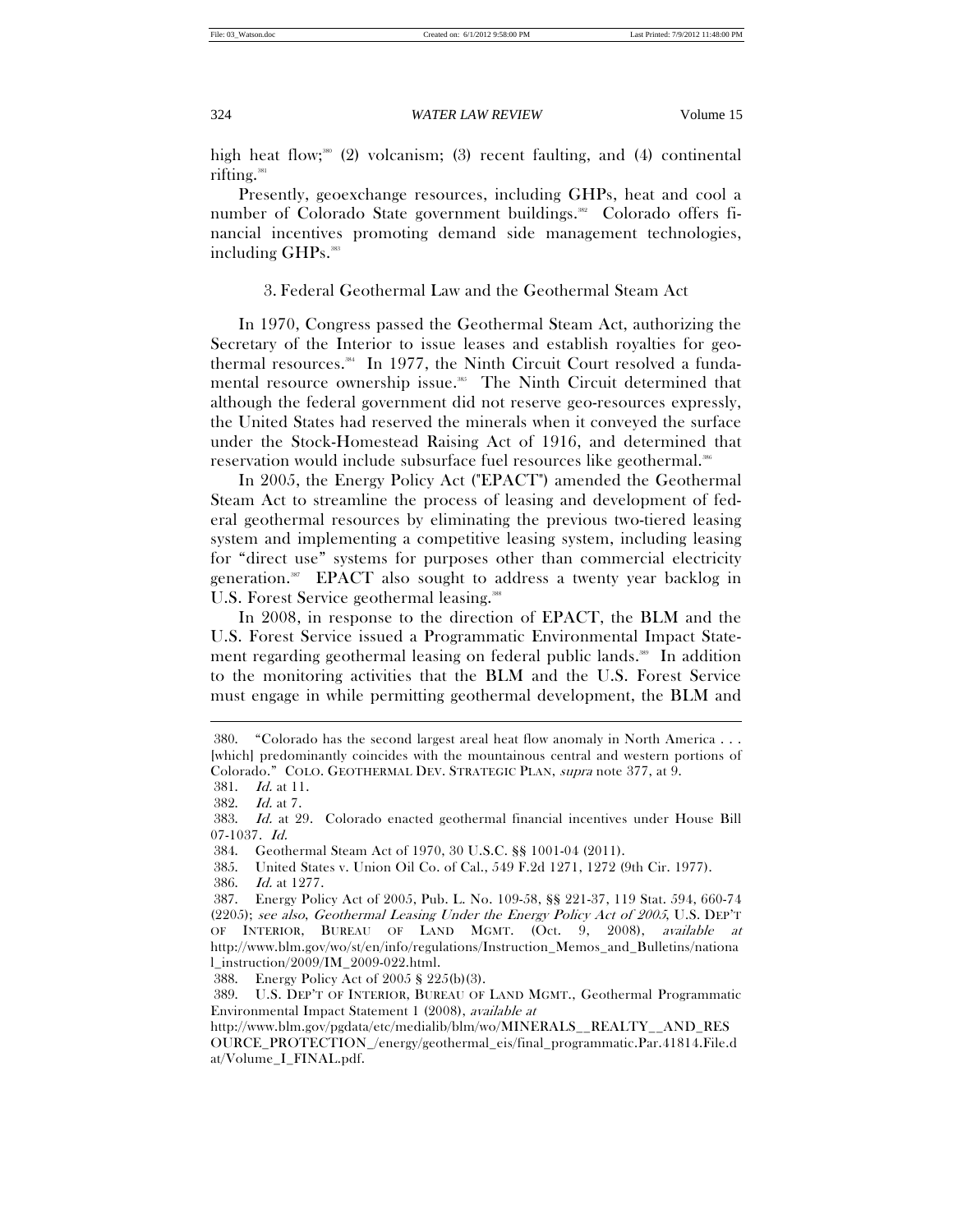high heat flow;<sup>380</sup> (2) volcanism; (3) recent faulting, and (4) continental rifting. $381$ 

Presently, geoexchange resources, including GHPs, heat and cool a number of Colorado State government buildings.<sup>382</sup> Colorado offers financial incentives promoting demand side management technologies, including GHPs.<sup>383</sup>

# 3. Federal Geothermal Law and the Geothermal Steam Act

In 1970, Congress passed the Geothermal Steam Act, authorizing the Secretary of the Interior to issue leases and establish royalties for geothermal resources.<sup>384</sup> In 1977, the Ninth Circuit Court resolved a fundamental resource ownership issue.<sup>385</sup> The Ninth Circuit determined that although the federal government did not reserve geo-resources expressly, the United States had reserved the minerals when it conveyed the surface under the Stock-Homestead Raising Act of 1916, and determined that reservation would include subsurface fuel resources like geothermal.<sup>386</sup>

In 2005, the Energy Policy Act ("EPACT") amended the Geothermal Steam Act to streamline the process of leasing and development of federal geothermal resources by eliminating the previous two-tiered leasing system and implementing a competitive leasing system, including leasing for "direct use" systems for purposes other than commercial electricity generation.387 EPACT also sought to address a twenty year backlog in U.S. Forest Service geothermal leasing.<sup>388</sup>

In 2008, in response to the direction of EPACT, the BLM and the U.S. Forest Service issued a Programmatic Environmental Impact Statement regarding geothermal leasing on federal public lands.<sup>389</sup> In addition to the monitoring activities that the BLM and the U.S. Forest Service must engage in while permitting geothermal development, the BLM and  $\overline{a}$ 

388. Energy Policy Act of 2005 § 225(b)(3).

 389. U.S. DEP'T OF INTERIOR, BUREAU OF LAND MGMT., Geothermal Programmatic Environmental Impact Statement 1 (2008), available at

 <sup>380. &</sup>quot;Colorado has the second largest areal heat flow anomaly in North America . . . [which] predominantly coincides with the mountainous central and western portions of Colorado." COLO. GEOTHERMAL DEV. STRATEGIC PLAN, supra note 377, at 9.

 <sup>381.</sup> Id. at 11.

 <sup>382.</sup> Id. at 7.

 <sup>383.</sup> Id. at 29. Colorado enacted geothermal financial incentives under House Bill 07-1037. Id.

 <sup>384.</sup> Geothermal Steam Act of 1970, 30 U.S.C. §§ 1001-04 (2011).

 <sup>385.</sup> United States v. Union Oil Co. of Cal., 549 F.2d 1271, 1272 (9th Cir. 1977).

 <sup>386.</sup> Id. at 1277.

 <sup>387.</sup> Energy Policy Act of 2005, Pub. L. No. 109-58, §§ 221-37, 119 Stat. 594, 660-74 (2205); see also, Geothermal Leasing Under the Energy Policy Act of 2005, U.S. DEP'T OF INTERIOR, BUREAU OF LAND MGMT. (Oct. 9, 2008), available at http://www.blm.gov/wo/st/en/info/regulations/Instruction\_Memos\_and\_Bulletins/nationa l\_instruction/2009/IM\_2009-022.html.

http://www.blm.gov/pgdata/etc/medialib/blm/wo/MINERALS\_\_REALTY\_\_AND\_RES OURCE\_PROTECTION\_/energy/geothermal\_eis/final\_programmatic.Par.41814.File.d at/Volume\_I\_FINAL.pdf.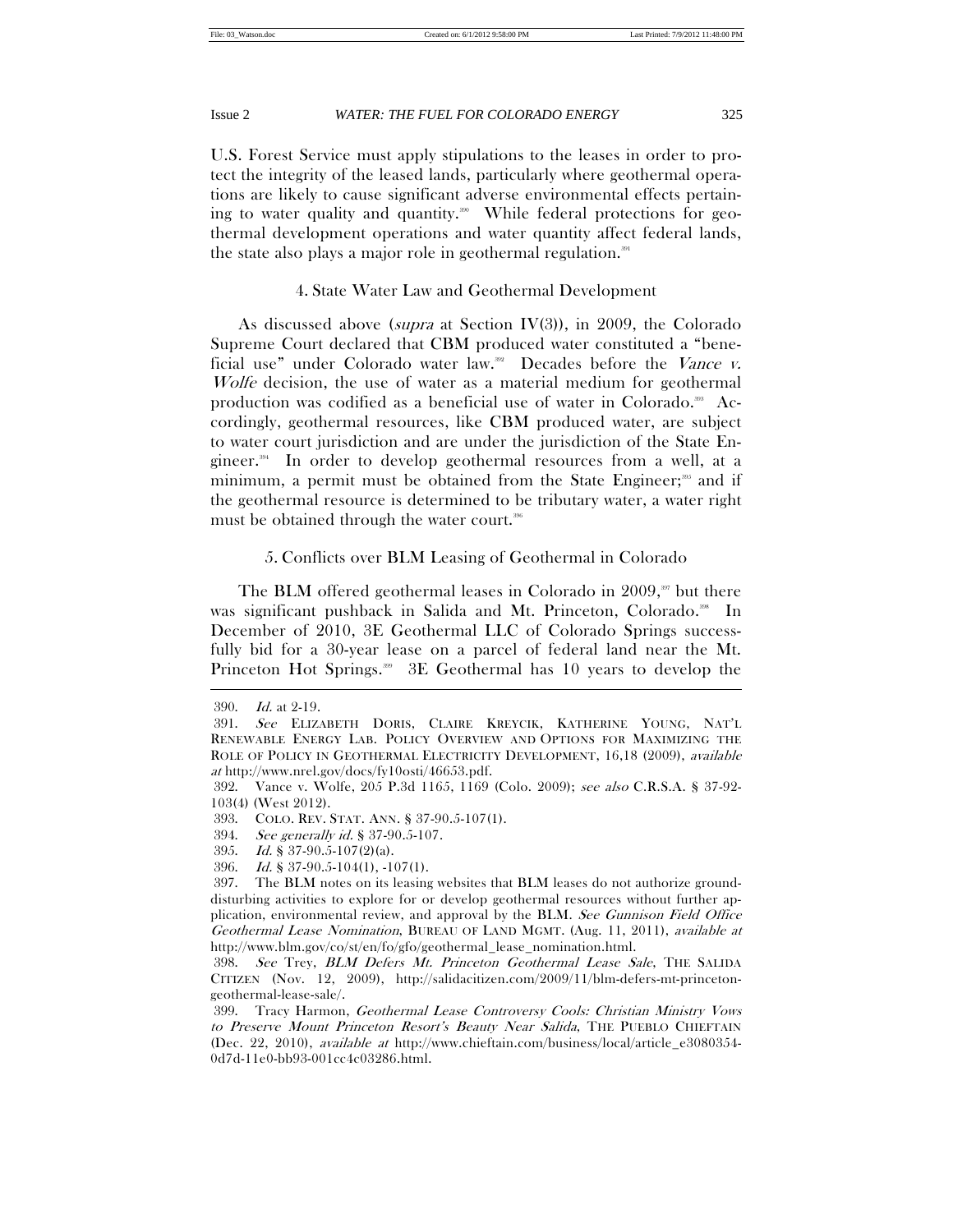U.S. Forest Service must apply stipulations to the leases in order to protect the integrity of the leased lands, particularly where geothermal operations are likely to cause significant adverse environmental effects pertaining to water quality and quantity.<sup>300</sup> While federal protections for geothermal development operations and water quantity affect federal lands, the state also plays a major role in geothermal regulation.<sup>391</sup>

# 4. State Water Law and Geothermal Development

As discussed above (supra at Section IV(3)), in 2009, the Colorado Supreme Court declared that CBM produced water constituted a "beneficial use" under Colorado water law.<sup>392</sup> Decades before the Vance v. Wolfe decision, the use of water as a material medium for geothermal production was codified as a beneficial use of water in Colorado.<sup>398</sup> Accordingly, geothermal resources, like CBM produced water, are subject to water court jurisdiction and are under the jurisdiction of the State Engineer.394 In order to develop geothermal resources from a well, at a minimum, a permit must be obtained from the State Engineer;<sup>395</sup> and if the geothermal resource is determined to be tributary water, a water right must be obtained through the water court.<sup>396</sup>

# 5. Conflicts over BLM Leasing of Geothermal in Colorado

The BLM offered geothermal leases in Colorado in  $2009$ ,<sup>307</sup> but there was significant pushback in Salida and Mt. Princeton, Colorado.<sup>398</sup> In December of 2010, 3E Geothermal LLC of Colorado Springs successfully bid for a 30-year lease on a parcel of federal land near the Mt. Princeton Hot Springs.<sup>399</sup> 3E Geothermal has 10 years to develop the

 <sup>390.</sup> Id. at 2-19.

 <sup>391.</sup> See ELIZABETH DORIS, CLAIRE KREYCIK, KATHERINE YOUNG, NAT'L RENEWABLE ENERGY LAB. POLICY OVERVIEW AND OPTIONS FOR MAXIMIZING THE ROLE OF POLICY IN GEOTHERMAL ELECTRICITY DEVELOPMENT, 16,18 (2009), available at http://www.nrel.gov/docs/fy10osti/46653.pdf.

 <sup>392.</sup> Vance v. Wolfe, 205 P.3d 1165, 1169 (Colo. 2009); see also C.R.S.A. § 37-92- 103(4) (West 2012).

 <sup>393.</sup> COLO. REV. STAT. ANN. § 37-90.5-107(1).

 <sup>394.</sup> See generally id. § 37-90.5-107.

 <sup>395.</sup> Id. § 37-90.5-107(2)(a).

 <sup>396.</sup> Id. § 37-90.5-104(1), -107(1).

 <sup>397.</sup> The BLM notes on its leasing websites that BLM leases do not authorize grounddisturbing activities to explore for or develop geothermal resources without further application, environmental review, and approval by the BLM. See Gunnison Field Office Geothermal Lease Nomination, BUREAU OF LAND MGMT. (Aug. 11, 2011), available at http://www.blm.gov/co/st/en/fo/gfo/geothermal\_lease\_nomination.html.

 <sup>398.</sup> See Trey, BLM Defers Mt. Princeton Geothermal Lease Sale, THE SALIDA CITIZEN (Nov. 12, 2009), http://salidacitizen.com/2009/11/blm-defers-mt-princetongeothermal-lease-sale/.

 <sup>399.</sup> Tracy Harmon, Geothermal Lease Controversy Cools: Christian Ministry Vows to Preserve Mount Princeton Resort's Beauty Near Salida, THE PUEBLO CHIEFTAIN (Dec. 22, 2010), available at http://www.chieftain.com/business/local/article\_e3080354- 0d7d-11e0-bb93-001cc4c03286.html.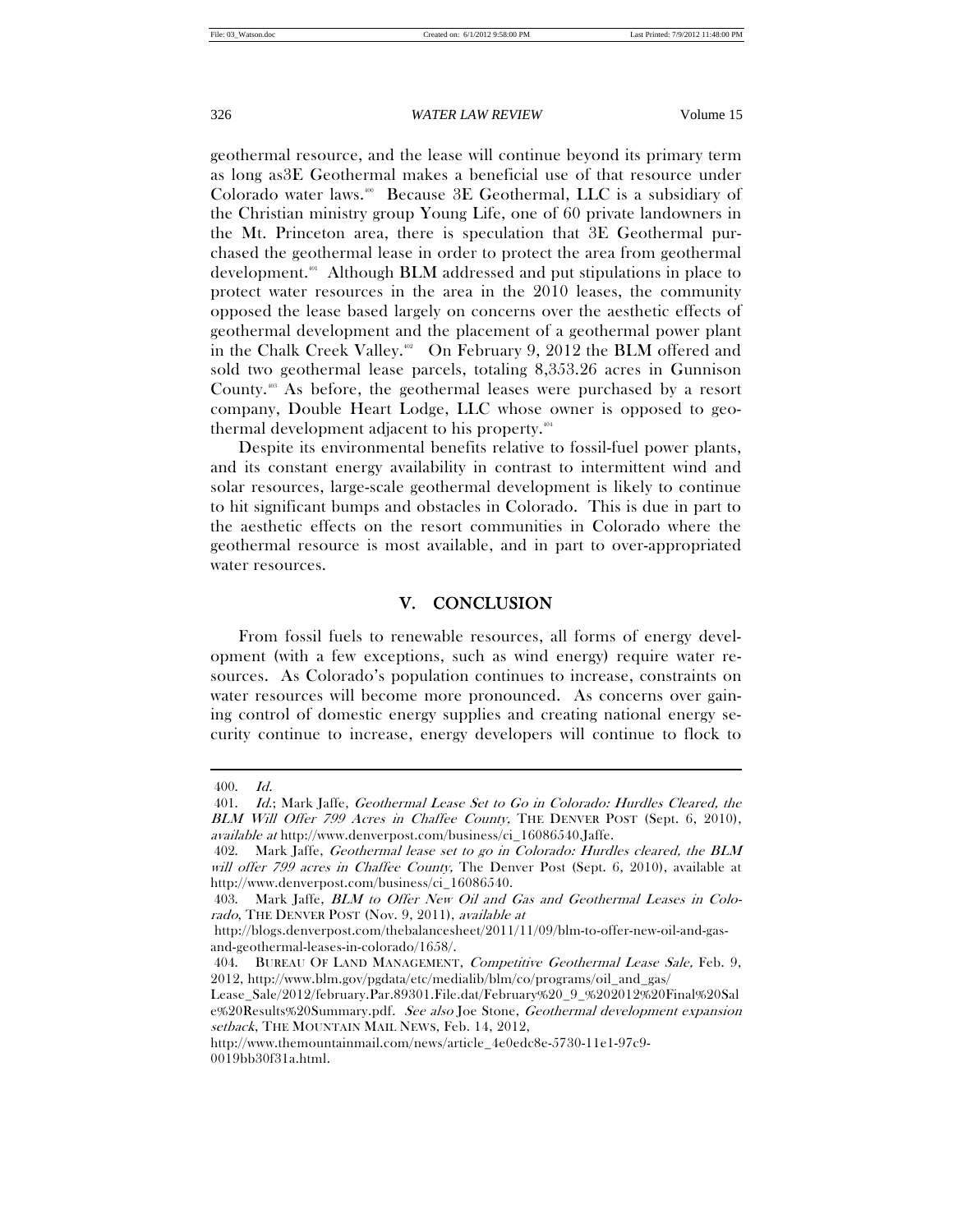geothermal resource, and the lease will continue beyond its primary term as long as3E Geothermal makes a beneficial use of that resource under Colorado water laws.<sup>400</sup> Because 3E Geothermal, LLC is a subsidiary of the Christian ministry group Young Life, one of 60 private landowners in the Mt. Princeton area, there is speculation that 3E Geothermal purchased the geothermal lease in order to protect the area from geothermal development.<sup>401</sup> Although BLM addressed and put stipulations in place to protect water resources in the area in the 2010 leases, the community opposed the lease based largely on concerns over the aesthetic effects of geothermal development and the placement of a geothermal power plant in the Chalk Creek Valley.<sup>402</sup> On February 9, 2012 the BLM offered and sold two geothermal lease parcels, totaling 8,353.26 acres in Gunnison County.<sup>403</sup> As before, the geothermal leases were purchased by a resort company, Double Heart Lodge, LLC whose owner is opposed to geothermal development adjacent to his property.404

Despite its environmental benefits relative to fossil-fuel power plants, and its constant energy availability in contrast to intermittent wind and solar resources, large-scale geothermal development is likely to continue to hit significant bumps and obstacles in Colorado. This is due in part to the aesthetic effects on the resort communities in Colorado where the geothermal resource is most available, and in part to over-appropriated water resources.

# V. CONCLUSION

From fossil fuels to renewable resources, all forms of energy development (with a few exceptions, such as wind energy) require water resources. As Colorado's population continues to increase, constraints on water resources will become more pronounced. As concerns over gaining control of domestic energy supplies and creating national energy security continue to increase, energy developers will continue to flock to

 <sup>400.</sup> Id.

 <sup>401.</sup> Id.; Mark Jaffe, Geothermal Lease Set to Go in Colorado: Hurdles Cleared, the BLM Will Offer 799 Acres in Chaffee County, THE DENVER POST (Sept. 6, 2010), available at http://www.denverpost.com/business/ci\_16086540.Jaffe.

 <sup>402.</sup> Mark Jaffe, Geothermal lease set to go in Colorado: Hurdles cleared, the BLM will offer 799 acres in Chaffee County, The Denver Post (Sept. 6, 2010), available at http://www.denverpost.com/business/ci\_16086540.

 <sup>403.</sup> Mark Jaffe, BLM to Offer New Oil and Gas and Geothermal Leases in Colorado, THE DENVER POST (Nov. 9, 2011), available at

http://blogs.denverpost.com/thebalancesheet/2011/11/09/blm-to-offer-new-oil-and-gasand-geothermal-leases-in-colorado/1658/.

<sup>404.</sup> BUREAU OF LAND MANAGEMENT, Competitive Geothermal Lease Sale, Feb. 9, 2012, http://www.blm.gov/pgdata/etc/medialib/blm/co/programs/oil\_and\_gas/

Lease\_Sale/2012/february.Par.89301.File.dat/February%20\_9\_%202012%20Final%20Sal e%20Results%20Summary.pdf. See also Joe Stone, Geothermal development expansion setback, THE MOUNTAIN MAIL NEWS, Feb. 14, 2012,

http://www.themountainmail.com/news/article\_4e0edc8e-5730-11e1-97c9- 0019bb30f31a.html.